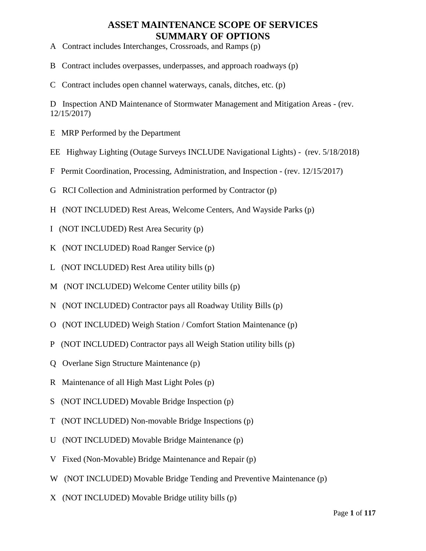# **ASSET MAINTENANCE SCOPE OF SERVICES SUMMARY OF OPTIONS**

- A Contract includes Interchanges, Crossroads, and Ramps (p)
- B Contract includes overpasses, underpasses, and approach roadways (p)
- C Contract includes open channel waterways, canals, ditches, etc. (p)

D Inspection AND Maintenance of Stormwater Management and Mitigation Areas - (rev. 12/15/2017)

- E MRP Performed by the Department
- EE Highway Lighting (Outage Surveys INCLUDE Navigational Lights) (rev. 5/18/2018)
- F Permit Coordination, Processing, Administration, and Inspection (rev. 12/15/2017)
- G RCI Collection and Administration performed by Contractor (p)
- H (NOT INCLUDED) Rest Areas, Welcome Centers, And Wayside Parks (p)
- I (NOT INCLUDED) Rest Area Security (p)
- K (NOT INCLUDED) Road Ranger Service (p)
- L (NOT INCLUDED) Rest Area utility bills (p)
- M (NOT INCLUDED) Welcome Center utility bills (p)
- N (NOT INCLUDED) Contractor pays all Roadway Utility Bills (p)
- O (NOT INCLUDED) Weigh Station / Comfort Station Maintenance (p)
- P (NOT INCLUDED) Contractor pays all Weigh Station utility bills (p)
- Q Overlane Sign Structure Maintenance (p)
- R Maintenance of all High Mast Light Poles (p)
- S (NOT INCLUDED) Movable Bridge Inspection (p)
- T (NOT INCLUDED) Non-movable Bridge Inspections (p)
- U (NOT INCLUDED) Movable Bridge Maintenance (p)
- V Fixed (Non-Movable) Bridge Maintenance and Repair (p)
- W (NOT INCLUDED) Movable Bridge Tending and Preventive Maintenance (p)
- X (NOT INCLUDED) Movable Bridge utility bills (p)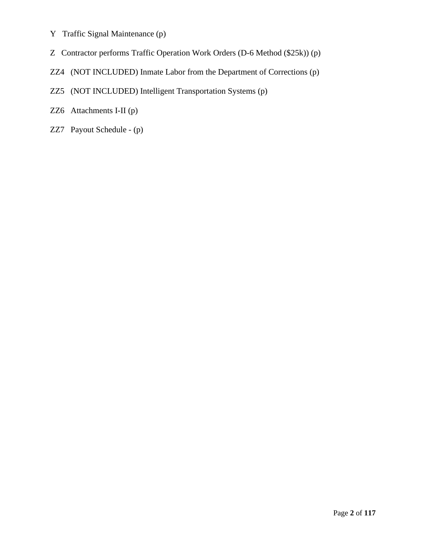- Y Traffic Signal Maintenance (p)
- Z Contractor performs Traffic Operation Work Orders (D-6 Method (\$25k)) (p)
- ZZ4 (NOT INCLUDED) Inmate Labor from the Department of Corrections (p)
- ZZ5 (NOT INCLUDED) Intelligent Transportation Systems (p)
- ZZ6 Attachments I-II (p)
- ZZ7 Payout Schedule (p)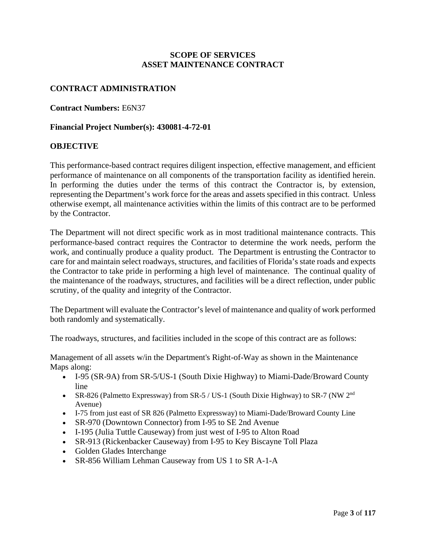#### **SCOPE OF SERVICES ASSET MAINTENANCE CONTRACT**

#### **CONTRACT ADMINISTRATION**

**Contract Numbers:** E6N37

#### **Financial Project Number(s): 430081-4-72-01**

#### **OBJECTIVE**

This performance-based contract requires diligent inspection, effective management, and efficient performance of maintenance on all components of the transportation facility as identified herein. In performing the duties under the terms of this contract the Contractor is, by extension, representing the Department's work force for the areas and assets specified in this contract. Unless otherwise exempt, all maintenance activities within the limits of this contract are to be performed by the Contractor.

The Department will not direct specific work as in most traditional maintenance contracts. This performance-based contract requires the Contractor to determine the work needs, perform the work, and continually produce a quality product. The Department is entrusting the Contractor to care for and maintain select roadways, structures, and facilities of Florida's state roads and expects the Contractor to take pride in performing a high level of maintenance. The continual quality of the maintenance of the roadways, structures, and facilities will be a direct reflection, under public scrutiny, of the quality and integrity of the Contractor.

The Department will evaluate the Contractor's level of maintenance and quality of work performed both randomly and systematically.

The roadways, structures, and facilities included in the scope of this contract are as follows:

Management of all assets w/in the Department's Right-of-Way as shown in the Maintenance Maps along:

- I-95 (SR-9A) from SR-5/US-1 (South Dixie Highway) to Miami-Dade/Broward County line
- SR-826 (Palmetto Expressway) from SR-5 / US-1 (South Dixie Highway) to SR-7 (NW  $2<sup>nd</sup>$ Avenue)
- I-75 from just east of SR 826 (Palmetto Expressway) to Miami-Dade/Broward County Line
- SR-970 (Downtown Connector) from I-95 to SE 2nd Avenue
- I-195 (Julia Tuttle Causeway) from just west of I-95 to Alton Road
- SR-913 (Rickenbacker Causeway) from I-95 to Key Biscayne Toll Plaza
- Golden Glades Interchange
- SR-856 William Lehman Causeway from US 1 to SR A-1-A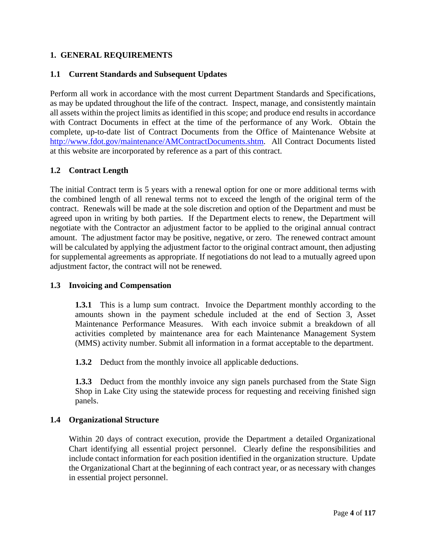## **1. GENERAL REQUIREMENTS**

#### **1.1 Current Standards and Subsequent Updates**

Perform all work in accordance with the most current Department Standards and Specifications, as may be updated throughout the life of the contract. Inspect, manage, and consistently maintain all assets within the project limits as identified in this scope; and produce end results in accordance with Contract Documents in effect at the time of the performance of any Work. Obtain the complete, up-to-date list of Contract Documents from the Office of Maintenance Website at http://www.fdot.gov/maintenance/AMContractDocuments.shtm. All Contract Documents listed at this website are incorporated by reference as a part of this contract.

## **1.2 Contract Length**

The initial Contract term is 5 years with a renewal option for one or more additional terms with the combined length of all renewal terms not to exceed the length of the original term of the contract. Renewals will be made at the sole discretion and option of the Department and must be agreed upon in writing by both parties. If the Department elects to renew, the Department will negotiate with the Contractor an adjustment factor to be applied to the original annual contract amount. The adjustment factor may be positive, negative, or zero. The renewed contract amount will be calculated by applying the adjustment factor to the original contract amount, then adjusting for supplemental agreements as appropriate. If negotiations do not lead to a mutually agreed upon adjustment factor, the contract will not be renewed.

#### **1.3 Invoicing and Compensation**

**1.3.1** This is a lump sum contract. Invoice the Department monthly according to the amounts shown in the payment schedule included at the end of Section 3, Asset Maintenance Performance Measures. With each invoice submit a breakdown of all activities completed by maintenance area for each Maintenance Management System (MMS) activity number. Submit all information in a format acceptable to the department.

**1.3.2** Deduct from the monthly invoice all applicable deductions.

**1.3.3** Deduct from the monthly invoice any sign panels purchased from the State Sign Shop in Lake City using the statewide process for requesting and receiving finished sign panels.

#### **1.4 Organizational Structure**

Within 20 days of contract execution, provide the Department a detailed Organizational Chart identifying all essential project personnel. Clearly define the responsibilities and include contact information for each position identified in the organization structure. Update the Organizational Chart at the beginning of each contract year, or as necessary with changes in essential project personnel.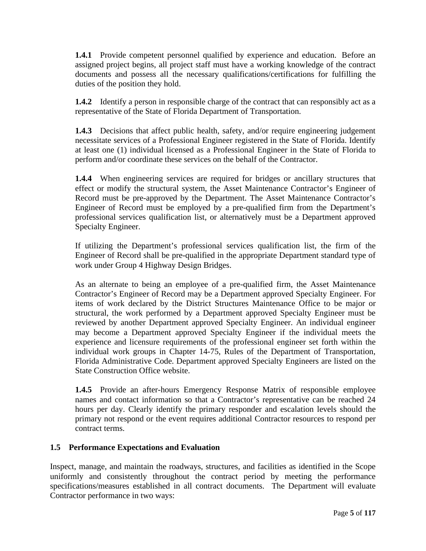**1.4.1** Provide competent personnel qualified by experience and education. Before an assigned project begins, all project staff must have a working knowledge of the contract documents and possess all the necessary qualifications/certifications for fulfilling the duties of the position they hold.

**1.4.2** Identify a person in responsible charge of the contract that can responsibly act as a representative of the State of Florida Department of Transportation.

**1.4.3** Decisions that affect public health, safety, and/or require engineering judgement necessitate services of a Professional Engineer registered in the State of Florida. Identify at least one (1) individual licensed as a Professional Engineer in the State of Florida to perform and/or coordinate these services on the behalf of the Contractor.

**1.4.4** When engineering services are required for bridges or ancillary structures that effect or modify the structural system, the Asset Maintenance Contractor's Engineer of Record must be pre-approved by the Department. The Asset Maintenance Contractor's Engineer of Record must be employed by a pre-qualified firm from the Department's professional services qualification list, or alternatively must be a Department approved Specialty Engineer.

If utilizing the Department's professional services qualification list, the firm of the Engineer of Record shall be pre-qualified in the appropriate Department standard type of work under Group 4 Highway Design Bridges.

As an alternate to being an employee of a pre-qualified firm, the Asset Maintenance Contractor's Engineer of Record may be a Department approved Specialty Engineer. For items of work declared by the District Structures Maintenance Office to be major or structural, the work performed by a Department approved Specialty Engineer must be reviewed by another Department approved Specialty Engineer. An individual engineer may become a Department approved Specialty Engineer if the individual meets the experience and licensure requirements of the professional engineer set forth within the individual work groups in Chapter 14-75, Rules of the Department of Transportation, Florida Administrative Code. Department approved Specialty Engineers are listed on the State Construction Office website.

**1.4.5** Provide an after-hours Emergency Response Matrix of responsible employee names and contact information so that a Contractor's representative can be reached 24 hours per day. Clearly identify the primary responder and escalation levels should the primary not respond or the event requires additional Contractor resources to respond per contract terms.

## **1.5 Performance Expectations and Evaluation**

Inspect, manage, and maintain the roadways, structures, and facilities as identified in the Scope uniformly and consistently throughout the contract period by meeting the performance specifications/measures established in all contract documents. The Department will evaluate Contractor performance in two ways: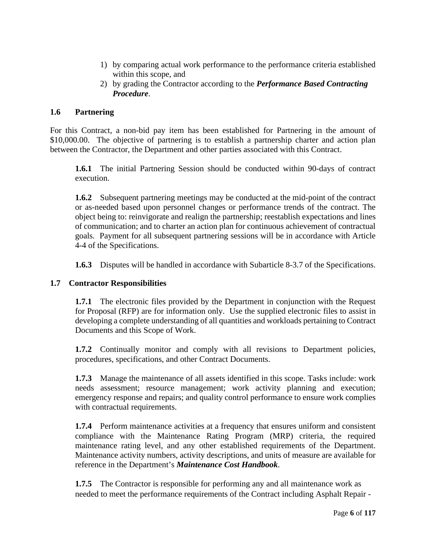- 1) by comparing actual work performance to the performance criteria established within this scope, and
- 2) by grading the Contractor according to the *Performance Based Contracting Procedure*.

#### **1.6 Partnering**

For this Contract, a non-bid pay item has been established for Partnering in the amount of \$10,000.00. The objective of partnering is to establish a partnership charter and action plan between the Contractor, the Department and other parties associated with this Contract.

**1.6.1** The initial Partnering Session should be conducted within 90-days of contract execution.

**1.6.2** Subsequent partnering meetings may be conducted at the mid-point of the contract or as-needed based upon personnel changes or performance trends of the contract. The object being to: reinvigorate and realign the partnership; reestablish expectations and lines of communication; and to charter an action plan for continuous achievement of contractual goals. Payment for all subsequent partnering sessions will be in accordance with Article 4-4 of the Specifications.

**1.6.3** Disputes will be handled in accordance with Subarticle 8-3.7 of the Specifications.

#### **1.7 Contractor Responsibilities**

**1.7.1** The electronic files provided by the Department in conjunction with the Request for Proposal (RFP) are for information only. Use the supplied electronic files to assist in developing a complete understanding of all quantities and workloads pertaining to Contract Documents and this Scope of Work.

**1.7.2** Continually monitor and comply with all revisions to Department policies, procedures, specifications, and other Contract Documents.

**1.7.3** Manage the maintenance of all assets identified in this scope. Tasks include: work needs assessment; resource management; work activity planning and execution; emergency response and repairs; and quality control performance to ensure work complies with contractual requirements.

**1.7.4** Perform maintenance activities at a frequency that ensures uniform and consistent compliance with the Maintenance Rating Program (MRP) criteria, the required maintenance rating level, and any other established requirements of the Department. Maintenance activity numbers, activity descriptions, and units of measure are available for reference in the Department's *Maintenance Cost Handbook*.

**1.7.5** The Contractor is responsible for performing any and all maintenance work as needed to meet the performance requirements of the Contract including Asphalt Repair -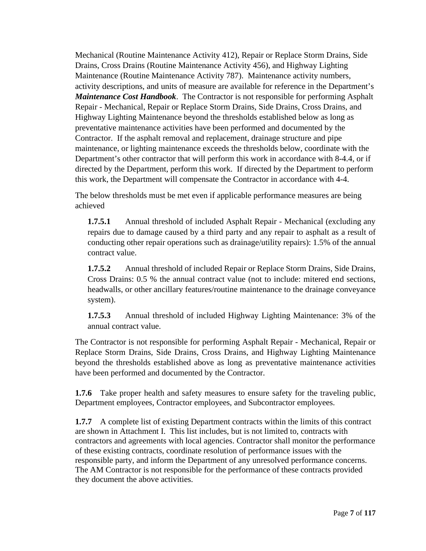Mechanical (Routine Maintenance Activity 412), Repair or Replace Storm Drains, Side Drains, Cross Drains (Routine Maintenance Activity 456), and Highway Lighting Maintenance (Routine Maintenance Activity 787). Maintenance activity numbers, activity descriptions, and units of measure are available for reference in the Department's *Maintenance Cost Handbook*. The Contractor is not responsible for performing Asphalt Repair - Mechanical, Repair or Replace Storm Drains, Side Drains, Cross Drains, and Highway Lighting Maintenance beyond the thresholds established below as long as preventative maintenance activities have been performed and documented by the Contractor. If the asphalt removal and replacement, drainage structure and pipe maintenance, or lighting maintenance exceeds the thresholds below, coordinate with the Department's other contractor that will perform this work in accordance with 8-4.4, or if directed by the Department, perform this work. If directed by the Department to perform this work, the Department will compensate the Contractor in accordance with 4-4.

The below thresholds must be met even if applicable performance measures are being achieved

**1.7.5.1** • Annual threshold of included Asphalt Repair - Mechanical (excluding any repairs due to damage caused by a third party and any repair to asphalt as a result of conducting other repair operations such as drainage/utility repairs): 1.5% of the annual contract value.

**1.7.5.2** Annual threshold of included Repair or Replace Storm Drains, Side Drains, Cross Drains: 0.5 % the annual contract value (not to include: mitered end sections, headwalls, or other ancillary features/routine maintenance to the drainage conveyance system).

**1.7.5.3** Annual threshold of included Highway Lighting Maintenance: 3% of the annual contract value.

The Contractor is not responsible for performing Asphalt Repair - Mechanical, Repair or Replace Storm Drains, Side Drains, Cross Drains, and Highway Lighting Maintenance beyond the thresholds established above as long as preventative maintenance activities have been performed and documented by the Contractor.

**1.7.6** Take proper health and safety measures to ensure safety for the traveling public, Department employees, Contractor employees, and Subcontractor employees.

**1.7.7** A complete list of existing Department contracts within the limits of this contract are shown in Attachment I. This list includes, but is not limited to, contracts with contractors and agreements with local agencies. Contractor shall monitor the performance of these existing contracts, coordinate resolution of performance issues with the responsible party, and inform the Department of any unresolved performance concerns. The AM Contractor is not responsible for the performance of these contracts provided they document the above activities.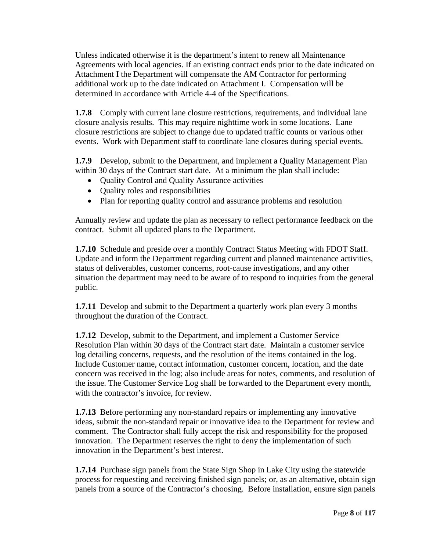Unless indicated otherwise it is the department's intent to renew all Maintenance Agreements with local agencies. If an existing contract ends prior to the date indicated on Attachment I the Department will compensate the AM Contractor for performing additional work up to the date indicated on Attachment I. Compensation will be determined in accordance with Article 4-4 of the Specifications.

**1.7.8** Comply with current lane closure restrictions, requirements, and individual lane closure analysis results. This may require nighttime work in some locations. Lane closure restrictions are subject to change due to updated traffic counts or various other events. Work with Department staff to coordinate lane closures during special events.

**1.7.9** Develop, submit to the Department, and implement a Quality Management Plan within 30 days of the Contract start date. At a minimum the plan shall include:

- Quality Control and Quality Assurance activities
- Quality roles and responsibilities
- Plan for reporting quality control and assurance problems and resolution

Annually review and update the plan as necessary to reflect performance feedback on the contract. Submit all updated plans to the Department.

**1.7.10** Schedule and preside over a monthly Contract Status Meeting with FDOT Staff. Update and inform the Department regarding current and planned maintenance activities, status of deliverables, customer concerns, root-cause investigations, and any other situation the department may need to be aware of to respond to inquiries from the general public.

**1.7.11** Develop and submit to the Department a quarterly work plan every 3 months throughout the duration of the Contract.

**1.7.12** Develop, submit to the Department, and implement a Customer Service Resolution Plan within 30 days of the Contract start date. Maintain a customer service log detailing concerns, requests, and the resolution of the items contained in the log. Include Customer name, contact information, customer concern, location, and the date concern was received in the log; also include areas for notes, comments, and resolution of the issue. The Customer Service Log shall be forwarded to the Department every month, with the contractor's invoice, for review.

**1.7.13** Before performing any non-standard repairs or implementing any innovative ideas, submit the non-standard repair or innovative idea to the Department for review and comment. The Contractor shall fully accept the risk and responsibility for the proposed innovation. The Department reserves the right to deny the implementation of such innovation in the Department's best interest.

**1.7.14** Purchase sign panels from the State Sign Shop in Lake City using the statewide process for requesting and receiving finished sign panels; or, as an alternative, obtain sign panels from a source of the Contractor's choosing. Before installation, ensure sign panels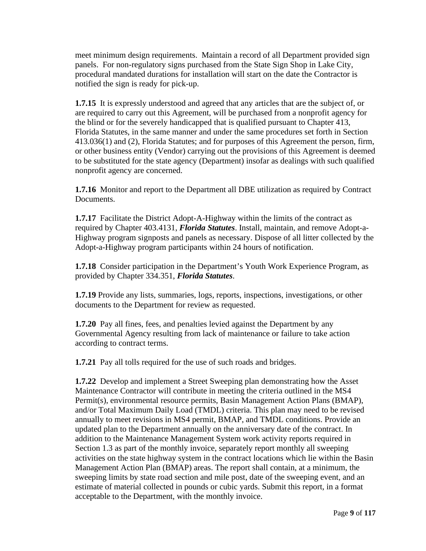meet minimum design requirements. Maintain a record of all Department provided sign panels. For non-regulatory signs purchased from the State Sign Shop in Lake City, procedural mandated durations for installation will start on the date the Contractor is notified the sign is ready for pick-up.

**1.7.15** It is expressly understood and agreed that any articles that are the subject of, or are required to carry out this Agreement, will be purchased from a nonprofit agency for the blind or for the severely handicapped that is qualified pursuant to Chapter 413, Florida Statutes, in the same manner and under the same procedures set forth in Section 413.036(1) and (2), Florida Statutes; and for purposes of this Agreement the person, firm, or other business entity (Vendor) carrying out the provisions of this Agreement is deemed to be substituted for the state agency (Department) insofar as dealings with such qualified nonprofit agency are concerned.

**1.7.16** Monitor and report to the Department all DBE utilization as required by Contract Documents.

**1.7.17** Facilitate the District Adopt-A-Highway within the limits of the contract as required by Chapter 403.4131, *Florida Statutes*. Install, maintain, and remove Adopt-a-Highway program signposts and panels as necessary. Dispose of all litter collected by the Adopt-a-Highway program participants within 24 hours of notification.

**1.7.18** Consider participation in the Department's Youth Work Experience Program, as provided by Chapter 334.351, *Florida Statutes*.

**1.7.19** Provide any lists, summaries, logs, reports, inspections, investigations, or other documents to the Department for review as requested.

**1.7.20** Pay all fines, fees, and penalties levied against the Department by any Governmental Agency resulting from lack of maintenance or failure to take action according to contract terms.

**1.7.21** Pay all tolls required for the use of such roads and bridges.

**1.7.22** Develop and implement a Street Sweeping plan demonstrating how the Asset Maintenance Contractor will contribute in meeting the criteria outlined in the MS4 Permit(s), environmental resource permits, Basin Management Action Plans (BMAP), and/or Total Maximum Daily Load (TMDL) criteria. This plan may need to be revised annually to meet revisions in MS4 permit, BMAP, and TMDL conditions. Provide an updated plan to the Department annually on the anniversary date of the contract. In addition to the Maintenance Management System work activity reports required in Section 1.3 as part of the monthly invoice, separately report monthly all sweeping activities on the state highway system in the contract locations which lie within the Basin Management Action Plan (BMAP) areas. The report shall contain, at a minimum, the sweeping limits by state road section and mile post, date of the sweeping event, and an estimate of material collected in pounds or cubic yards. Submit this report, in a format acceptable to the Department, with the monthly invoice.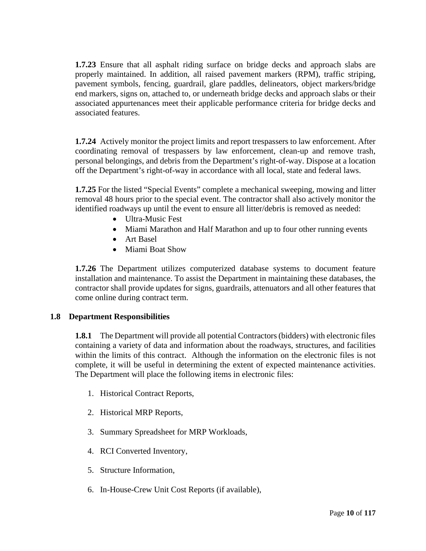**1.7.23** Ensure that all asphalt riding surface on bridge decks and approach slabs are properly maintained. In addition, all raised pavement markers (RPM), traffic striping, pavement symbols, fencing, guardrail, glare paddles, delineators, object markers/bridge end markers, signs on, attached to, or underneath bridge decks and approach slabs or their associated appurtenances meet their applicable performance criteria for bridge decks and associated features.

**1.7.24** Actively monitor the project limits and report trespassers to law enforcement. After coordinating removal of trespassers by law enforcement, clean-up and remove trash, personal belongings, and debris from the Department's right-of-way. Dispose at a location off the Department's right-of-way in accordance with all local, state and federal laws.

**1.7.25** For the listed "Special Events" complete a mechanical sweeping, mowing and litter removal 48 hours prior to the special event. The contractor shall also actively monitor the identified roadways up until the event to ensure all litter/debris is removed as needed:

- Ultra-Music Fest
- Miami Marathon and Half Marathon and up to four other running events
- Art Basel
- Miami Boat Show

**1.7.26** The Department utilizes computerized database systems to document feature installation and maintenance. To assist the Department in maintaining these databases, the contractor shall provide updates for signs, guardrails, attenuators and all other features that come online during contract term.

#### **1.8 Department Responsibilities**

**1.8.1** The Department will provide all potential Contractors (bidders) with electronic files containing a variety of data and information about the roadways, structures, and facilities within the limits of this contract. Although the information on the electronic files is not complete, it will be useful in determining the extent of expected maintenance activities. The Department will place the following items in electronic files:

- 1. Historical Contract Reports,
- 2. Historical MRP Reports,
- 3. Summary Spreadsheet for MRP Workloads,
- 4. RCI Converted Inventory,
- 5. Structure Information,
- 6. In-House-Crew Unit Cost Reports (if available),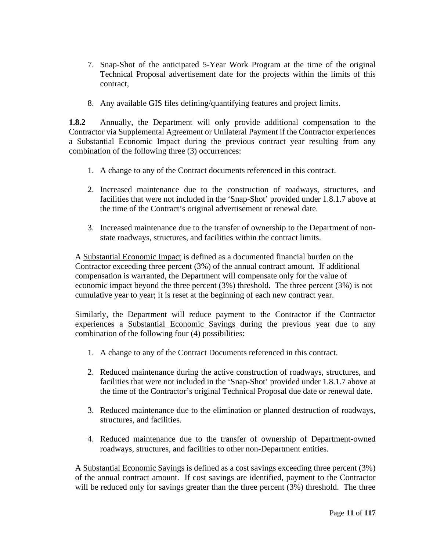- 7. Snap-Shot of the anticipated 5-Year Work Program at the time of the original Technical Proposal advertisement date for the projects within the limits of this contract,
- 8. Any available GIS files defining/quantifying features and project limits.

**1.8.2** Annually, the Department will only provide additional compensation to the Contractor via Supplemental Agreement or Unilateral Payment if the Contractor experiences a Substantial Economic Impact during the previous contract year resulting from any combination of the following three (3) occurrences:

- 1. A change to any of the Contract documents referenced in this contract.
- 2. Increased maintenance due to the construction of roadways, structures, and facilities that were not included in the 'Snap-Shot' provided under 1.8.1.7 above at the time of the Contract's original advertisement or renewal date.
- 3. Increased maintenance due to the transfer of ownership to the Department of nonstate roadways, structures, and facilities within the contract limits.

A Substantial Economic Impact is defined as a documented financial burden on the Contractor exceeding three percent (3%) of the annual contract amount. If additional compensation is warranted, the Department will compensate only for the value of economic impact beyond the three percent (3%) threshold. The three percent (3%) is not cumulative year to year; it is reset at the beginning of each new contract year.

Similarly, the Department will reduce payment to the Contractor if the Contractor experiences a Substantial Economic Savings during the previous year due to any combination of the following four (4) possibilities:

- 1. A change to any of the Contract Documents referenced in this contract.
- 2. Reduced maintenance during the active construction of roadways, structures, and facilities that were not included in the 'Snap-Shot' provided under 1.8.1.7 above at the time of the Contractor's original Technical Proposal due date or renewal date.
- 3. Reduced maintenance due to the elimination or planned destruction of roadways, structures, and facilities.
- 4. Reduced maintenance due to the transfer of ownership of Department-owned roadways, structures, and facilities to other non-Department entities.

A Substantial Economic Savings is defined as a cost savings exceeding three percent (3%) of the annual contract amount. If cost savings are identified, payment to the Contractor will be reduced only for savings greater than the three percent (3%) threshold. The three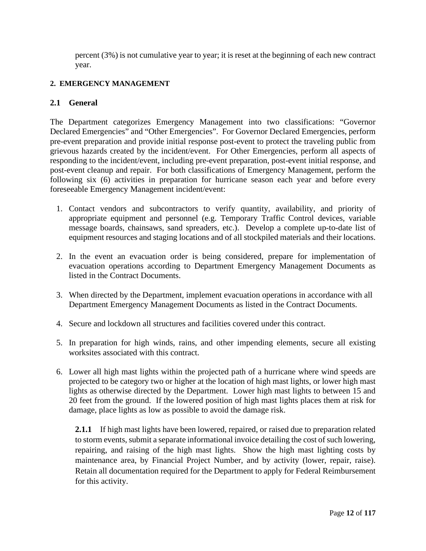percent (3%) is not cumulative year to year; it is reset at the beginning of each new contract year.

#### **2. EMERGENCY MANAGEMENT**

#### **2.1 General**

The Department categorizes Emergency Management into two classifications: "Governor Declared Emergencies" and "Other Emergencies". For Governor Declared Emergencies, perform pre-event preparation and provide initial response post-event to protect the traveling public from grievous hazards created by the incident/event. For Other Emergencies, perform all aspects of responding to the incident/event, including pre-event preparation, post-event initial response, and post-event cleanup and repair. For both classifications of Emergency Management, perform the following six (6) activities in preparation for hurricane season each year and before every foreseeable Emergency Management incident/event:

- 1. Contact vendors and subcontractors to verify quantity, availability, and priority of appropriate equipment and personnel (e.g. Temporary Traffic Control devices, variable message boards, chainsaws, sand spreaders, etc.). Develop a complete up-to-date list of equipment resources and staging locations and of all stockpiled materials and their locations.
- 2. In the event an evacuation order is being considered, prepare for implementation of evacuation operations according to Department Emergency Management Documents as listed in the Contract Documents.
- 3. When directed by the Department, implement evacuation operations in accordance with all Department Emergency Management Documents as listed in the Contract Documents.
- 4. Secure and lockdown all structures and facilities covered under this contract.
- 5. In preparation for high winds, rains, and other impending elements, secure all existing worksites associated with this contract.
- 6. Lower all high mast lights within the projected path of a hurricane where wind speeds are projected to be category two or higher at the location of high mast lights, or lower high mast lights as otherwise directed by the Department. Lower high mast lights to between 15 and 20 feet from the ground. If the lowered position of high mast lights places them at risk for damage, place lights as low as possible to avoid the damage risk.

**2.1.1** If high mast lights have been lowered, repaired, or raised due to preparation related to storm events, submit a separate informational invoice detailing the cost of such lowering, repairing, and raising of the high mast lights. Show the high mast lighting costs by maintenance area, by Financial Project Number, and by activity (lower, repair, raise). Retain all documentation required for the Department to apply for Federal Reimbursement for this activity.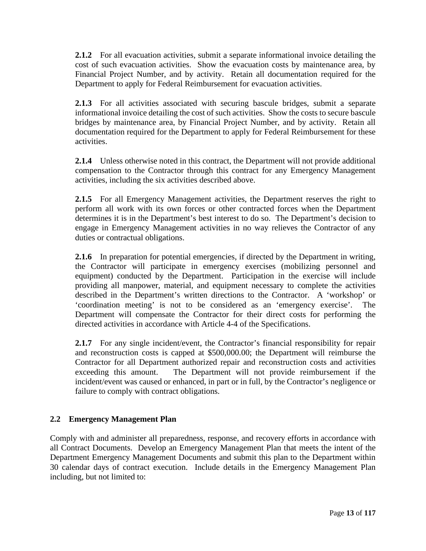**2.1.2** For all evacuation activities, submit a separate informational invoice detailing the cost of such evacuation activities. Show the evacuation costs by maintenance area, by Financial Project Number, and by activity. Retain all documentation required for the Department to apply for Federal Reimbursement for evacuation activities.

**2.1.3** For all activities associated with securing bascule bridges, submit a separate informational invoice detailing the cost of such activities. Show the costs to secure bascule bridges by maintenance area, by Financial Project Number, and by activity. Retain all documentation required for the Department to apply for Federal Reimbursement for these activities.

**2.1.4** Unless otherwise noted in this contract, the Department will not provide additional compensation to the Contractor through this contract for any Emergency Management activities, including the six activities described above.

**2.1.5** For all Emergency Management activities, the Department reserves the right to perform all work with its own forces or other contracted forces when the Department determines it is in the Department's best interest to do so. The Department's decision to engage in Emergency Management activities in no way relieves the Contractor of any duties or contractual obligations.

**2.1.6** In preparation for potential emergencies, if directed by the Department in writing, the Contractor will participate in emergency exercises (mobilizing personnel and equipment) conducted by the Department. Participation in the exercise will include providing all manpower, material, and equipment necessary to complete the activities described in the Department's written directions to the Contractor. A 'workshop' or 'coordination meeting' is not to be considered as an 'emergency exercise'. The Department will compensate the Contractor for their direct costs for performing the directed activities in accordance with Article 4-4 of the Specifications.

**2.1.7** For any single incident/event, the Contractor's financial responsibility for repair and reconstruction costs is capped at \$500,000.00; the Department will reimburse the Contractor for all Department authorized repair and reconstruction costs and activities exceeding this amount. The Department will not provide reimbursement if the incident/event was caused or enhanced, in part or in full, by the Contractor's negligence or failure to comply with contract obligations.

# **2.2 Emergency Management Plan**

Comply with and administer all preparedness, response, and recovery efforts in accordance with all Contract Documents. Develop an Emergency Management Plan that meets the intent of the Department Emergency Management Documents and submit this plan to the Department within 30 calendar days of contract execution. Include details in the Emergency Management Plan including, but not limited to: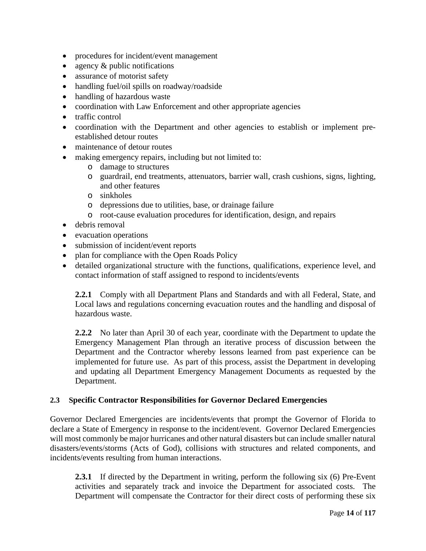- procedures for incident/event management
- agency & public notifications
- assurance of motorist safety
- handling fuel/oil spills on roadway/roadside
- handling of hazardous waste
- coordination with Law Enforcement and other appropriate agencies
- traffic control
- coordination with the Department and other agencies to establish or implement preestablished detour routes
- maintenance of detour routes
- making emergency repairs, including but not limited to:
	- o damage to structures
	- o guardrail, end treatments, attenuators, barrier wall, crash cushions, signs, lighting, and other features
	- o sinkholes
	- o depressions due to utilities, base, or drainage failure
	- o root-cause evaluation procedures for identification, design, and repairs
- debris removal
- evacuation operations
- submission of incident/event reports
- plan for compliance with the Open Roads Policy
- detailed organizational structure with the functions, qualifications, experience level, and contact information of staff assigned to respond to incidents/events

**2.2.1** Comply with all Department Plans and Standards and with all Federal, State, and Local laws and regulations concerning evacuation routes and the handling and disposal of hazardous waste.

**2.2.2** No later than April 30 of each year, coordinate with the Department to update the Emergency Management Plan through an iterative process of discussion between the Department and the Contractor whereby lessons learned from past experience can be implemented for future use. As part of this process, assist the Department in developing and updating all Department Emergency Management Documents as requested by the Department.

#### **2.3 Specific Contractor Responsibilities for Governor Declared Emergencies**

Governor Declared Emergencies are incidents/events that prompt the Governor of Florida to declare a State of Emergency in response to the incident/event. Governor Declared Emergencies will most commonly be major hurricanes and other natural disasters but can include smaller natural disasters/events/storms (Acts of God), collisions with structures and related components, and incidents/events resulting from human interactions.

**2.3.1** If directed by the Department in writing, perform the following six (6) Pre-Event activities and separately track and invoice the Department for associated costs. The Department will compensate the Contractor for their direct costs of performing these six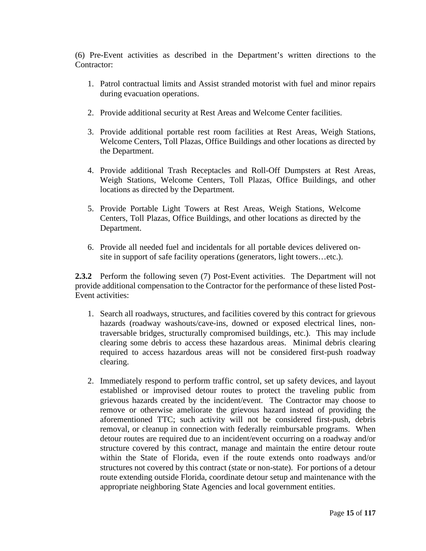(6) Pre-Event activities as described in the Department's written directions to the Contractor:

- 1. Patrol contractual limits and Assist stranded motorist with fuel and minor repairs during evacuation operations.
- 2. Provide additional security at Rest Areas and Welcome Center facilities.
- 3. Provide additional portable rest room facilities at Rest Areas, Weigh Stations, Welcome Centers, Toll Plazas, Office Buildings and other locations as directed by the Department.
- 4. Provide additional Trash Receptacles and Roll-Off Dumpsters at Rest Areas, Weigh Stations, Welcome Centers, Toll Plazas, Office Buildings, and other locations as directed by the Department.
- 5. Provide Portable Light Towers at Rest Areas, Weigh Stations, Welcome Centers, Toll Plazas, Office Buildings, and other locations as directed by the Department.
- 6. Provide all needed fuel and incidentals for all portable devices delivered onsite in support of safe facility operations (generators, light towers…etc.).

**2.3.2** Perform the following seven (7) Post-Event activities. The Department will not provide additional compensation to the Contractor for the performance of these listed Post-Event activities:

- 1. Search all roadways, structures, and facilities covered by this contract for grievous hazards (roadway washouts/cave-ins, downed or exposed electrical lines, nontraversable bridges, structurally compromised buildings, etc.). This may include clearing some debris to access these hazardous areas. Minimal debris clearing required to access hazardous areas will not be considered first-push roadway clearing.
- 2. Immediately respond to perform traffic control, set up safety devices, and layout established or improvised detour routes to protect the traveling public from grievous hazards created by the incident/event. The Contractor may choose to remove or otherwise ameliorate the grievous hazard instead of providing the aforementioned TTC; such activity will not be considered first-push, debris removal, or cleanup in connection with federally reimbursable programs. When detour routes are required due to an incident/event occurring on a roadway and/or structure covered by this contract, manage and maintain the entire detour route within the State of Florida, even if the route extends onto roadways and/or structures not covered by this contract (state or non-state). For portions of a detour route extending outside Florida, coordinate detour setup and maintenance with the appropriate neighboring State Agencies and local government entities.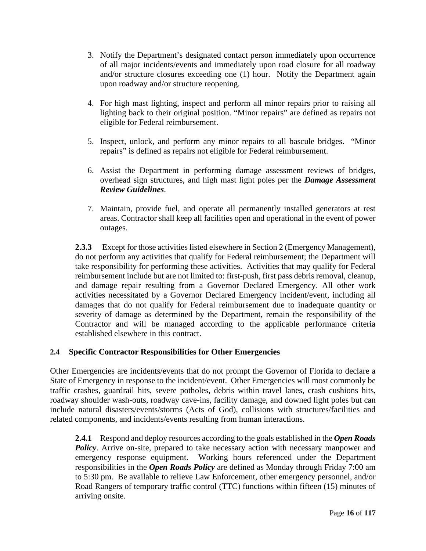- 3. Notify the Department's designated contact person immediately upon occurrence of all major incidents/events and immediately upon road closure for all roadway and/or structure closures exceeding one (1) hour. Notify the Department again upon roadway and/or structure reopening.
- 4. For high mast lighting, inspect and perform all minor repairs prior to raising all lighting back to their original position. "Minor repairs" are defined as repairs not eligible for Federal reimbursement.
- 5. Inspect, unlock, and perform any minor repairs to all bascule bridges. "Minor repairs" is defined as repairs not eligible for Federal reimbursement.
- 6. Assist the Department in performing damage assessment reviews of bridges, overhead sign structures, and high mast light poles per the *Damage Assessment Review Guidelines*.
- 7. Maintain, provide fuel, and operate all permanently installed generators at rest areas. Contractor shall keep all facilities open and operational in the event of power outages.

**2.3.3** Except for those activities listed elsewhere in Section 2 (Emergency Management), do not perform any activities that qualify for Federal reimbursement; the Department will take responsibility for performing these activities. Activities that may qualify for Federal reimbursement include but are not limited to: first-push, first pass debris removal, cleanup, and damage repair resulting from a Governor Declared Emergency. All other work activities necessitated by a Governor Declared Emergency incident/event, including all damages that do not qualify for Federal reimbursement due to inadequate quantity or severity of damage as determined by the Department, remain the responsibility of the Contractor and will be managed according to the applicable performance criteria established elsewhere in this contract.

## **2.4 Specific Contractor Responsibilities for Other Emergencies**

Other Emergencies are incidents/events that do not prompt the Governor of Florida to declare a State of Emergency in response to the incident/event. Other Emergencies will most commonly be traffic crashes, guardrail hits, severe potholes, debris within travel lanes, crash cushions hits, roadway shoulder wash-outs, roadway cave-ins, facility damage, and downed light poles but can include natural disasters/events/storms (Acts of God), collisions with structures/facilities and related components, and incidents/events resulting from human interactions.

**2.4.1** Respond and deploy resources according to the goals established in the *Open Roads Policy*. Arrive on-site, prepared to take necessary action with necessary manpower and emergency response equipment. Working hours referenced under the Department responsibilities in the *Open Roads Policy* are defined as Monday through Friday 7:00 am to 5:30 pm. Be available to relieve Law Enforcement, other emergency personnel, and/or Road Rangers of temporary traffic control (TTC) functions within fifteen (15) minutes of arriving onsite.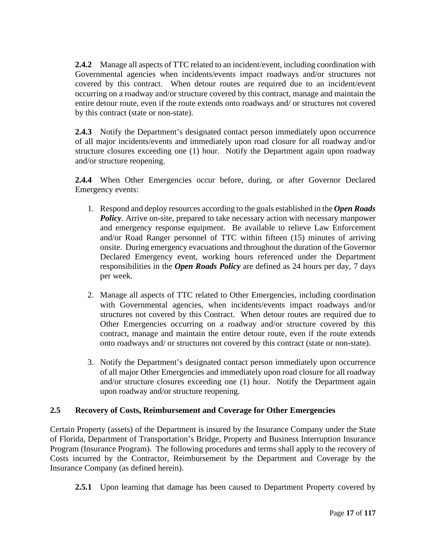**2.4.2** Manage all aspects of TTC related to an incident/event, including coordination with Governmental agencies when incidents/events impact roadways and/or structures not covered by this contract. When detour routes are required due to an incident/event occurring on a roadway and/or structure covered by this contract, manage and maintain the entire detour route, even if the route extends onto roadways and/ or structures not covered by this contract (state or non-state).

**2.4.3** Notify the Department's designated contact person immediately upon occurrence of all major incidents/events and immediately upon road closure for all roadway and/or structure closures exceeding one (1) hour. Notify the Department again upon roadway and/or structure reopening.

**2.4.4** When Other Emergencies occur before, during, or after Governor Declared Emergency events:

- 1. Respond and deploy resources according to the goals established in the *Open Roads Policy*. Arrive on-site, prepared to take necessary action with necessary manpower and emergency response equipment. Be available to relieve Law Enforcement and/or Road Ranger personnel of TTC within fifteen (15) minutes of arriving onsite. During emergency evacuations and throughout the duration of the Governor Declared Emergency event, working hours referenced under the Department responsibilities in the *Open Roads Policy* are defined as 24 hours per day, 7 days per week.
- 2. Manage all aspects of TTC related to Other Emergencies, including coordination with Governmental agencies, when incidents/events impact roadways and/or structures not covered by this Contract. When detour routes are required due to Other Emergencies occurring on a roadway and/or structure covered by this contract, manage and maintain the entire detour route, even if the route extends onto roadways and/ or structures not covered by this contract (state or non-state).
- 3. Notify the Department's designated contact person immediately upon occurrence of all major Other Emergencies and immediately upon road closure for all roadway and/or structure closures exceeding one (1) hour. Notify the Department again upon roadway and/or structure reopening.

## **2.5 Recovery of Costs, Reimbursement and Coverage for Other Emergencies**

Certain Property (assets) of the Department is insured by the Insurance Company under the State of Florida, Department of Transportation's Bridge, Property and Business Interruption Insurance Program (Insurance Program). The following procedures and terms shall apply to the recovery of Costs incurred by the Contractor, Reimbursement by the Department and Coverage by the Insurance Company (as defined herein).

**2.5.1** Upon learning that damage has been caused to Department Property covered by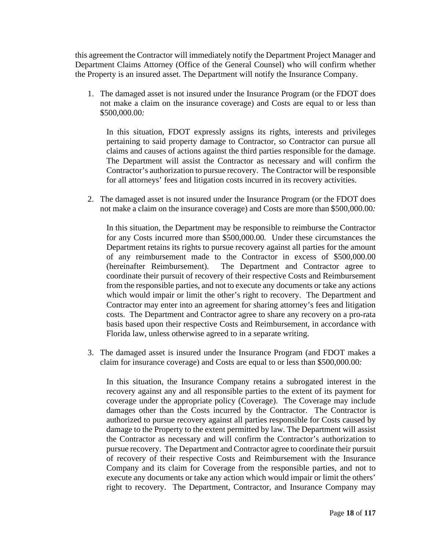this agreement the Contractor will immediately notify the Department Project Manager and Department Claims Attorney (Office of the General Counsel) who will confirm whether the Property is an insured asset. The Department will notify the Insurance Company.

1. The damaged asset is not insured under the Insurance Program (or the FDOT does not make a claim on the insurance coverage) and Costs are equal to or less than \$500,000.00*:*

In this situation, FDOT expressly assigns its rights, interests and privileges pertaining to said property damage to Contractor, so Contractor can pursue all claims and causes of actions against the third parties responsible for the damage. The Department will assist the Contractor as necessary and will confirm the Contractor's authorization to pursue recovery. The Contractor will be responsible for all attorneys' fees and litigation costs incurred in its recovery activities.

2. The damaged asset is not insured under the Insurance Program (or the FDOT does not make a claim on the insurance coverage) and Costs are more than \$500,000.00*:*

In this situation, the Department may be responsible to reimburse the Contractor for any Costs incurred more than \$500,000.00*.* Under these circumstances the Department retains its rights to pursue recovery against all parties for the amount of any reimbursement made to the Contractor in excess of \$500,000.00 (hereinafter Reimbursement). The Department and Contractor agree to coordinate their pursuit of recovery of their respective Costs and Reimbursement from the responsible parties, and not to execute any documents or take any actions which would impair or limit the other's right to recovery. The Department and Contractor may enter into an agreement for sharing attorney's fees and litigation costs. The Department and Contractor agree to share any recovery on a pro-rata basis based upon their respective Costs and Reimbursement, in accordance with Florida law, unless otherwise agreed to in a separate writing.

3. The damaged asset is insured under the Insurance Program (and FDOT makes a claim for insurance coverage) and Costs are equal to or less than \$500,000.00*:*

In this situation, the Insurance Company retains a subrogated interest in the recovery against any and all responsible parties to the extent of its payment for coverage under the appropriate policy (Coverage). The Coverage may include damages other than the Costs incurred by the Contractor. The Contractor is authorized to pursue recovery against all parties responsible for Costs caused by damage to the Property to the extent permitted by law. The Department will assist the Contractor as necessary and will confirm the Contractor's authorization to pursue recovery. The Department and Contractor agree to coordinate their pursuit of recovery of their respective Costs and Reimbursement with the Insurance Company and its claim for Coverage from the responsible parties, and not to execute any documents or take any action which would impair or limit the others' right to recovery. The Department, Contractor, and Insurance Company may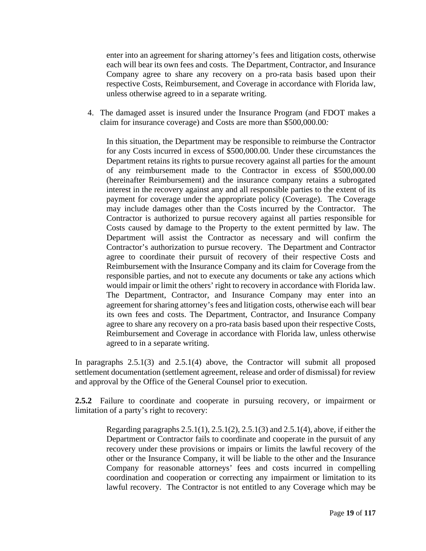enter into an agreement for sharing attorney's fees and litigation costs, otherwise each will bear its own fees and costs. The Department, Contractor, and Insurance Company agree to share any recovery on a pro-rata basis based upon their respective Costs, Reimbursement, and Coverage in accordance with Florida law, unless otherwise agreed to in a separate writing.

4. The damaged asset is insured under the Insurance Program (and FDOT makes a claim for insurance coverage) and Costs are more than \$500,000.00*:*

In this situation, the Department may be responsible to reimburse the Contractor for any Costs incurred in excess of \$500,000.00*.* Under these circumstances the Department retains its rights to pursue recovery against all parties for the amount of any reimbursement made to the Contractor in excess of \$500,000.00 (hereinafter Reimbursement) and the insurance company retains a subrogated interest in the recovery against any and all responsible parties to the extent of its payment for coverage under the appropriate policy (Coverage). The Coverage may include damages other than the Costs incurred by the Contractor. The Contractor is authorized to pursue recovery against all parties responsible for Costs caused by damage to the Property to the extent permitted by law. The Department will assist the Contractor as necessary and will confirm the Contractor's authorization to pursue recovery. The Department and Contractor agree to coordinate their pursuit of recovery of their respective Costs and Reimbursement with the Insurance Company and its claim for Coverage from the responsible parties, and not to execute any documents or take any actions which would impair or limit the others' right to recovery in accordance with Florida law. The Department, Contractor, and Insurance Company may enter into an agreement for sharing attorney's fees and litigation costs, otherwise each will bear its own fees and costs. The Department, Contractor, and Insurance Company agree to share any recovery on a pro-rata basis based upon their respective Costs, Reimbursement and Coverage in accordance with Florida law, unless otherwise agreed to in a separate writing.

In paragraphs 2.5.1(3) and 2.5.1(4) above, the Contractor will submit all proposed settlement documentation (settlement agreement, release and order of dismissal) for review and approval by the Office of the General Counsel prior to execution.

**2.5.2** Failure to coordinate and cooperate in pursuing recovery, or impairment or limitation of a party's right to recovery:

> Regarding paragraphs  $2.5.1(1)$ ,  $2.5.1(2)$ ,  $2.5.1(3)$  and  $2.5.1(4)$ , above, if either the Department or Contractor fails to coordinate and cooperate in the pursuit of any recovery under these provisions or impairs or limits the lawful recovery of the other or the Insurance Company, it will be liable to the other and the Insurance Company for reasonable attorneys' fees and costs incurred in compelling coordination and cooperation or correcting any impairment or limitation to its lawful recovery. The Contractor is not entitled to any Coverage which may be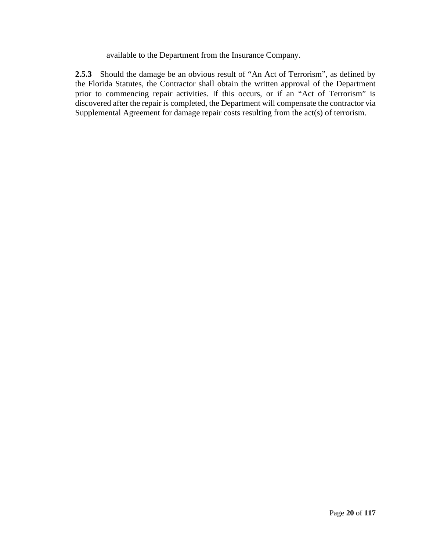available to the Department from the Insurance Company.

**2.5.3** Should the damage be an obvious result of "An Act of Terrorism", as defined by the Florida Statutes, the Contractor shall obtain the written approval of the Department prior to commencing repair activities. If this occurs, or if an "Act of Terrorism" is discovered after the repair is completed, the Department will compensate the contractor via Supplemental Agreement for damage repair costs resulting from the act(s) of terrorism.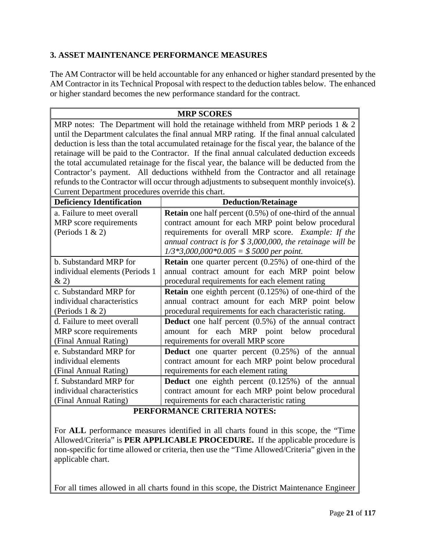# **3. ASSET MAINTENANCE PERFORMANCE MEASURES**

The AM Contractor will be held accountable for any enhanced or higher standard presented by the AM Contractor in its Technical Proposal with respect to the deduction tables below. The enhanced or higher standard becomes the new performance standard for the contract.

| <b>MRP SCORES</b>                                  |                                                                                                |  |
|----------------------------------------------------|------------------------------------------------------------------------------------------------|--|
|                                                    | MRP notes: The Department will hold the retainage withheld from MRP periods $1 \& 2$           |  |
|                                                    | until the Department calculates the final annual MRP rating. If the final annual calculated    |  |
|                                                    | deduction is less than the total accumulated retainage for the fiscal year, the balance of the |  |
|                                                    | retainage will be paid to the Contractor. If the final annual calculated deduction exceeds     |  |
|                                                    | the total accumulated retainage for the fiscal year, the balance will be deducted from the     |  |
|                                                    | Contractor's payment. All deductions withheld from the Contractor and all retainage            |  |
|                                                    | refunds to the Contractor will occur through adjustments to subsequent monthly invoice(s).     |  |
| Current Department procedures override this chart. |                                                                                                |  |
| <b>Deficiency Identification</b>                   | <b>Deduction/Retainage</b>                                                                     |  |
| a. Failure to meet overall                         | <b>Retain</b> one half percent $(0.5\%)$ of one-third of the annual                            |  |
| MRP score requirements                             | contract amount for each MRP point below procedural                                            |  |
| (Periods $1 & 2$ )                                 | requirements for overall MRP score. Example: If the                                            |  |
|                                                    | annual contract is for $$3,000,000$ , the retainage will be                                    |  |
|                                                    | $1/3*3,000,000*0.005 = $5000$ per point.                                                       |  |
| b. Substandard MRP for                             | <b>Retain</b> one quarter percent $(0.25\%)$ of one-third of the                               |  |
| individual elements (Periods 1                     | annual contract amount for each MRP point below                                                |  |
| &2)                                                | procedural requirements for each element rating                                                |  |
| c. Substandard MRP for                             | <b>Retain</b> one eighth percent $(0.125\%)$ of one-third of the                               |  |
| individual characteristics                         | annual contract amount for each MRP point below                                                |  |
| (Periods $1 & 2$ )                                 | procedural requirements for each characteristic rating.                                        |  |
| d. Failure to meet overall                         | <b>Deduct</b> one half percent $(0.5\%)$ of the annual contract                                |  |
| MRP score requirements                             | for each MRP point below<br>procedural<br>amount                                               |  |
| (Final Annual Rating)                              | requirements for overall MRP score                                                             |  |
| e. Substandard MRP for                             | <b>Deduct</b> one quarter percent $(0.25%)$ of the annual                                      |  |
| individual elements                                | contract amount for each MRP point below procedural                                            |  |
| (Final Annual Rating)                              | requirements for each element rating                                                           |  |
| f. Substandard MRP for                             | <b>Deduct</b> one eighth percent (0.125%) of the annual                                        |  |
| individual characteristics                         | contract amount for each MRP point below procedural                                            |  |
| (Final Annual Rating)                              | requirements for each characteristic rating                                                    |  |

**PERFORMANCE CRITERIA NOTES:** 

For **ALL** performance measures identified in all charts found in this scope, the "Time Allowed/Criteria" is **PER APPLICABLE PROCEDURE.** If the applicable procedure is non-specific for time allowed or criteria, then use the "Time Allowed/Criteria" given in the applicable chart.

For all times allowed in all charts found in this scope, the District Maintenance Engineer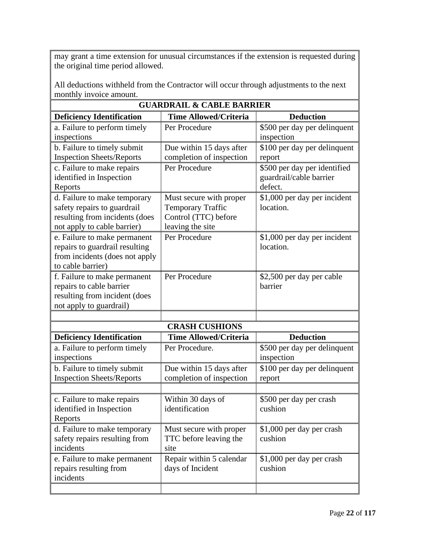may grant a time extension for unusual circumstances if the extension is requested during the original time period allowed.

All deductions withheld from the Contractor will occur through adjustments to the next monthly invoice amount.

| <b>GUARDRAIL &amp; CABLE BARRIER</b>                     |                              |                                      |  |
|----------------------------------------------------------|------------------------------|--------------------------------------|--|
| <b>Deficiency Identification</b>                         | <b>Time Allowed/Criteria</b> | <b>Deduction</b>                     |  |
| a. Failure to perform timely                             | Per Procedure                | \$500 per day per delinquent         |  |
| inspections                                              |                              | inspection                           |  |
| b. Failure to timely submit                              | Due within 15 days after     | \$100 per day per delinquent         |  |
| <b>Inspection Sheets/Reports</b>                         | completion of inspection     | report                               |  |
| c. Failure to make repairs                               | Per Procedure                | \$500 per day per identified         |  |
| identified in Inspection                                 |                              | guardrail/cable barrier              |  |
| Reports                                                  |                              | defect.                              |  |
| d. Failure to make temporary                             | Must secure with proper      | \$1,000 per day per incident         |  |
| safety repairs to guardrail                              | <b>Temporary Traffic</b>     | location.                            |  |
| resulting from incidents (does                           | Control (TTC) before         |                                      |  |
| not apply to cable barrier)                              | leaving the site             |                                      |  |
| e. Failure to make permanent                             | Per Procedure                | \$1,000 per day per incident         |  |
| repairs to guardrail resulting                           |                              | location.                            |  |
| from incidents (does not apply<br>to cable barrier)      |                              |                                      |  |
|                                                          |                              |                                      |  |
| f. Failure to make permanent<br>repairs to cable barrier | Per Procedure                | \$2,500 per day per cable<br>barrier |  |
| resulting from incident (does                            |                              |                                      |  |
| not apply to guardrail)                                  |                              |                                      |  |
|                                                          |                              |                                      |  |
|                                                          | <b>CRASH CUSHIONS</b>        |                                      |  |
| <b>Deficiency Identification</b>                         | <b>Time Allowed/Criteria</b> | <b>Deduction</b>                     |  |
| a. Failure to perform timely                             | Per Procedure.               | \$500 per day per delinquent         |  |
| inspections                                              |                              | inspection                           |  |
| b. Failure to timely submit                              | Due within 15 days after     | \$100 per day per delinquent         |  |
| <b>Inspection Sheets/Reports</b>                         | completion of inspection     | report                               |  |
|                                                          |                              |                                      |  |
| c. Failure to make repairs                               | Within 30 days of            | \$500 per day per crash              |  |
| identified in Inspection                                 | identification               | cushion                              |  |
| Reports                                                  |                              |                                      |  |
| d. Failure to make temporary                             | Must secure with proper      | \$1,000 per day per crash            |  |
| safety repairs resulting from                            | TTC before leaving the       | cushion                              |  |
| incidents                                                | site                         |                                      |  |
| e. Failure to make permanent                             | Repair within 5 calendar     | \$1,000 per day per crash            |  |
| repairs resulting from                                   | days of Incident             | cushion                              |  |
| incidents                                                |                              |                                      |  |
|                                                          |                              |                                      |  |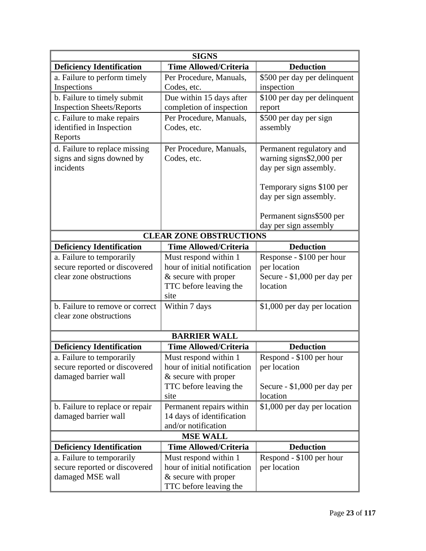| <b>SIGNS</b>                     |                                |                              |  |
|----------------------------------|--------------------------------|------------------------------|--|
| <b>Deficiency Identification</b> | <b>Time Allowed/Criteria</b>   | <b>Deduction</b>             |  |
| a. Failure to perform timely     | Per Procedure, Manuals,        | \$500 per day per delinquent |  |
| Inspections                      | Codes, etc.                    | inspection                   |  |
| b. Failure to timely submit      | Due within 15 days after       | \$100 per day per delinquent |  |
| <b>Inspection Sheets/Reports</b> | completion of inspection       | report                       |  |
| c. Failure to make repairs       | Per Procedure, Manuals,        | \$500 per day per sign       |  |
| identified in Inspection         | Codes, etc.                    | assembly                     |  |
| Reports                          |                                |                              |  |
| d. Failure to replace missing    | Per Procedure, Manuals,        | Permanent regulatory and     |  |
| signs and signs downed by        | Codes, etc.                    | warning signs\$2,000 per     |  |
| incidents                        |                                | day per sign assembly.       |  |
|                                  |                                | Temporary signs \$100 per    |  |
|                                  |                                | day per sign assembly.       |  |
|                                  |                                |                              |  |
|                                  |                                | Permanent signs\$500 per     |  |
|                                  |                                | day per sign assembly        |  |
|                                  | <b>CLEAR ZONE OBSTRUCTIONS</b> |                              |  |
| <b>Deficiency Identification</b> | <b>Time Allowed/Criteria</b>   | <b>Deduction</b>             |  |
| a. Failure to temporarily        | Must respond within 1          | Response - \$100 per hour    |  |
| secure reported or discovered    | hour of initial notification   | per location                 |  |
| clear zone obstructions          | & secure with proper           | Secure - \$1,000 per day per |  |
|                                  | TTC before leaving the         | location                     |  |
|                                  | site                           |                              |  |
| b. Failure to remove or correct  | Within 7 days                  | \$1,000 per day per location |  |
| clear zone obstructions          |                                |                              |  |
|                                  | <b>BARRIER WALL</b>            |                              |  |
| <b>Deficiency Identification</b> | <b>Time Allowed/Criteria</b>   | <b>Deduction</b>             |  |
| a. Failure to temporarily        | Must respond within 1          | Respond - \$100 per hour     |  |
| secure reported or discovered    | hour of initial notification   | per location                 |  |
| damaged barrier wall             | & secure with proper           |                              |  |
|                                  | TTC before leaving the         | Secure - \$1,000 per day per |  |
|                                  | site                           | location                     |  |
| b. Failure to replace or repair  | Permanent repairs within       | \$1,000 per day per location |  |
| damaged barrier wall             | 14 days of identification      |                              |  |
|                                  | and/or notification            |                              |  |
| <b>MSE WALL</b>                  |                                |                              |  |
| <b>Deficiency Identification</b> | <b>Time Allowed/Criteria</b>   | <b>Deduction</b>             |  |
| a. Failure to temporarily        | Must respond within 1          | Respond - \$100 per hour     |  |
| secure reported or discovered    | hour of initial notification   | per location                 |  |
| damaged MSE wall                 | & secure with proper           |                              |  |
|                                  | TTC before leaving the         |                              |  |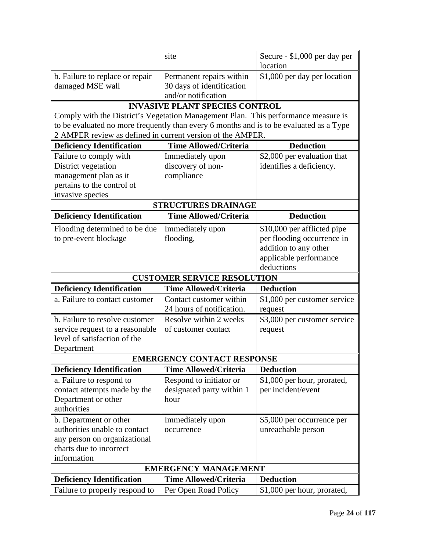|                                                                                         | site                                                 | Secure - \$1,000 per day per                    |
|-----------------------------------------------------------------------------------------|------------------------------------------------------|-------------------------------------------------|
|                                                                                         |                                                      | location                                        |
| b. Failure to replace or repair                                                         | Permanent repairs within                             | \$1,000 per day per location                    |
| damaged MSE wall                                                                        | 30 days of identification                            |                                                 |
|                                                                                         | and/or notification                                  |                                                 |
|                                                                                         | <b>INVASIVE PLANT SPECIES CONTROL</b>                |                                                 |
| Comply with the District's Vegetation Management Plan. This performance measure is      |                                                      |                                                 |
| to be evaluated no more frequently than every 6 months and is to be evaluated as a Type |                                                      |                                                 |
| 2 AMPER review as defined in current version of the AMPER.                              |                                                      |                                                 |
| <b>Deficiency Identification</b>                                                        | <b>Time Allowed/Criteria</b>                         | <b>Deduction</b>                                |
| Failure to comply with                                                                  | Immediately upon                                     | \$2,000 per evaluation that                     |
| District vegetation                                                                     | discovery of non-                                    | identifies a deficiency.                        |
| management plan as it                                                                   | compliance                                           |                                                 |
| pertains to the control of                                                              |                                                      |                                                 |
| invasive species                                                                        |                                                      |                                                 |
|                                                                                         | <b>STRUCTURES DRAINAGE</b>                           |                                                 |
| <b>Deficiency Identification</b>                                                        | <b>Time Allowed/Criteria</b>                         | <b>Deduction</b>                                |
| Flooding determined to be due                                                           | Immediately upon                                     | \$10,000 per afflicted pipe                     |
| to pre-event blockage                                                                   | flooding,                                            | per flooding occurrence in                      |
|                                                                                         |                                                      | addition to any other                           |
|                                                                                         |                                                      | applicable performance                          |
|                                                                                         |                                                      | deductions                                      |
|                                                                                         | <b>CUSTOMER SERVICE RESOLUTION</b>                   |                                                 |
| <b>Deficiency Identification</b>                                                        | <b>Time Allowed/Criteria</b>                         | <b>Deduction</b>                                |
| a. Failure to contact customer                                                          | Contact customer within                              | \$1,000 per customer service                    |
|                                                                                         | 24 hours of notification.                            | request                                         |
| b. Failure to resolve customer                                                          | Resolve within 2 weeks                               | \$3,000 per customer service                    |
| service request to a reasonable                                                         | of customer contact                                  | request                                         |
| level of satisfaction of the                                                            |                                                      |                                                 |
| Department                                                                              |                                                      |                                                 |
|                                                                                         | <b>EMERGENCY CONTACT RESPONSE</b>                    |                                                 |
| <b>Deficiency Identification</b>                                                        | <b>Time Allowed/Criteria</b>                         | <b>Deduction</b>                                |
| a. Failure to respond to                                                                |                                                      |                                                 |
|                                                                                         | Respond to initiator or                              | \$1,000 per hour, prorated,                     |
| contact attempts made by the                                                            | designated party within 1                            | per incident/event                              |
| Department or other                                                                     | hour                                                 |                                                 |
| authorities                                                                             |                                                      |                                                 |
| b. Department or other                                                                  | Immediately upon                                     | \$5,000 per occurrence per                      |
| authorities unable to contact                                                           | occurrence                                           | unreachable person                              |
| any person on organizational                                                            |                                                      |                                                 |
| charts due to incorrect                                                                 |                                                      |                                                 |
| information                                                                             |                                                      |                                                 |
|                                                                                         | <b>EMERGENCY MANAGEMENT</b>                          |                                                 |
| <b>Deficiency Identification</b><br>Failure to properly respond to                      | <b>Time Allowed/Criteria</b><br>Per Open Road Policy | <b>Deduction</b><br>\$1,000 per hour, prorated, |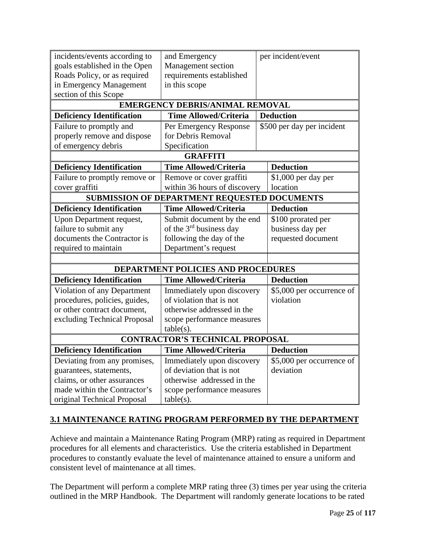| incidents/events according to                | and Emergency                          | per incident/event         |
|----------------------------------------------|----------------------------------------|----------------------------|
| goals established in the Open                | Management section                     |                            |
| Roads Policy, or as required                 | requirements established               |                            |
| in Emergency Management                      | in this scope                          |                            |
| section of this Scope                        |                                        |                            |
|                                              | <b>EMERGENCY DEBRIS/ANIMAL REMOVAL</b> |                            |
| <b>Deficiency Identification</b>             | <b>Time Allowed/Criteria</b>           | <b>Deduction</b>           |
| Failure to promptly and                      | Per Emergency Response                 | \$500 per day per incident |
| properly remove and dispose                  | for Debris Removal                     |                            |
| of emergency debris                          | Specification                          |                            |
|                                              | <b>GRAFFITI</b>                        |                            |
| <b>Deficiency Identification</b>             | <b>Time Allowed/Criteria</b>           | <b>Deduction</b>           |
| Failure to promptly remove or                | Remove or cover graffiti               | $$1,000$ per day per       |
| cover graffiti                               | within 36 hours of discovery           | location                   |
| SUBMISSION OF DEPARTMENT REQUESTED DOCUMENTS |                                        |                            |
| <b>Deficiency Identification</b>             | <b>Time Allowed/Criteria</b>           | <b>Deduction</b>           |
| Upon Department request,                     | Submit document by the end             | \$100 prorated per         |
| failure to submit any                        | of the 3 <sup>rd</sup> business day    | business day per           |
| documents the Contractor is                  | following the day of the               | requested document         |
| required to maintain                         | Department's request                   |                            |
|                                              |                                        |                            |
|                                              | DEPARTMENT POLICIES AND PROCEDURES     |                            |
| <b>Deficiency Identification</b>             | <b>Time Allowed/Criteria</b>           | <b>Deduction</b>           |
| Violation of any Department                  | Immediately upon discovery             | \$5,000 per occurrence of  |
| procedures, policies, guides,                | of violation that is not               | violation                  |
| or other contract document,                  | otherwise addressed in the             |                            |
| excluding Technical Proposal                 | scope performance measures             |                            |
|                                              | $table(s)$ .                           |                            |
|                                              | <b>CONTRACTOR'S TECHNICAL PROPOSAL</b> |                            |
| <b>Deficiency Identification</b>             | <b>Time Allowed/Criteria</b>           | <b>Deduction</b>           |
| Deviating from any promises,                 | Immediately upon discovery             | \$5,000 per occurrence of  |
| guarantees, statements,                      | of deviation that is not               | deviation                  |
| claims, or other assurances                  | otherwise addressed in the             |                            |
| made within the Contractor's                 | scope performance measures             |                            |
| original Technical Proposal                  | $table(s)$ .                           |                            |

# **3.1 MAINTENANCE RATING PROGRAM PERFORMED BY THE DEPARTMENT**

Achieve and maintain a Maintenance Rating Program (MRP) rating as required in Department procedures for all elements and characteristics. Use the criteria established in Department procedures to constantly evaluate the level of maintenance attained to ensure a uniform and consistent level of maintenance at all times.

The Department will perform a complete MRP rating three (3) times per year using the criteria outlined in the MRP Handbook. The Department will randomly generate locations to be rated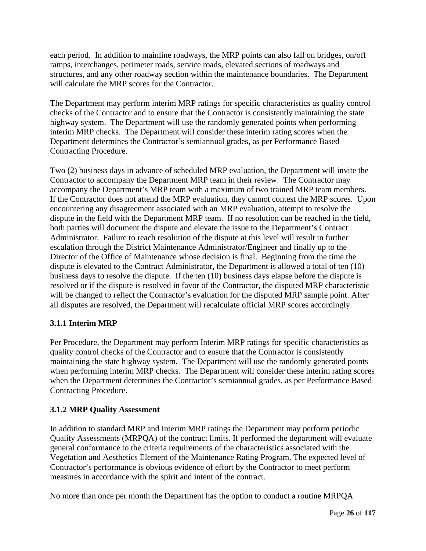each period. In addition to mainline roadways, the MRP points can also fall on bridges, on/off ramps, interchanges, perimeter roads, service roads, elevated sections of roadways and structures, and any other roadway section within the maintenance boundaries. The Department will calculate the MRP scores for the Contractor.

The Department may perform interim MRP ratings for specific characteristics as quality control checks of the Contractor and to ensure that the Contractor is consistently maintaining the state highway system. The Department will use the randomly generated points when performing interim MRP checks. The Department will consider these interim rating scores when the Department determines the Contractor's semiannual grades, as per Performance Based Contracting Procedure.

Two (2) business days in advance of scheduled MRP evaluation, the Department will invite the Contractor to accompany the Department MRP team in their review. The Contractor may accompany the Department's MRP team with a maximum of two trained MRP team members. If the Contractor does not attend the MRP evaluation, they cannot contest the MRP scores. Upon encountering any disagreement associated with an MRP evaluation, attempt to resolve the dispute in the field with the Department MRP team. If no resolution can be reached in the field, both parties will document the dispute and elevate the issue to the Department's Contract Administrator. Failure to reach resolution of the dispute at this level will result in further escalation through the District Maintenance Administrator/Engineer and finally up to the Director of the Office of Maintenance whose decision is final. Beginning from the time the dispute is elevated to the Contract Administrator, the Department is allowed a total of ten (10) business days to resolve the dispute. If the ten (10) business days elapse before the dispute is resolved or if the dispute is resolved in favor of the Contractor, the disputed MRP characteristic will be changed to reflect the Contractor's evaluation for the disputed MRP sample point. After all disputes are resolved, the Department will recalculate official MRP scores accordingly.

# **3.1.1 Interim MRP**

Per Procedure, the Department may perform Interim MRP ratings for specific characteristics as quality control checks of the Contractor and to ensure that the Contractor is consistently maintaining the state highway system. The Department will use the randomly generated points when performing interim MRP checks. The Department will consider these interim rating scores when the Department determines the Contractor's semiannual grades, as per Performance Based Contracting Procedure.

## **3.1.2 MRP Quality Assessment**

In addition to standard MRP and Interim MRP ratings the Department may perform periodic Quality Assessments (MRPQA) of the contract limits. If performed the department will evaluate general conformance to the criteria requirements of the characteristics associated with the Vegetation and Aesthetics Element of the Maintenance Rating Program. The expected level of Contractor's performance is obvious evidence of effort by the Contractor to meet perform measures in accordance with the spirit and intent of the contract.

No more than once per month the Department has the option to conduct a routine MRPQA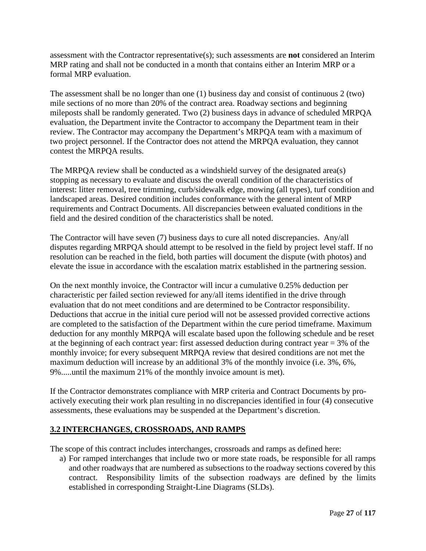assessment with the Contractor representative(s); such assessments are **not** considered an Interim MRP rating and shall not be conducted in a month that contains either an Interim MRP or a formal MRP evaluation.

The assessment shall be no longer than one (1) business day and consist of continuous 2 (two) mile sections of no more than 20% of the contract area. Roadway sections and beginning mileposts shall be randomly generated. Two (2) business days in advance of scheduled MRPQA evaluation, the Department invite the Contractor to accompany the Department team in their review. The Contractor may accompany the Department's MRPQA team with a maximum of two project personnel. If the Contractor does not attend the MRPQA evaluation, they cannot contest the MRPQA results.

The MRPQA review shall be conducted as a windshield survey of the designated area(s) stopping as necessary to evaluate and discuss the overall condition of the characteristics of interest: litter removal, tree trimming, curb/sidewalk edge, mowing (all types), turf condition and landscaped areas. Desired condition includes conformance with the general intent of MRP requirements and Contract Documents. All discrepancies between evaluated conditions in the field and the desired condition of the characteristics shall be noted.

The Contractor will have seven (7) business days to cure all noted discrepancies. Any/all disputes regarding MRPQA should attempt to be resolved in the field by project level staff. If no resolution can be reached in the field, both parties will document the dispute (with photos) and elevate the issue in accordance with the escalation matrix established in the partnering session.

On the next monthly invoice, the Contractor will incur a cumulative 0.25% deduction per characteristic per failed section reviewed for any/all items identified in the drive through evaluation that do not meet conditions and are determined to be Contractor responsibility. Deductions that accrue in the initial cure period will not be assessed provided corrective actions are completed to the satisfaction of the Department within the cure period timeframe. Maximum deduction for any monthly MRPQA will escalate based upon the following schedule and be reset at the beginning of each contract year: first assessed deduction during contract year  $=$  3% of the monthly invoice; for every subsequent MRPQA review that desired conditions are not met the maximum deduction will increase by an additional 3% of the monthly invoice (i.e. 3%, 6%, 9%.....until the maximum 21% of the monthly invoice amount is met).

If the Contractor demonstrates compliance with MRP criteria and Contract Documents by proactively executing their work plan resulting in no discrepancies identified in four (4) consecutive assessments, these evaluations may be suspended at the Department's discretion.

## **3.2 INTERCHANGES, CROSSROADS, AND RAMPS**

The scope of this contract includes interchanges, crossroads and ramps as defined here:

a) For ramped interchanges that include two or more state roads, be responsible for all ramps and other roadways that are numbered as subsections to the roadway sections covered by this contract. Responsibility limits of the subsection roadways are defined by the limits established in corresponding Straight-Line Diagrams (SLDs).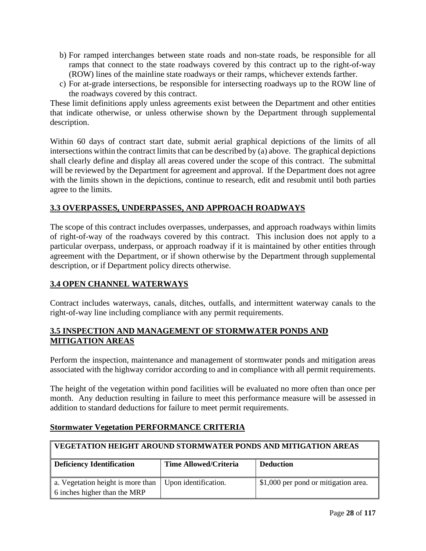- b) For ramped interchanges between state roads and non-state roads, be responsible for all ramps that connect to the state roadways covered by this contract up to the right-of-way (ROW) lines of the mainline state roadways or their ramps, whichever extends farther.
- c) For at-grade intersections, be responsible for intersecting roadways up to the ROW line of the roadways covered by this contract.

These limit definitions apply unless agreements exist between the Department and other entities that indicate otherwise, or unless otherwise shown by the Department through supplemental description.

Within 60 days of contract start date, submit aerial graphical depictions of the limits of all intersections within the contract limits that can be described by (a) above. The graphical depictions shall clearly define and display all areas covered under the scope of this contract. The submittal will be reviewed by the Department for agreement and approval. If the Department does not agree with the limits shown in the depictions, continue to research, edit and resubmit until both parties agree to the limits.

# **3.3 OVERPASSES, UNDERPASSES, AND APPROACH ROADWAYS**

The scope of this contract includes overpasses, underpasses, and approach roadways within limits of right-of-way of the roadways covered by this contract. This inclusion does not apply to a particular overpass, underpass, or approach roadway if it is maintained by other entities through agreement with the Department, or if shown otherwise by the Department through supplemental description, or if Department policy directs otherwise.

# **3.4 OPEN CHANNEL WATERWAYS**

Contract includes waterways, canals, ditches, outfalls, and intermittent waterway canals to the right-of-way line including compliance with any permit requirements.

## **3.5 INSPECTION AND MANAGEMENT OF STORMWATER PONDS AND MITIGATION AREAS**

Perform the inspection, maintenance and management of stormwater ponds and mitigation areas associated with the highway corridor according to and in compliance with all permit requirements.

The height of the vegetation within pond facilities will be evaluated no more often than once per month. Any deduction resulting in failure to meet this performance measure will be assessed in addition to standard deductions for failure to meet permit requirements.

# **Stormwater Vegetation PERFORMANCE CRITERIA**

| VEGETATION HEIGHT AROUND STORMWATER PONDS AND MITIGATION AREAS                           |                              |                                      |
|------------------------------------------------------------------------------------------|------------------------------|--------------------------------------|
| <b>Deficiency Identification</b>                                                         | <b>Time Allowed/Criteria</b> | Deduction                            |
| a. Vegetation height is more than   Upon identification.<br>6 inches higher than the MRP |                              | \$1,000 per pond or mitigation area. |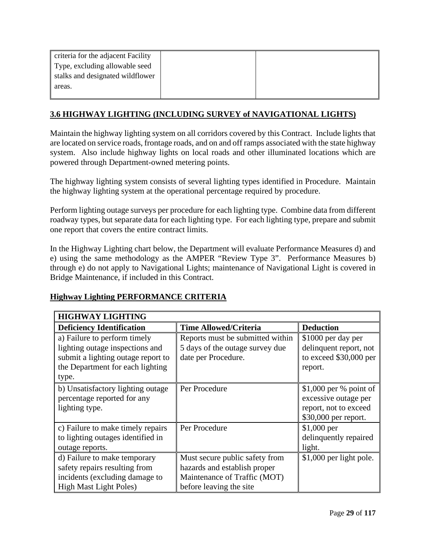| criteria for the adjacent Facility |  |
|------------------------------------|--|
| Type, excluding allowable seed     |  |
| stalks and designated wildflower   |  |
| areas.                             |  |
|                                    |  |

#### **3.6 HIGHWAY LIGHTING (INCLUDING SURVEY of NAVIGATIONAL LIGHTS)**

Maintain the highway lighting system on all corridors covered by this Contract. Include lights that are located on service roads, frontage roads, and on and off ramps associated with the state highway system. Also include highway lights on local roads and other illuminated locations which are powered through Department-owned metering points.

The highway lighting system consists of several lighting types identified in Procedure. Maintain the highway lighting system at the operational percentage required by procedure.

Perform lighting outage surveys per procedure for each lighting type. Combine data from different roadway types, but separate data for each lighting type. For each lighting type, prepare and submit one report that covers the entire contract limits.

In the Highway Lighting chart below, the Department will evaluate Performance Measures d) and e) using the same methodology as the AMPER "Review Type 3". Performance Measures b) through e) do not apply to Navigational Lights; maintenance of Navigational Light is covered in Bridge Maintenance, if included in this Contract.

## **Highway Lighting PERFORMANCE CRITERIA**

| <b>HIGHWAY LIGHTING</b>                                                                                                                            |                                                                                                                           |                                                                                                 |
|----------------------------------------------------------------------------------------------------------------------------------------------------|---------------------------------------------------------------------------------------------------------------------------|-------------------------------------------------------------------------------------------------|
| <b>Deficiency Identification</b>                                                                                                                   | <b>Time Allowed/Criteria</b>                                                                                              | <b>Deduction</b>                                                                                |
| a) Failure to perform timely<br>lighting outage inspections and<br>submit a lighting outage report to<br>the Department for each lighting<br>type. | Reports must be submitted within<br>5 days of the outage survey due<br>date per Procedure.                                | \$1000 per day per<br>delinquent report, not<br>to exceed \$30,000 per<br>report.               |
| b) Unsatisfactory lighting outage<br>percentage reported for any<br>lighting type.                                                                 | Per Procedure                                                                                                             | \$1,000 per % point of<br>excessive outage per<br>report, not to exceed<br>\$30,000 per report. |
| c) Failure to make timely repairs<br>to lighting outages identified in<br>outage reports.                                                          | Per Procedure                                                                                                             | $$1,000$ per<br>delinquently repaired<br>light.                                                 |
| d) Failure to make temporary<br>safety repairs resulting from<br>incidents (excluding damage to<br><b>High Mast Light Poles)</b>                   | Must secure public safety from<br>hazards and establish proper<br>Maintenance of Traffic (MOT)<br>before leaving the site | $$1,000$ per light pole.                                                                        |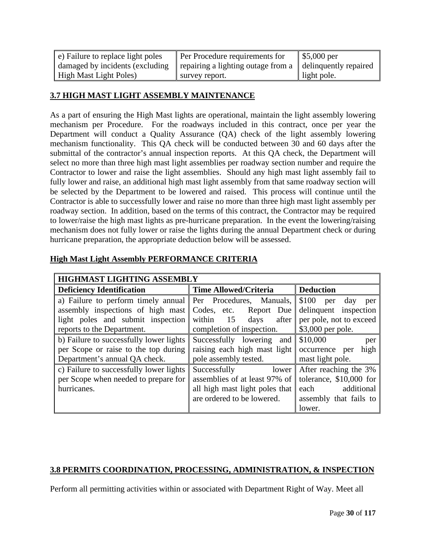| e) Failure to replace light poles | <b>Per Procedure requirements for</b>                                | $\parallel$ \$5,000 per |
|-----------------------------------|----------------------------------------------------------------------|-------------------------|
| damaged by incidents (excluding)  | repairing a lighting outage from a $\parallel$ delinquently repaired |                         |
| High Mast Light Poles)            | survey report.                                                       | light pole.             |

#### **3.7 HIGH MAST LIGHT ASSEMBLY MAINTENANCE**

As a part of ensuring the High Mast lights are operational, maintain the light assembly lowering mechanism per Procedure. For the roadways included in this contract, once per year the Department will conduct a Quality Assurance (QA) check of the light assembly lowering mechanism functionality. This QA check will be conducted between 30 and 60 days after the submittal of the contractor's annual inspection reports. At this QA check, the Department will select no more than three high mast light assemblies per roadway section number and require the Contractor to lower and raise the light assemblies. Should any high mast light assembly fail to fully lower and raise, an additional high mast light assembly from that same roadway section will be selected by the Department to be lowered and raised. This process will continue until the Contractor is able to successfully lower and raise no more than three high mast light assembly per roadway section. In addition, based on the terms of this contract, the Contractor may be required to lower/raise the high mast lights as pre-hurricane preparation. In the event the lowering/raising mechanism does not fully lower or raise the lights during the annual Department check or during hurricane preparation, the appropriate deduction below will be assessed.

| <b>HIGHMAST LIGHTING ASSEMBLY</b>                                                                                                                                                           |                                                                                    |                                                                                                     |  |
|---------------------------------------------------------------------------------------------------------------------------------------------------------------------------------------------|------------------------------------------------------------------------------------|-----------------------------------------------------------------------------------------------------|--|
| <b>Deficiency Identification</b>                                                                                                                                                            | Time Allowed/Criteria                                                              | <b>Deduction</b>                                                                                    |  |
| a) Failure to perform timely annual Per Procedures, Manuals,<br>assembly inspections of high mast Codes, etc. Report Due<br>light poles and submit inspection<br>reports to the Department. | within 15 days<br>after<br>completion of inspection.                               | \$100<br>day<br>per<br>per<br>delinquent inspection<br>per pole, not to exceed<br>\$3,000 per pole. |  |
|                                                                                                                                                                                             |                                                                                    |                                                                                                     |  |
| b) Failure to successfully lower lights $\parallel$<br>per Scope or raise to the top during<br>Department's annual QA check.                                                                | Successfully lowering and<br>raising each high mast light<br>pole assembly tested. | \$10,000<br>per<br>occurrence per<br>high<br>mast light pole.                                       |  |
| c) Failure to successfully lower lights<br>per Scope when needed to prepare for                                                                                                             | Successfully<br>lower<br>assemblies of at least 97% of                             | After reaching the 3%<br>tolerance, \$10,000 for                                                    |  |
| hurricanes.                                                                                                                                                                                 | all high mast light poles that $\parallel$<br>are ordered to be lowered.           | additional<br>each<br>assembly that fails to<br>lower.                                              |  |

#### **High Mast Light Assembly PERFORMANCE CRITERIA**

## **3.8 PERMITS COORDINATION, PROCESSING, ADMINISTRATION, & INSPECTION**

Perform all permitting activities within or associated with Department Right of Way. Meet all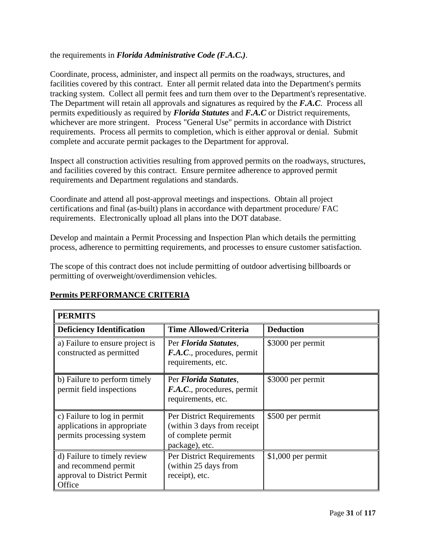the requirements in *Florida Administrative Code (F.A.C.)*.

Coordinate, process, administer, and inspect all permits on the roadways, structures, and facilities covered by this contract. Enter all permit related data into the Department's permits tracking system. Collect all permit fees and turn them over to the Department's representative. The Department will retain all approvals and signatures as required by the *F.A.C*. Process all permits expeditiously as required by *Florida Statutes* and *F.A.C* or District requirements, whichever are more stringent. Process "General Use" permits in accordance with District requirements. Process all permits to completion, which is either approval or denial. Submit complete and accurate permit packages to the Department for approval.

Inspect all construction activities resulting from approved permits on the roadways, structures, and facilities covered by this contract. Ensure permitee adherence to approved permit requirements and Department regulations and standards.

Coordinate and attend all post-approval meetings and inspections. Obtain all project certifications and final (as-built) plans in accordance with department procedure/ FAC requirements. Electronically upload all plans into the DOT database.

Develop and maintain a Permit Processing and Inspection Plan which details the permitting process, adherence to permitting requirements, and processes to ensure customer satisfaction.

The scope of this contract does not include permitting of outdoor advertising billboards or permitting of overweight/overdimension vehicles.

| <b>PERMITS</b>                                                                               |                                                                                                   |                     |
|----------------------------------------------------------------------------------------------|---------------------------------------------------------------------------------------------------|---------------------|
| <b>Deficiency Identification</b>                                                             | <b>Time Allowed/Criteria</b>                                                                      | <b>Deduction</b>    |
| a) Failure to ensure project is<br>constructed as permitted                                  | Per Florida Statutes,<br>$F.A.C.,$ procedures, permit<br>requirements, etc.                       | \$3000 per permit   |
| b) Failure to perform timely<br>permit field inspections                                     | Per Florida Statutes,<br>$F.A.C.,$ procedures, permit<br>requirements, etc.                       | \$3000 per permit   |
| c) Failure to log in permit<br>applications in appropriate<br>permits processing system      | Per District Requirements<br>(within 3 days from receipt)<br>of complete permit<br>package), etc. | \$500 per permit    |
| d) Failure to timely review<br>and recommend permit<br>approval to District Permit<br>Office | Per District Requirements<br>(within 25 days from<br>receipt), etc.                               | $$1,000$ per permit |

# **Permits PERFORMANCE CRITERIA**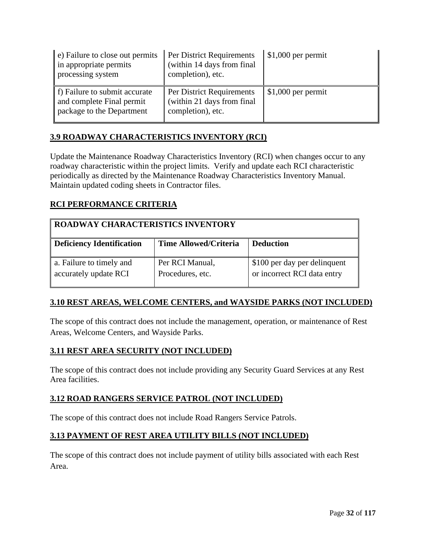| e) Failure to close out permits<br>in appropriate permits<br>processing system          | Per District Requirements<br>(within 14 days from final)<br>completion), etc. | $$1,000$ per permit |
|-----------------------------------------------------------------------------------------|-------------------------------------------------------------------------------|---------------------|
| f) Failure to submit accurate<br>and complete Final permit<br>package to the Department | Per District Requirements<br>(within 21 days from final)<br>completion), etc. | $$1,000$ per permit |

# **3.9 ROADWAY CHARACTERISTICS INVENTORY (RCI)**

Update the Maintenance Roadway Characteristics Inventory (RCI) when changes occur to any roadway characteristic within the project limits. Verify and update each RCI characteristic periodically as directed by the Maintenance Roadway Characteristics Inventory Manual. Maintain updated coding sheets in Contractor files.

## **RCI PERFORMANCE CRITERIA**

| <b>ROADWAY CHARACTERISTICS INVENTORY</b>          |                                     |                                                             |  |  |
|---------------------------------------------------|-------------------------------------|-------------------------------------------------------------|--|--|
| <b>Deficiency Identification</b>                  | <b>Time Allowed/Criteria</b>        | <b>Deduction</b>                                            |  |  |
| a. Failure to timely and<br>accurately update RCI | Per RCI Manual,<br>Procedures, etc. | \$100 per day per delinquent<br>or incorrect RCI data entry |  |  |

## **3.10 REST AREAS, WELCOME CENTERS, and WAYSIDE PARKS (NOT INCLUDED)**

The scope of this contract does not include the management, operation, or maintenance of Rest Areas, Welcome Centers, and Wayside Parks.

## **3.11 REST AREA SECURITY (NOT INCLUDED)**

The scope of this contract does not include providing any Security Guard Services at any Rest Area facilities.

## **3.12 ROAD RANGERS SERVICE PATROL (NOT INCLUDED)**

The scope of this contract does not include Road Rangers Service Patrols.

## **3.13 PAYMENT OF REST AREA UTILITY BILLS (NOT INCLUDED)**

The scope of this contract does not include payment of utility bills associated with each Rest Area.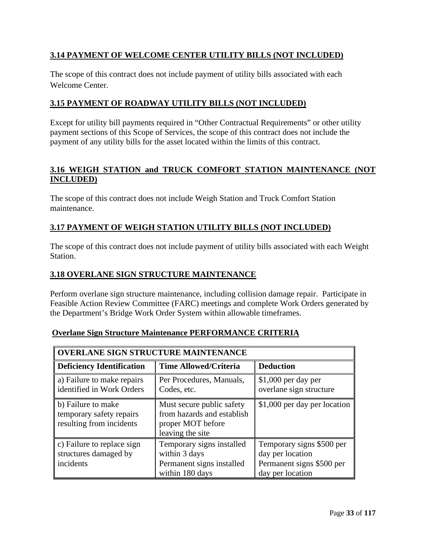# **3.14 PAYMENT OF WELCOME CENTER UTILITY BILLS (NOT INCLUDED)**

The scope of this contract does not include payment of utility bills associated with each Welcome Center.

## **3.15 PAYMENT OF ROADWAY UTILITY BILLS (NOT INCLUDED)**

Except for utility bill payments required in "Other Contractual Requirements" or other utility payment sections of this Scope of Services, the scope of this contract does not include the payment of any utility bills for the asset located within the limits of this contract.

#### **3.16 WEIGH STATION and TRUCK COMFORT STATION MAINTENANCE (NOT INCLUDED)**

The scope of this contract does not include Weigh Station and Truck Comfort Station maintenance.

## **3.17 PAYMENT OF WEIGH STATION UTILITY BILLS (NOT INCLUDED)**

The scope of this contract does not include payment of utility bills associated with each Weight Station.

#### **3.18 OVERLANE SIGN STRUCTURE MAINTENANCE**

Perform overlane sign structure maintenance, including collision damage repair. Participate in Feasible Action Review Committee (FARC) meetings and complete Work Orders generated by the Department's Bridge Work Order System within allowable timeframes.

| OVERLANE SIGN STRUCTURE MAINTENANCE                                        |                                                                                                  |                                                                                                |  |  |
|----------------------------------------------------------------------------|--------------------------------------------------------------------------------------------------|------------------------------------------------------------------------------------------------|--|--|
| Deficiency Identification                                                  | <b>Time Allowed/Criteria</b>                                                                     | <b>Deduction</b>                                                                               |  |  |
| a) Failure to make repairs<br>identified in Work Orders                    | Per Procedures, Manuals,<br>Codes, etc.                                                          | $$1,000$ per day per<br>overlane sign structure                                                |  |  |
| b) Failure to make<br>temporary safety repairs<br>resulting from incidents | Must secure public safety<br>from hazards and establish<br>proper MOT before<br>leaving the site | \$1,000 per day per location                                                                   |  |  |
| c) Failure to replace sign<br>structures damaged by<br>incidents           | Temporary signs installed<br>within 3 days<br>Permanent signs installed<br>within 180 days       | Temporary signs \$500 per<br>day per location<br>Permanent signs \$500 per<br>day per location |  |  |

## **Overlane Sign Structure Maintenance PERFORMANCE CRITERIA**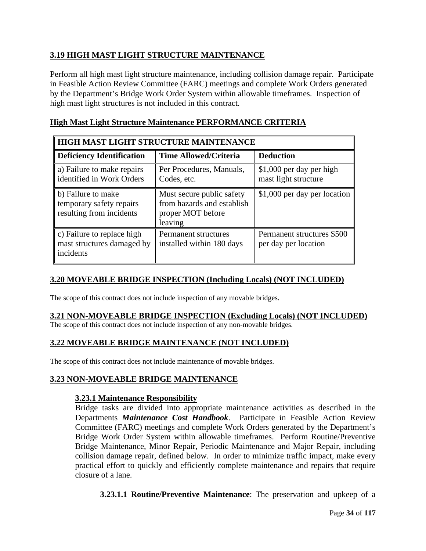# **3.19 HIGH MAST LIGHT STRUCTURE MAINTENANCE**

Perform all high mast light structure maintenance, including collision damage repair. Participate in Feasible Action Review Committee (FARC) meetings and complete Work Orders generated by the Department's Bridge Work Order System within allowable timeframes. Inspection of high mast light structures is not included in this contract.

# **High Mast Light Structure Maintenance PERFORMANCE CRITERIA**

| HIGH MAST LIGHT STRUCTURE MAINTENANCE                                      |                                                                                         |                                                    |  |  |
|----------------------------------------------------------------------------|-----------------------------------------------------------------------------------------|----------------------------------------------------|--|--|
| Deficiency Identification                                                  | <b>Time Allowed/Criteria</b>                                                            | <b>Deduction</b>                                   |  |  |
| a) Failure to make repairs<br>identified in Work Orders                    | Per Procedures, Manuals,<br>Codes, etc.                                                 | \$1,000 per day per high<br>mast light structure   |  |  |
| b) Failure to make<br>temporary safety repairs<br>resulting from incidents | Must secure public safety<br>from hazards and establish<br>proper MOT before<br>leaving | \$1,000 per day per location                       |  |  |
| c) Failure to replace high<br>mast structures damaged by<br>incidents      | Permanent structures<br>installed within 180 days                                       | Permanent structures \$500<br>per day per location |  |  |

## **3.20 MOVEABLE BRIDGE INSPECTION (Including Locals) (NOT INCLUDED)**

The scope of this contract does not include inspection of any movable bridges.

#### **3.21 NON-MOVEABLE BRIDGE INSPECTION (Excluding Locals) (NOT INCLUDED)**

The scope of this contract does not include inspection of any non-movable bridges.

## **3.22 MOVEABLE BRIDGE MAINTENANCE (NOT INCLUDED)**

The scope of this contract does not include maintenance of movable bridges.

#### **3.23 NON-MOVEABLE BRIDGE MAINTENANCE**

#### **3.23.1 Maintenance Responsibility**

Bridge tasks are divided into appropriate maintenance activities as described in the Departments *Maintenance Cost Handbook*. Participate in Feasible Action Review Committee (FARC) meetings and complete Work Orders generated by the Department's Bridge Work Order System within allowable timeframes. Perform Routine/Preventive Bridge Maintenance, Minor Repair, Periodic Maintenance and Major Repair, including collision damage repair, defined below. In order to minimize traffic impact, make every practical effort to quickly and efficiently complete maintenance and repairs that require closure of a lane.

**3.23.1.1 Routine/Preventive Maintenance**: The preservation and upkeep of a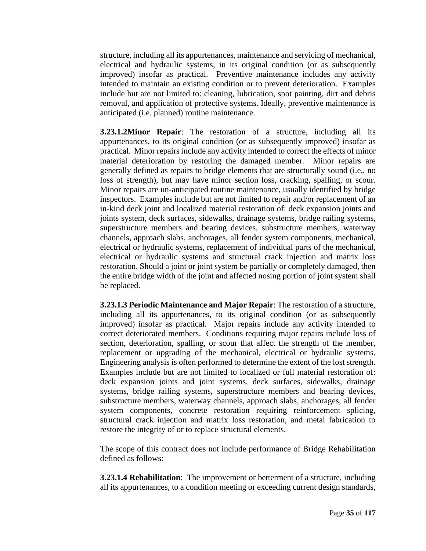structure, including all its appurtenances, maintenance and servicing of mechanical, electrical and hydraulic systems, in its original condition (or as subsequently improved) insofar as practical. Preventive maintenance includes any activity intended to maintain an existing condition or to prevent deterioration. Examples include but are not limited to: cleaning, lubrication, spot painting, dirt and debris removal, and application of protective systems. Ideally, preventive maintenance is anticipated (i.e. planned) routine maintenance.

**3.23.1.2Minor Repair**: The restoration of a structure, including all its appurtenances, to its original condition (or as subsequently improved) insofar as practical. Minor repairs include any activity intended to correct the effects of minor material deterioration by restoring the damaged member. Minor repairs are generally defined as repairs to bridge elements that are structurally sound (i.e., no loss of strength), but may have minor section loss, cracking, spalling, or scour. Minor repairs are un-anticipated routine maintenance, usually identified by bridge inspectors. Examples include but are not limited to repair and/or replacement of an in-kind deck joint and localized material restoration of: deck expansion joints and joints system, deck surfaces, sidewalks, drainage systems, bridge railing systems, superstructure members and bearing devices, substructure members, waterway channels, approach slabs, anchorages, all fender system components, mechanical, electrical or hydraulic systems, replacement of individual parts of the mechanical, electrical or hydraulic systems and structural crack injection and matrix loss restoration. Should a joint or joint system be partially or completely damaged, then the entire bridge width of the joint and affected nosing portion of joint system shall be replaced.

**3.23.1.3 Periodic Maintenance and Major Repair**: The restoration of a structure, including all its appurtenances, to its original condition (or as subsequently improved) insofar as practical. Major repairs include any activity intended to correct deteriorated members. Conditions requiring major repairs include loss of section, deterioration, spalling, or scour that affect the strength of the member, replacement or upgrading of the mechanical, electrical or hydraulic systems. Engineering analysis is often performed to determine the extent of the lost strength. Examples include but are not limited to localized or full material restoration of: deck expansion joints and joint systems, deck surfaces, sidewalks, drainage systems, bridge railing systems, superstructure members and bearing devices, substructure members, waterway channels, approach slabs, anchorages, all fender system components, concrete restoration requiring reinforcement splicing, structural crack injection and matrix loss restoration, and metal fabrication to restore the integrity of or to replace structural elements.

The scope of this contract does not include performance of Bridge Rehabilitation defined as follows:

**3.23.1.4 Rehabilitation**: The improvement or betterment of a structure, including all its appurtenances, to a condition meeting or exceeding current design standards,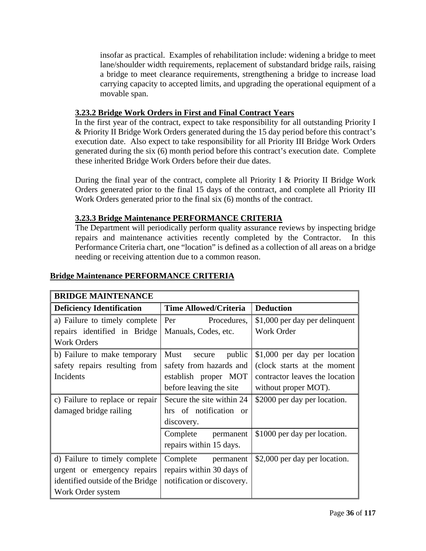insofar as practical. Examples of rehabilitation include: widening a bridge to meet lane/shoulder width requirements, replacement of substandard bridge rails, raising a bridge to meet clearance requirements, strengthening a bridge to increase load carrying capacity to accepted limits, and upgrading the operational equipment of a movable span.

## **3.23.2 Bridge Work Orders in First and Final Contract Years**

In the first year of the contract, expect to take responsibility for all outstanding Priority I & Priority II Bridge Work Orders generated during the 15 day period before this contract's execution date. Also expect to take responsibility for all Priority III Bridge Work Orders generated during the six (6) month period before this contract's execution date. Complete these inherited Bridge Work Orders before their due dates.

During the final year of the contract, complete all Priority I & Priority II Bridge Work Orders generated prior to the final 15 days of the contract, and complete all Priority III Work Orders generated prior to the final six (6) months of the contract.

# **3.23.3 Bridge Maintenance PERFORMANCE CRITERIA**

The Department will periodically perform quality assurance reviews by inspecting bridge repairs and maintenance activities recently completed by the Contractor. In this Performance Criteria chart, one "location" is defined as a collection of all areas on a bridge needing or receiving attention due to a common reason.

| <b>BRIDGE MAINTENANCE</b>        |                              |                                |
|----------------------------------|------------------------------|--------------------------------|
| <b>Deficiency Identification</b> | <b>Time Allowed/Criteria</b> | <b>Deduction</b>               |
| a) Failure to timely complete    | Per<br>Procedures,           | \$1,000 per day per delinquent |
| repairs identified in Bridge     | Manuals, Codes, etc.         | Work Order                     |
| <b>Work Orders</b>               |                              |                                |
| b) Failure to make temporary     | Must<br>public<br>secure     | \$1,000 per day per location   |
| safety repairs resulting from    | safety from hazards and      | (clock starts at the moment    |
| Incidents                        | establish proper MOT         | contractor leaves the location |
|                                  | before leaving the site      | without proper MOT).           |
| c) Failure to replace or repair  | Secure the site within 24    | \$2000 per day per location.   |
| damaged bridge railing           | hrs of notification or       |                                |
|                                  | discovery.                   |                                |
|                                  | Complete<br>permanent        | \$1000 per day per location.   |
|                                  | repairs within 15 days.      |                                |
| d) Failure to timely complete    | Complete permanent           | \$2,000 per day per location.  |
| urgent or emergency repairs      | repairs within 30 days of    |                                |
| identified outside of the Bridge | notification or discovery.   |                                |
| Work Order system                |                              |                                |

# **Bridge Maintenance PERFORMANCE CRITERIA**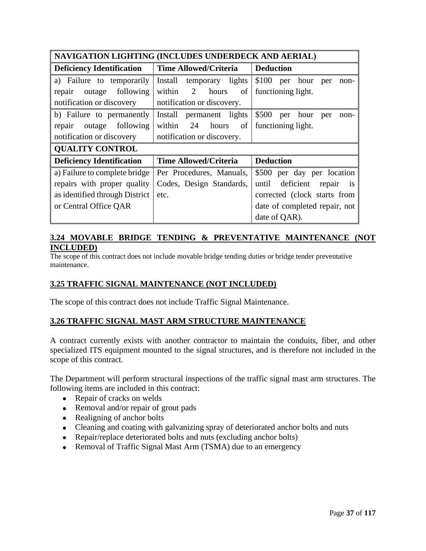| NAVIGATION LIGHTING (INCLUDES UNDERDECK AND AERIAL) |                              |                                                |  |
|-----------------------------------------------------|------------------------------|------------------------------------------------|--|
| <b>Deficiency Identification</b>                    | <b>Time Allowed/Criteria</b> | <b>Deduction</b>                               |  |
| a) Failure to temporarily                           | Install temporary lights     | $$100$ per hour<br>per<br>non-                 |  |
| outage following<br>repair                          | within 2<br>hours<br>οf      | functioning light.                             |  |
| notification or discovery                           | notification or discovery.   |                                                |  |
| b) Failure to permanently                           | permanent lights<br>Install  | \$500<br>per<br>hour<br>per<br>non-            |  |
| following<br>outage<br>repair                       | 24<br>within<br>hours<br>of  | functioning light.                             |  |
| notification or discovery                           | notification or discovery.   |                                                |  |
| <b>QUALITY CONTROL</b>                              |                              |                                                |  |
| <b>Deficiency Identification</b>                    | <b>Time Allowed/Criteria</b> | <b>Deduction</b>                               |  |
| a) Failure to complete bridge                       | Per Procedures, Manuals,     | \$500 per day per location                     |  |
| repairs with proper quality                         | Codes, Design Standards,     | deficient<br>until<br>repair<br><sup>1</sup> S |  |
| as identified through District                      | etc.                         | corrected (clock starts from                   |  |
| or Central Office QAR                               |                              | date of completed repair, not                  |  |
|                                                     |                              | date of QAR).                                  |  |

## **3.24 MOVABLE BRIDGE TENDING & PREVENTATIVE MAINTENANCE (NOT INCLUDED)**

The scope of this contract does not include movable bridge tending duties or bridge tender preventative maintenance.

## **3.25 TRAFFIC SIGNAL MAINTENANCE (NOT INCLUDED)**

The scope of this contract does not include Traffic Signal Maintenance.

## **3.26 TRAFFIC SIGNAL MAST ARM STRUCTURE MAINTENANCE**

A contract currently exists with another contractor to maintain the conduits, fiber, and other specialized ITS equipment mounted to the signal structures, and is therefore not included in the scope of this contract.

The Department will perform structural inspections of the traffic signal mast arm structures. The following items are included in this contract:

- Repair of cracks on welds
- Removal and/or repair of grout pads
- Realigning of anchor bolts
- Cleaning and coating with galvanizing spray of deteriorated anchor bolts and nuts
- Repair/replace deteriorated bolts and nuts (excluding anchor bolts)
- Removal of Traffic Signal Mast Arm (TSMA) due to an emergency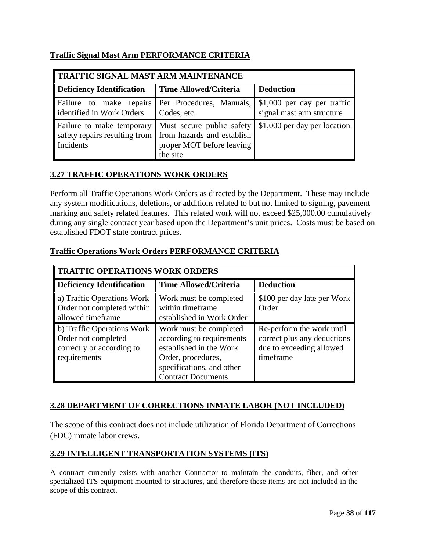## **Traffic Signal Mast Arm PERFORMANCE CRITERIA**

| TRAFFIC SIGNAL MAST ARM MAINTENANCE                                     |                                                                                                  |                                                           |  |
|-------------------------------------------------------------------------|--------------------------------------------------------------------------------------------------|-----------------------------------------------------------|--|
| Deficiency Identification                                               | <b>Time Allowed/Criteria</b>                                                                     | <b>Deduction</b>                                          |  |
| Failure to make repairs<br>identified in Work Orders                    | Per Procedures, Manuals,<br>Codes, etc.                                                          | $$1,000$ per day per traffic<br>signal mast arm structure |  |
| Failure to make temporary<br>safety repairs resulting from<br>Incidents | Must secure public safety<br>from hazards and establish<br>proper MOT before leaving<br>the site | \$1,000 per day per location                              |  |

## **3.27 TRAFFIC OPERATIONS WORK ORDERS**

Perform all Traffic Operations Work Orders as directed by the Department. These may include any system modifications, deletions, or additions related to but not limited to signing, pavement marking and safety related features. This related work will not exceed \$25,000.00 cumulatively during any single contract year based upon the Department's unit prices. Costs must be based on established FDOT state contract prices.

| <b>TRAFFIC OPERATIONS WORK ORDERS</b>                                                          |                                                                                                                                                                |                                                                                                   |  |
|------------------------------------------------------------------------------------------------|----------------------------------------------------------------------------------------------------------------------------------------------------------------|---------------------------------------------------------------------------------------------------|--|
| <b>Deficiency Identification</b>                                                               | <b>Time Allowed/Criteria</b>                                                                                                                                   | <b>Deduction</b>                                                                                  |  |
| a) Traffic Operations Work<br>Order not completed within<br>allowed timeframe                  | Work must be completed<br>within timeframe<br>established in Work Order                                                                                        | \$100 per day late per Work<br>Order                                                              |  |
| b) Traffic Operations Work<br>Order not completed<br>correctly or according to<br>requirements | Work must be completed<br>according to requirements<br>established in the Work<br>Order, procedures,<br>specifications, and other<br><b>Contract Documents</b> | Re-perform the work until<br>correct plus any deductions<br>due to exceeding allowed<br>timeframe |  |

## **Traffic Operations Work Orders PERFORMANCE CRITERIA**

### **3.28 DEPARTMENT OF CORRECTIONS INMATE LABOR (NOT INCLUDED)**

The scope of this contract does not include utilization of Florida Department of Corrections (FDC) inmate labor crews.

## **3.29 INTELLIGENT TRANSPORTATION SYSTEMS (ITS)**

A contract currently exists with another Contractor to maintain the conduits, fiber, and other specialized ITS equipment mounted to structures, and therefore these items are not included in the scope of this contract.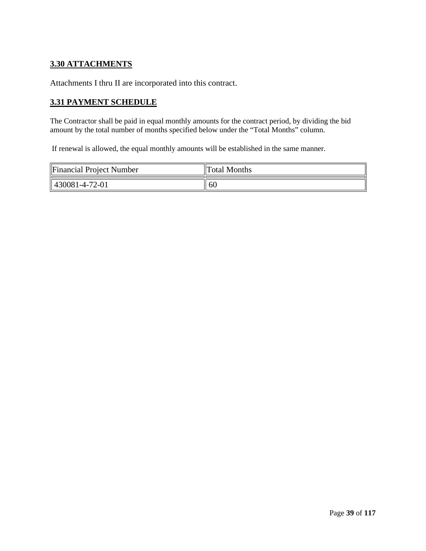## **3.30 ATTACHMENTS**

Attachments I thru II are incorporated into this contract.

## **3.31 PAYMENT SCHEDULE**

The Contractor shall be paid in equal monthly amounts for the contract period, by dividing the bid amount by the total number of months specified below under the "Total Months" column.

If renewal is allowed, the equal monthly amounts will be established in the same manner.

| Financial Project Number   | <b>Total Months</b> |
|----------------------------|---------------------|
| $\parallel$ 430081-4-72-01 | $\vert$ 60          |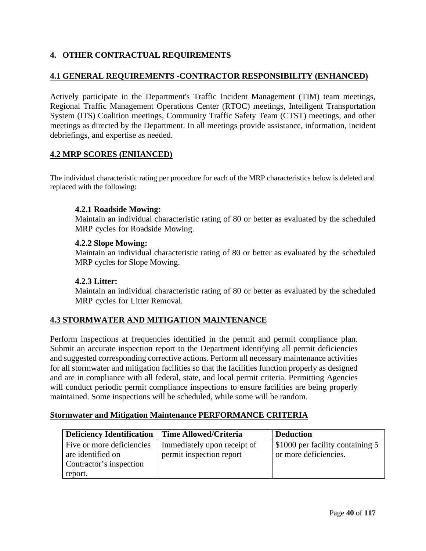## **4. OTHER CONTRACTUAL REQUIREMENTS**

## **4.1 GENERAL REQUIREMENTS -CONTRACTOR RESPONSIBILITY (ENHANCED)**

Actively participate in the Department's Traffic Incident Management (TIM) team meetings, Regional Traffic Management Operations Center (RTOC) meetings, Intelligent Transportation System (ITS) Coalition meetings, Community Traffic Safety Team (CTST) meetings, and other meetings as directed by the Department. In all meetings provide assistance, information, incident debriefings, and expertise as needed.

### **4.2 MRP SCORES (ENHANCED)**

The individual characteristic rating per procedure for each of the MRP characteristics below is deleted and replaced with the following:

### **4.2.1 Roadside Mowing:**

Maintain an individual characteristic rating of 80 or better as evaluated by the scheduled MRP cycles for Roadside Mowing.

#### **4.2.2 Slope Mowing:**

Maintain an individual characteristic rating of 80 or better as evaluated by the scheduled MRP cycles for Slope Mowing.

### **4.2.3 Litter:**

Maintain an individual characteristic rating of 80 or better as evaluated by the scheduled MRP cycles for Litter Removal.

### **4.3 STORMWATER AND MITIGATION MAINTENANCE**

Perform inspections at frequencies identified in the permit and permit compliance plan. Submit an accurate inspection report to the Department identifying all permit deficiencies and suggested corresponding corrective actions. Perform all necessary maintenance activities for all stormwater and mitigation facilities so that the facilities function properly as designed and are in compliance with all federal, state, and local permit criteria. Permitting Agencies will conduct periodic permit compliance inspections to ensure facilities are being properly maintained. Some inspections will be scheduled, while some will be random.

### **Stormwater and Mitigation Maintenance PERFORMANCE CRITERIA**

| <b>Deficiency Identification   Time Allowed/Criteria</b> |                             | <b>Deduction</b>                 |
|----------------------------------------------------------|-----------------------------|----------------------------------|
| Five or more deficiencies                                | Immediately upon receipt of | \$1000 per facility containing 5 |
| are identified on                                        | permit inspection report    | or more deficiencies.            |
| Contractor's inspection                                  |                             |                                  |
| report.                                                  |                             |                                  |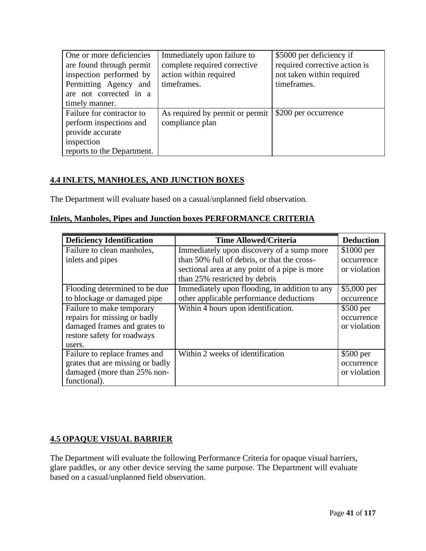| One or more deficiencies<br>are found through permit<br>inspection performed by<br>Permitting Agency and<br>are not corrected in a<br>timely manner. | Immediately upon failure to<br>complete required corrective<br>action within required<br>timeframes. | \$5000 per deficiency if<br>required corrective action is<br>not taken within required<br>timeframes. |
|------------------------------------------------------------------------------------------------------------------------------------------------------|------------------------------------------------------------------------------------------------------|-------------------------------------------------------------------------------------------------------|
| Failure for contractor to<br>perform inspections and<br>provide accurate<br>inspection<br>reports to the Department.                                 | As required by permit or permit<br>compliance plan                                                   | \$200 per occurrence                                                                                  |

## **4.4 INLETS, MANHOLES, AND JUNCTION BOXES**

The Department will evaluate based on a casual/unplanned field observation.

### **Inlets, Manholes, Pipes and Junction boxes PERFORMANCE CRITERIA**

| <b>Deficiency Identification</b> | <b>Time Allowed/Criteria</b>                  | <b>Deduction</b> |
|----------------------------------|-----------------------------------------------|------------------|
| Failure to clean manholes,       | Immediately upon discovery of a sump more     | \$1000 per       |
| inlets and pipes                 | than 50% full of debris, or that the cross-   | occurrence       |
|                                  | sectional area at any point of a pipe is more | or violation     |
|                                  | than 25% restricted by debris                 |                  |
| Flooding determined to be due    | Immediately upon flooding, in addition to any | $$5,000$ per     |
| to blockage or damaged pipe      | other applicable performance deductions       | occurrence       |
| Failure to make temporary        | Within 4 hours upon identification.           | $$500$ per       |
| repairs for missing or badly     |                                               | occurrence       |
| damaged frames and grates to     |                                               | or violation     |
| restore safety for roadways      |                                               |                  |
| users.                           |                                               |                  |
| Failure to replace frames and    | Within 2 weeks of identification              | $$500$ per       |
| grates that are missing or badly |                                               | occurrence       |
| damaged (more than 25% non-      |                                               | or violation     |
| functional).                     |                                               |                  |

## **4.5 OPAQUE VISUAL BARRIER**

The Department will evaluate the following Performance Criteria for opaque visual barriers, glare paddles, or any other device serving the same purpose. The Department will evaluate based on a casual/unplanned field observation.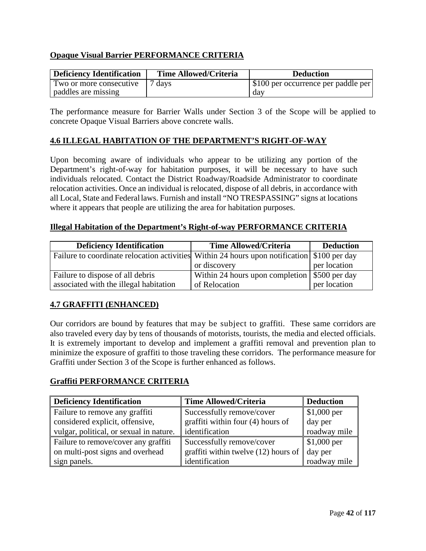## **Opaque Visual Barrier PERFORMANCE CRITERIA**

| <b>Deficiency Identification</b> | <b>Time Allowed/Criteria</b> | <b>Deduction</b>                    |
|----------------------------------|------------------------------|-------------------------------------|
| Two or more consecutive          | days                         | \$100 per occurrence per paddle per |
| paddles are missing              |                              | dav                                 |

The performance measure for Barrier Walls under Section 3 of the Scope will be applied to concrete Opaque Visual Barriers above concrete walls.

## **4.6 ILLEGAL HABITATION OF THE DEPARTMENT'S RIGHT-OF-WAY**

Upon becoming aware of individuals who appear to be utilizing any portion of the Department's right-of-way for habitation purposes, it will be necessary to have such individuals relocated. Contact the District Roadway/Roadside Administrator to coordinate relocation activities. Once an individual is relocated, dispose of all debris, in accordance with all Local, State and Federal laws. Furnish and install "NO TRESPASSING" signs at locations where it appears that people are utilizing the area for habitation purposes.

### **Illegal Habitation of the Department's Right-of-way PERFORMANCE CRITERIA**

| <b>Deficiency Identification</b>                                                            | <b>Time Allowed/Criteria</b>                            | <b>Deduction</b> |
|---------------------------------------------------------------------------------------------|---------------------------------------------------------|------------------|
| Failure to coordinate relocation activities Within 24 hours upon notification \$100 per day |                                                         |                  |
|                                                                                             | or discovery                                            | per location     |
| Failure to dispose of all debris                                                            | Within 24 hours upon completion $\frac{1}{500}$ per day |                  |
| associated with the illegal habitation                                                      | of Relocation                                           | per location     |

## **4.7 GRAFFITI (ENHANCED)**

Our corridors are bound by features that may be subject to graffiti. These same corridors are also traveled every day by tens of thousands of motorists, tourists, the media and elected officials. It is extremely important to develop and implement a graffiti removal and prevention plan to minimize the exposure of graffiti to those traveling these corridors. The performance measure for Graffiti under Section 3 of the Scope is further enhanced as follows.

## **Graffiti PERFORMANCE CRITERIA**

| <b>Deficiency Identification</b>        | <b>Time Allowed/Criteria</b>         | <b>Deduction</b> |
|-----------------------------------------|--------------------------------------|------------------|
| Failure to remove any graffiti          | Successfully remove/cover            | $$1,000$ per     |
| considered explicit, offensive,         | graffiti within four (4) hours of    | day per          |
| vulgar, political, or sexual in nature. | identification                       | roadway mile     |
| Failure to remove/cover any graffiti    | Successfully remove/cover            | $$1,000$ per     |
| on multi-post signs and overhead        | graffiti within twelve (12) hours of | day per          |
| sign panels.                            | identification                       | roadway mile     |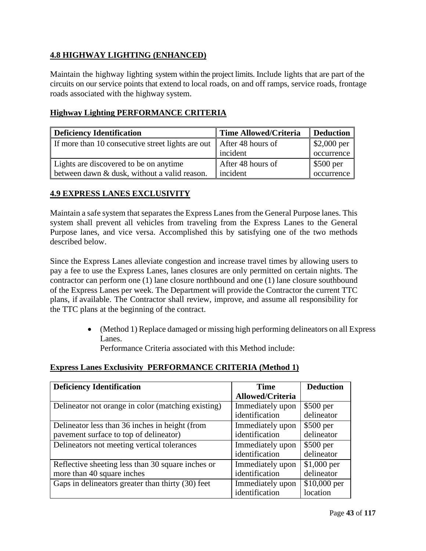## **4.8 HIGHWAY LIGHTING (ENHANCED)**

Maintain the highway lighting system within the project limits. Include lights that are part of the circuits on our service points that extend to local roads, on and off ramps, service roads, frontage roads associated with the highway system.

## **Highway Lighting PERFORMANCE CRITERIA**

| Deficiency Identification                                             | <b>Time Allowed/Criteria</b> | <b>Deduction</b> |
|-----------------------------------------------------------------------|------------------------------|------------------|
| If more than 10 consecutive street lights are out   After 48 hours of |                              | $$2,000$ per     |
|                                                                       | incident                     | occurrence       |
| Lights are discovered to be on anytime                                | After 48 hours of            | $$500$ per       |
| between dawn & dusk, without a valid reason.                          | incident                     | occurrence       |

## **4.9 EXPRESS LANES EXCLUSIVITY**

Maintain a safe system that separates the Express Lanes from the General Purpose lanes. This system shall prevent all vehicles from traveling from the Express Lanes to the General Purpose lanes, and vice versa. Accomplished this by satisfying one of the two methods described below.

Since the Express Lanes alleviate congestion and increase travel times by allowing users to pay a fee to use the Express Lanes, lanes closures are only permitted on certain nights. The contractor can perform one (1) lane closure northbound and one (1) lane closure southbound of the Express Lanes per week. The Department will provide the Contractor the current TTC plans, if available. The Contractor shall review, improve, and assume all responsibility for the TTC plans at the beginning of the contract.

> (Method 1) Replace damaged or missing high performing delineators on all Express Lanes.

Performance Criteria associated with this Method include:

## **Express Lanes Exclusivity PERFORMANCE CRITERIA (Method 1)**

| <b>Deficiency Identification</b>                   | <b>Time</b>      | <b>Deduction</b> |
|----------------------------------------------------|------------------|------------------|
|                                                    | Allowed/Criteria |                  |
| Delineator not orange in color (matching existing) | Immediately upon | $$500$ per       |
|                                                    | identification   | delineator       |
| Delineator less than 36 inches in height (from     | Immediately upon | $$500$ per       |
| pavement surface to top of delineator)             | identification   | delineator       |
| Delineators not meeting vertical tolerances        | Immediately upon | $$500$ per       |
|                                                    | identification   | delineator       |
| Reflective sheeting less than 30 square inches or  | Immediately upon | $$1,000$ per     |
| more than 40 square inches                         | identification   | delineator       |
| Gaps in delineators greater than thirty (30) feet  | Immediately upon | $$10,000$ per    |
|                                                    | identification   | location         |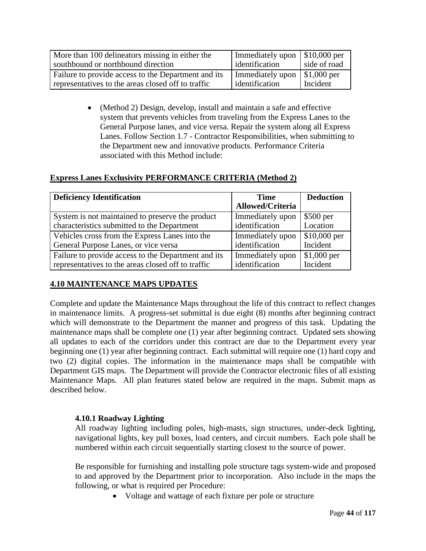| More than 100 delineators missing in either the<br>southbound or northbound direction                     | Immediately upon $\vert$ \$10,000 per<br>identification | side of road |
|-----------------------------------------------------------------------------------------------------------|---------------------------------------------------------|--------------|
| Failure to provide access to the Department and its<br>representatives to the areas closed off to traffic | Immediately upon $\mid$ \$1,000 per<br>identification   | Incident     |

 (Method 2) Design, develop, install and maintain a safe and effective system that prevents vehicles from traveling from the Express Lanes to the General Purpose lanes, and vice versa. Repair the system along all Express Lanes. Follow Section 1.7 - Contractor Responsibilities, when submitting to the Department new and innovative products. Performance Criteria associated with this Method include:

## **Express Lanes Exclusivity PERFORMANCE CRITERIA (Method 2)**

| <b>Deficiency Identification</b>                    | <b>Time</b>      | <b>Deduction</b> |
|-----------------------------------------------------|------------------|------------------|
|                                                     | Allowed/Criteria |                  |
| System is not maintained to preserve the product    | Immediately upon | $$500$ per       |
| characteristics submitted to the Department         | identification   | Location         |
| Vehicles cross from the Express Lanes into the      | Immediately upon | $$10,000$ per    |
| General Purpose Lanes, or vice versa                | identification   | Incident         |
| Failure to provide access to the Department and its | Immediately upon | $$1,000$ per     |
| representatives to the areas closed off to traffic  | identification   | Incident         |

## **4.10 MAINTENANCE MAPS UPDATES**

Complete and update the Maintenance Maps throughout the life of this contract to reflect changes in maintenance limits. A progress-set submittal is due eight (8) months after beginning contract which will demonstrate to the Department the manner and progress of this task. Updating the maintenance maps shall be complete one (1) year after beginning contract. Updated sets showing all updates to each of the corridors under this contract are due to the Department every year beginning one (1) year after beginning contract. Each submittal will require one (1) hard copy and two (2) digital copies. The information in the maintenance maps shall be compatible with Department GIS maps. The Department will provide the Contractor electronic files of all existing Maintenance Maps. All plan features stated below are required in the maps. Submit maps as described below.

## **4.10.1 Roadway Lighting**

All roadway lighting including poles, high-masts, sign structures, under-deck lighting, navigational lights, key pull boxes, load centers, and circuit numbers. Each pole shall be numbered within each circuit sequentially starting closest to the source of power.

Be responsible for furnishing and installing pole structure tags system-wide and proposed to and approved by the Department prior to incorporation. Also include in the maps the following, or what is required per Procedure:

Voltage and wattage of each fixture per pole or structure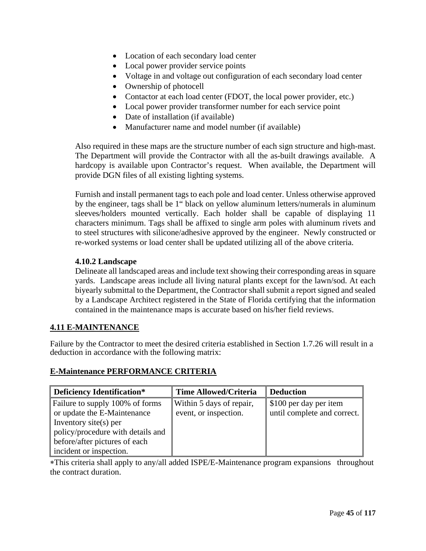- Location of each secondary load center
- Local power provider service points
- Voltage in and voltage out configuration of each secondary load center
- Ownership of photocell
- Contactor at each load center (FDOT, the local power provider, etc.)
- Local power provider transformer number for each service point
- Date of installation (if available)
- Manufacturer name and model number (if available)

Also required in these maps are the structure number of each sign structure and high-mast. The Department will provide the Contractor with all the as-built drawings available. A hardcopy is available upon Contractor's request. When available, the Department will provide DGN files of all existing lighting systems.

Furnish and install permanent tags to each pole and load center. Unless otherwise approved by the engineer, tags shall be 1" black on yellow aluminum letters/numerals in aluminum sleeves/holders mounted vertically. Each holder shall be capable of displaying 11 characters minimum. Tags shall be affixed to single arm poles with aluminum rivets and to steel structures with silicone/adhesive approved by the engineer. Newly constructed or re-worked systems or load center shall be updated utilizing all of the above criteria.

## **4.10.2 Landscape**

Delineate all landscaped areas and include text showing their corresponding areas in square yards. Landscape areas include all living natural plants except for the lawn/sod. At each biyearly submittal to the Department, the Contractor shall submit a report signed and sealed by a Landscape Architect registered in the State of Florida certifying that the information contained in the maintenance maps is accurate based on his/her field reviews.

## **4.11 E-MAINTENANCE**

Failure by the Contractor to meet the desired criteria established in Section 1.7.26 will result in a deduction in accordance with the following matrix:

# **E-Maintenance PERFORMANCE CRITERIA**

| Deficiency Identification*        | <b>Time Allowed/Criteria</b> | <b>Deduction</b>            |
|-----------------------------------|------------------------------|-----------------------------|
| Failure to supply 100% of forms   | Within 5 days of repair,     | \$100 per day per item      |
| or update the E-Maintenance       | event, or inspection.        | until complete and correct. |
| Inventory site(s) per             |                              |                             |
| policy/procedure with details and |                              |                             |
| before/after pictures of each     |                              |                             |
| incident or inspection.           |                              |                             |

This criteria shall apply to any/all added ISPE/E-Maintenance program expansions throughout the contract duration.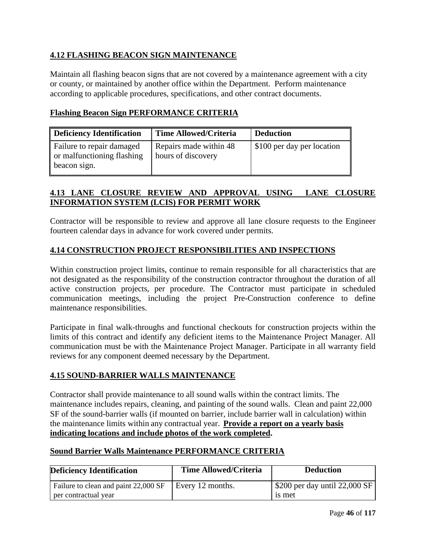## **4.12 FLASHING BEACON SIGN MAINTENANCE**

Maintain all flashing beacon signs that are not covered by a maintenance agreement with a city or county, or maintained by another office within the Department. Perform maintenance according to applicable procedures, specifications, and other contract documents.

## **Flashing Beacon Sign PERFORMANCE CRITERIA**

| <b>Deficiency Identification</b>                                        | <b>Time Allowed/Criteria</b>                 | <b>Deduction</b>           |
|-------------------------------------------------------------------------|----------------------------------------------|----------------------------|
| Failure to repair damaged<br>or malfunctioning flashing<br>beacon sign. | Repairs made within 48<br>hours of discovery | \$100 per day per location |

## **4.13 LANE CLOSURE REVIEW AND APPROVAL USING LANE CLOSURE INFORMATION SYSTEM (LCIS) FOR PERMIT WORK**

Contractor will be responsible to review and approve all lane closure requests to the Engineer fourteen calendar days in advance for work covered under permits.

## **4.14 CONSTRUCTION PROJECT RESPONSIBILITIES AND INSPECTIONS**

Within construction project limits, continue to remain responsible for all characteristics that are not designated as the responsibility of the construction contractor throughout the duration of all active construction projects, per procedure. The Contractor must participate in scheduled communication meetings, including the project Pre-Construction conference to define maintenance responsibilities.

Participate in final walk-throughs and functional checkouts for construction projects within the limits of this contract and identify any deficient items to the Maintenance Project Manager. All communication must be with the Maintenance Project Manager. Participate in all warranty field reviews for any component deemed necessary by the Department.

### **4.15 SOUND-BARRIER WALLS MAINTENANCE**

Contractor shall provide maintenance to all sound walls within the contract limits. The maintenance includes repairs, cleaning, and painting of the sound walls. Clean and paint 22,000 SF of the sound-barrier walls (if mounted on barrier, include barrier wall in calculation) within the maintenance limits within any contractual year. **Provide a report on a yearly basis indicating locations and include photos of the work completed.** 

### **Sound Barrier Walls Maintenance PERFORMANCE CRITERIA**

| <b>Deficiency Identification</b>     | <b>Time Allowed/Criteria</b> | <b>Deduction</b>              |
|--------------------------------------|------------------------------|-------------------------------|
| Failure to clean and paint 22,000 SF | Every 12 months.             | \$200 per day until 22,000 SF |
| per contractual year                 |                              | 1s met                        |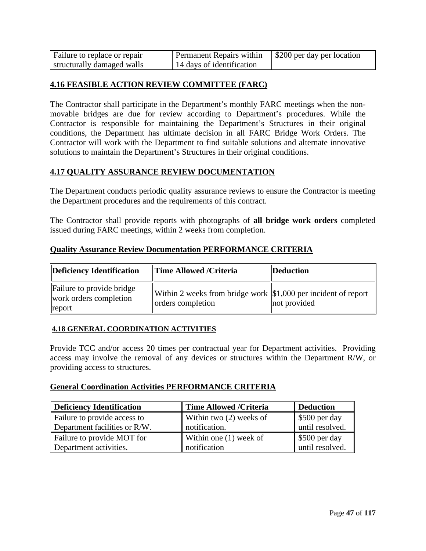| Failure to replace or repair | <b>Permanent Repairs within</b> | \$200 per day per location |
|------------------------------|---------------------------------|----------------------------|
| structurally damaged walls   | 14 days of identification       |                            |

## **4.16 FEASIBLE ACTION REVIEW COMMITTEE (FARC)**

The Contractor shall participate in the Department's monthly FARC meetings when the nonmovable bridges are due for review according to Department's procedures. While the Contractor is responsible for maintaining the Department's Structures in their original conditions, the Department has ultimate decision in all FARC Bridge Work Orders. The Contractor will work with the Department to find suitable solutions and alternate innovative solutions to maintain the Department's Structures in their original conditions.

## **4.17 QUALITY ASSURANCE REVIEW DOCUMENTATION**

The Department conducts periodic quality assurance reviews to ensure the Contractor is meeting the Department procedures and the requirements of this contract.

The Contractor shall provide reports with photographs of **all bridge work orders** completed issued during FARC meetings, within 2 weeks from completion.

## **Quality Assurance Review Documentation PERFORMANCE CRITERIA**

| Deficiency Identification                                     | Time Allowed / Criteria                                                                 | Deduction    |
|---------------------------------------------------------------|-----------------------------------------------------------------------------------------|--------------|
| Failure to provide bridge<br>work orders completion<br>report | Within 2 weeks from bridge work $\ \$1,000$ per incident of report<br>orders completion | not provided |

### **4.18 GENERAL COORDINATION ACTIVITIES**

Provide TCC and/or access 20 times per contractual year for Department activities. Providing access may involve the removal of any devices or structures within the Department R/W, or providing access to structures.

### **General Coordination Activities PERFORMANCE CRITERIA**

| Deficiency Identification     | <b>Time Allowed / Criteria</b> | <b>Deduction</b>            |
|-------------------------------|--------------------------------|-----------------------------|
| Failure to provide access to  | Within two $(2)$ weeks of      | $\frac{1}{2}$ \$500 per day |
| Department facilities or R/W. | notification.                  | until resolved.             |
| Failure to provide MOT for    | Within one $(1)$ week of       | $\frac{1}{2}$ \$500 per day |
| Department activities.        | notification                   | until resolved.             |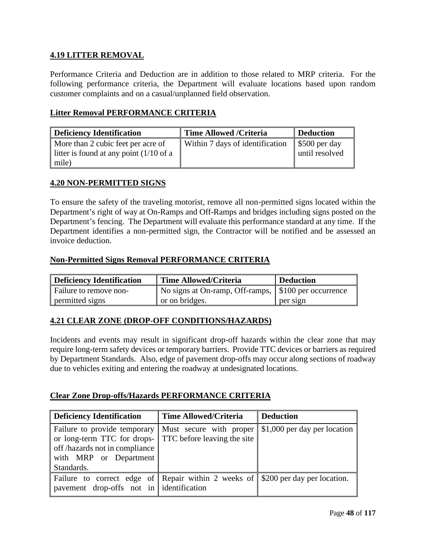## **4.19 LITTER REMOVAL**

Performance Criteria and Deduction are in addition to those related to MRP criteria. For the following performance criteria, the Department will evaluate locations based upon random customer complaints and on a casual/unplanned field observation.

## **Litter Removal PERFORMANCE CRITERIA**

| Deficiency Identification                          | <b>Time Allowed / Criteria</b>  | <b>Deduction</b> |
|----------------------------------------------------|---------------------------------|------------------|
| More than 2 cubic feet per acre of                 | Within 7 days of identification | \$500 per day    |
| litter is found at any point $(1/10 \text{ of a})$ |                                 | until resolved   |
| mile)                                              |                                 |                  |

### **4.20 NON-PERMITTED SIGNS**

To ensure the safety of the traveling motorist, remove all non-permitted signs located within the Department's right of way at On-Ramps and Off-Ramps and bridges including signs posted on the Department's fencing. The Department will evaluate this performance standard at any time. If the Department identifies a non-permitted sign, the Contractor will be notified and be assessed an invoice deduction.

### **Non-Permitted Signs Removal PERFORMANCE CRITERIA**

| Deficiency Identification | <b>Time Allowed/Criteria</b>                           | <b>Deduction</b> |
|---------------------------|--------------------------------------------------------|------------------|
| Failure to remove non-    | No signs at On-ramp, Off-ramps, 1 \$100 per occurrence |                  |
| permitted signs           | or on bridges.                                         | per sign         |

### **4.21 CLEAR ZONE (DROP-OFF CONDITIONS/HAZARDS)**

Incidents and events may result in significant drop-off hazards within the clear zone that may require long-term safety devices or temporary barriers. Provide TTC devices or barriers as required by Department Standards. Also, edge of pavement drop-offs may occur along sections of roadway due to vehicles exiting and entering the roadway at undesignated locations.

### **Clear Zone Drop-offs/Hazards PERFORMANCE CRITERIA**

| <b>Deficiency Identification</b>                                                                                                                                                           | <b>Time Allowed/Criteria</b> | <b>Deduction</b>                         |
|--------------------------------------------------------------------------------------------------------------------------------------------------------------------------------------------|------------------------------|------------------------------------------|
| Failure to provide temporary   Must secure with proper<br>or long-term TTC for drops- TTC before leaving the site<br>off/hazards not in compliance<br>with MRP or Department<br>Standards. |                              | \$1,000 per day per location $\parallel$ |
| Failure to correct edge of Repair within 2 weeks of $\frac{1}{200}$ per day per location.<br>payement drop-offs not in identification                                                      |                              |                                          |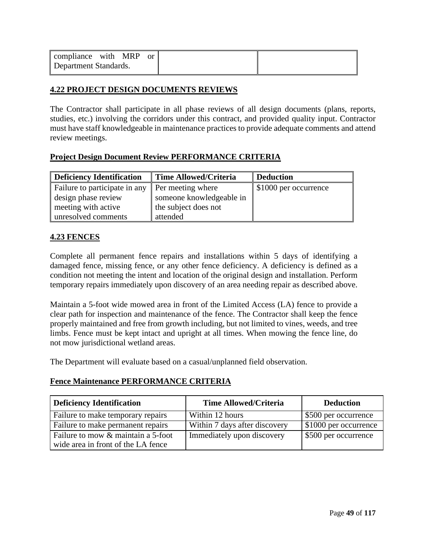| compliance with       | MRP | or |  |  |
|-----------------------|-----|----|--|--|
| Department Standards. |     |    |  |  |

## **4.22 PROJECT DESIGN DOCUMENTS REVIEWS**

The Contractor shall participate in all phase reviews of all design documents (plans, reports, studies, etc.) involving the corridors under this contract, and provided quality input. Contractor must have staff knowledgeable in maintenance practices to provide adequate comments and attend review meetings.

## **Project Design Document Review PERFORMANCE CRITERIA**

| Deficiency Identification                                       | Time Allowed/Criteria    | ∥ Deduction                       |
|-----------------------------------------------------------------|--------------------------|-----------------------------------|
| $\vert$ Failure to participate in any $\vert$ Per meeting where |                          | $\frac{1000}{200}$ per occurrence |
| design phase review                                             | someone knowledgeable in |                                   |
| meeting with active                                             | the subject does not     |                                   |
| unresolved comments                                             | attended                 |                                   |

## **4.23 FENCES**

Complete all permanent fence repairs and installations within 5 days of identifying a damaged fence, missing fence, or any other fence deficiency. A deficiency is defined as a condition not meeting the intent and location of the original design and installation. Perform temporary repairs immediately upon discovery of an area needing repair as described above.

Maintain a 5-foot wide mowed area in front of the Limited Access (LA) fence to provide a clear path for inspection and maintenance of the fence. The Contractor shall keep the fence properly maintained and free from growth including, but not limited to vines, weeds, and tree limbs. Fence must be kept intact and upright at all times. When mowing the fence line, do not mow jurisdictional wetland areas.

The Department will evaluate based on a casual/unplanned field observation.

### **Fence Maintenance PERFORMANCE CRITERIA**

| <b>Deficiency Identification</b>   | <b>Time Allowed/Criteria</b>  | <b>Deduction</b>      |
|------------------------------------|-------------------------------|-----------------------|
| Failure to make temporary repairs  | Within 12 hours               | \$500 per occurrence  |
| Failure to make permanent repairs  | Within 7 days after discovery | \$1000 per occurrence |
| Failure to mow & maintain a 5-foot | Immediately upon discovery    | \$500 per occurrence  |
| wide area in front of the LA fence |                               |                       |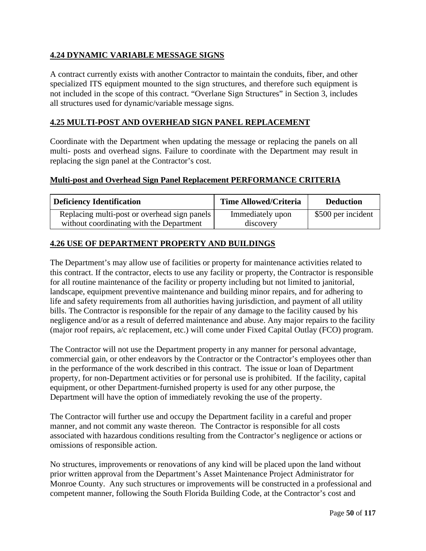## **4.24 DYNAMIC VARIABLE MESSAGE SIGNS**

A contract currently exists with another Contractor to maintain the conduits, fiber, and other specialized ITS equipment mounted to the sign structures, and therefore such equipment is not included in the scope of this contract. "Overlane Sign Structures" in Section 3, includes all structures used for dynamic/variable message signs.

## **4.25 MULTI-POST AND OVERHEAD SIGN PANEL REPLACEMENT**

Coordinate with the Department when updating the message or replacing the panels on all multi- posts and overhead signs. Failure to coordinate with the Department may result in replacing the sign panel at the Contractor's cost.

## **Multi-post and Overhead Sign Panel Replacement PERFORMANCE CRITERIA**

| <b>Deficiency Identification</b>             | <b>Time Allowed/Criteria</b> | <b>Deduction</b>   |
|----------------------------------------------|------------------------------|--------------------|
| Replacing multi-post or overhead sign panels | Immediately upon             | \$500 per incident |
| without coordinating with the Department     | discovery                    |                    |

## **4.26 USE OF DEPARTMENT PROPERTY AND BUILDINGS**

The Department's may allow use of facilities or property for maintenance activities related to this contract. If the contractor, elects to use any facility or property, the Contractor is responsible for all routine maintenance of the facility or property including but not limited to janitorial, landscape, equipment preventive maintenance and building minor repairs, and for adhering to life and safety requirements from all authorities having jurisdiction, and payment of all utility bills. The Contractor is responsible for the repair of any damage to the facility caused by his negligence and/or as a result of deferred maintenance and abuse. Any major repairs to the facility (major roof repairs, a/c replacement, etc.) will come under Fixed Capital Outlay (FCO) program.

The Contractor will not use the Department property in any manner for personal advantage, commercial gain, or other endeavors by the Contractor or the Contractor's employees other than in the performance of the work described in this contract. The issue or loan of Department property, for non-Department activities or for personal use is prohibited. If the facility, capital equipment, or other Department-furnished property is used for any other purpose, the Department will have the option of immediately revoking the use of the property.

The Contractor will further use and occupy the Department facility in a careful and proper manner, and not commit any waste thereon. The Contractor is responsible for all costs associated with hazardous conditions resulting from the Contractor's negligence or actions or omissions of responsible action.

No structures, improvements or renovations of any kind will be placed upon the land without prior written approval from the Department's Asset Maintenance Project Administrator for Monroe County. Any such structures or improvements will be constructed in a professional and competent manner, following the South Florida Building Code, at the Contractor's cost and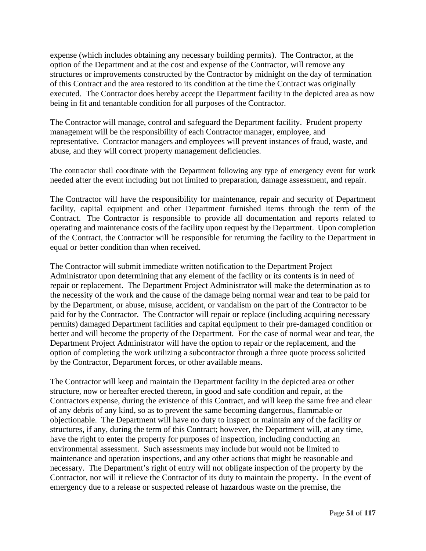expense (which includes obtaining any necessary building permits). The Contractor, at the option of the Department and at the cost and expense of the Contractor, will remove any structures or improvements constructed by the Contractor by midnight on the day of termination of this Contract and the area restored to its condition at the time the Contract was originally executed. The Contractor does hereby accept the Department facility in the depicted area as now being in fit and tenantable condition for all purposes of the Contractor.

The Contractor will manage, control and safeguard the Department facility. Prudent property management will be the responsibility of each Contractor manager, employee, and representative. Contractor managers and employees will prevent instances of fraud, waste, and abuse, and they will correct property management deficiencies.

The contractor shall coordinate with the Department following any type of emergency event for work needed after the event including but not limited to preparation, damage assessment, and repair.

The Contractor will have the responsibility for maintenance, repair and security of Department facility, capital equipment and other Department furnished items through the term of the Contract. The Contractor is responsible to provide all documentation and reports related to operating and maintenance costs of the facility upon request by the Department. Upon completion of the Contract, the Contractor will be responsible for returning the facility to the Department in equal or better condition than when received.

The Contractor will submit immediate written notification to the Department Project Administrator upon determining that any element of the facility or its contents is in need of repair or replacement. The Department Project Administrator will make the determination as to the necessity of the work and the cause of the damage being normal wear and tear to be paid for by the Department, or abuse, misuse, accident, or vandalism on the part of the Contractor to be paid for by the Contractor. The Contractor will repair or replace (including acquiring necessary permits) damaged Department facilities and capital equipment to their pre-damaged condition or better and will become the property of the Department. For the case of normal wear and tear, the Department Project Administrator will have the option to repair or the replacement, and the option of completing the work utilizing a subcontractor through a three quote process solicited by the Contractor, Department forces, or other available means.

The Contractor will keep and maintain the Department facility in the depicted area or other structure, now or hereafter erected thereon, in good and safe condition and repair, at the Contractors expense, during the existence of this Contract, and will keep the same free and clear of any debris of any kind, so as to prevent the same becoming dangerous, flammable or objectionable. The Department will have no duty to inspect or maintain any of the facility or structures, if any, during the term of this Contract; however, the Department will, at any time, have the right to enter the property for purposes of inspection, including conducting an environmental assessment. Such assessments may include but would not be limited to maintenance and operation inspections, and any other actions that might be reasonable and necessary. The Department's right of entry will not obligate inspection of the property by the Contractor, nor will it relieve the Contractor of its duty to maintain the property. In the event of emergency due to a release or suspected release of hazardous waste on the premise, the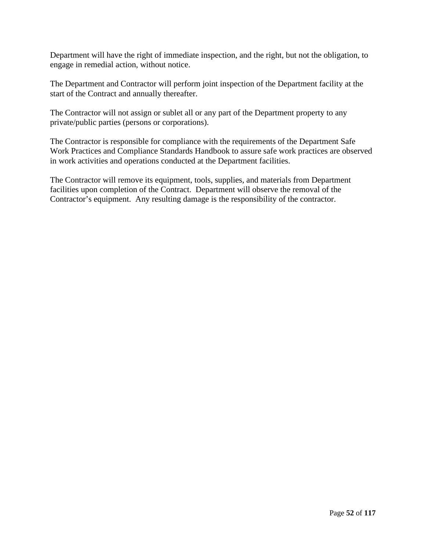Department will have the right of immediate inspection, and the right, but not the obligation, to engage in remedial action, without notice.

The Department and Contractor will perform joint inspection of the Department facility at the start of the Contract and annually thereafter.

The Contractor will not assign or sublet all or any part of the Department property to any private/public parties (persons or corporations).

The Contractor is responsible for compliance with the requirements of the Department Safe Work Practices and Compliance Standards Handbook to assure safe work practices are observed in work activities and operations conducted at the Department facilities.

The Contractor will remove its equipment, tools, supplies, and materials from Department facilities upon completion of the Contract. Department will observe the removal of the Contractor's equipment. Any resulting damage is the responsibility of the contractor.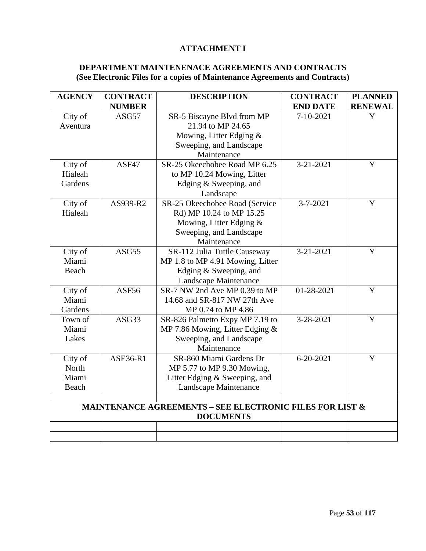## **ATTACHMENT I**

## **DEPARTMENT MAINTENENACE AGREEMENTS AND CONTRACTS (See Electronic Files for a copies of Maintenance Agreements and Contracts)**

| <b>AGENCY</b>                                                                           | <b>CONTRACT</b> | <b>DESCRIPTION</b>               | <b>CONTRACT</b> | <b>PLANNED</b> |
|-----------------------------------------------------------------------------------------|-----------------|----------------------------------|-----------------|----------------|
|                                                                                         | <b>NUMBER</b>   |                                  | <b>END DATE</b> | <b>RENEWAL</b> |
| City of                                                                                 | ASG57           | SR-5 Biscayne Blvd from MP       | 7-10-2021       | Y              |
| Aventura                                                                                |                 | 21.94 to MP 24.65                |                 |                |
|                                                                                         |                 | Mowing, Litter Edging $&$        |                 |                |
|                                                                                         |                 | Sweeping, and Landscape          |                 |                |
|                                                                                         |                 | Maintenance                      |                 |                |
| City of                                                                                 | ASF47           | SR-25 Okeechobee Road MP 6.25    | $3 - 21 - 2021$ | Y              |
| Hialeah                                                                                 |                 | to MP 10.24 Mowing, Litter       |                 |                |
| Gardens                                                                                 |                 | Edging & Sweeping, and           |                 |                |
|                                                                                         |                 | Landscape                        |                 |                |
| City of                                                                                 | AS939-R2        | SR-25 Okeechobee Road (Service   | $3 - 7 - 2021$  | Y              |
| Hialeah                                                                                 |                 | Rd) MP 10.24 to MP 15.25         |                 |                |
|                                                                                         |                 | Mowing, Litter Edging &          |                 |                |
|                                                                                         |                 | Sweeping, and Landscape          |                 |                |
|                                                                                         |                 | Maintenance                      |                 |                |
| City of                                                                                 | ASG55           | SR-112 Julia Tuttle Causeway     | $3 - 21 - 2021$ | $\mathbf Y$    |
| Miami                                                                                   |                 | MP 1.8 to MP 4.91 Mowing, Litter |                 |                |
| Beach                                                                                   |                 | Edging & Sweeping, and           |                 |                |
|                                                                                         |                 | Landscape Maintenance            |                 |                |
| City of                                                                                 | ASF56           | SR-7 NW 2nd Ave MP 0.39 to MP    | 01-28-2021      | Y              |
| Miami                                                                                   |                 | 14.68 and SR-817 NW 27th Ave     |                 |                |
| Gardens                                                                                 |                 | MP 0.74 to MP 4.86               |                 |                |
| Town of                                                                                 | ASG33           | SR-826 Palmetto Expy MP 7.19 to  | 3-28-2021       | Y              |
| Miami                                                                                   |                 | MP 7.86 Mowing, Litter Edging &  |                 |                |
| Lakes                                                                                   |                 | Sweeping, and Landscape          |                 |                |
|                                                                                         |                 | Maintenance                      |                 |                |
| City of                                                                                 | ASE36-R1        | SR-860 Miami Gardens Dr          | $6 - 20 - 2021$ | Y              |
| North                                                                                   |                 | MP 5.77 to MP 9.30 Mowing,       |                 |                |
| Miami                                                                                   |                 | Litter Edging & Sweeping, and    |                 |                |
| Beach                                                                                   |                 | Landscape Maintenance            |                 |                |
|                                                                                         |                 |                                  |                 |                |
| <b>MAINTENANCE AGREEMENTS - SEE ELECTRONIC FILES FOR LIST &amp;</b><br><b>DOCUMENTS</b> |                 |                                  |                 |                |
|                                                                                         |                 |                                  |                 |                |
|                                                                                         |                 |                                  |                 |                |
|                                                                                         |                 |                                  |                 |                |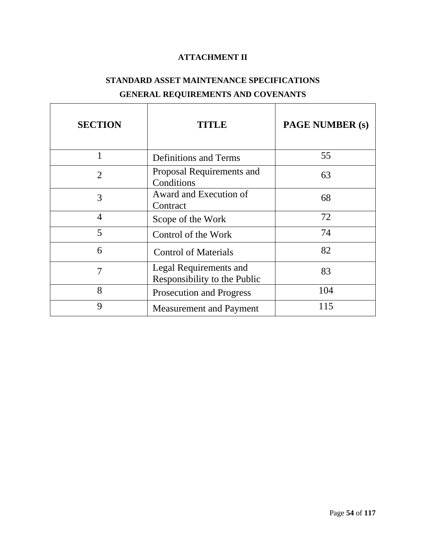# **ATTACHMENT II**

| STANDARD ASSET MAINTENANCE SPECIFICATIONS |  |
|-------------------------------------------|--|
| <b>GENERAL REQUIREMENTS AND COVENANTS</b> |  |

| <b>SECTION</b> | <b>TITLE</b>                                           | <b>PAGE NUMBER (s)</b> |
|----------------|--------------------------------------------------------|------------------------|
| 1              | <b>Definitions and Terms</b>                           | 55                     |
| $\overline{2}$ | Proposal Requirements and<br>Conditions                | 63                     |
| 3              | Award and Execution of<br>Contract                     | 68                     |
| $\overline{4}$ | Scope of the Work                                      | 72                     |
| 5              | Control of the Work                                    | 74                     |
| 6              | <b>Control of Materials</b>                            | 82                     |
| 7              | Legal Requirements and<br>Responsibility to the Public | 83                     |
| 8              | <b>Prosecution and Progress</b>                        | 104                    |
| 9              | <b>Measurement and Payment</b>                         | 115                    |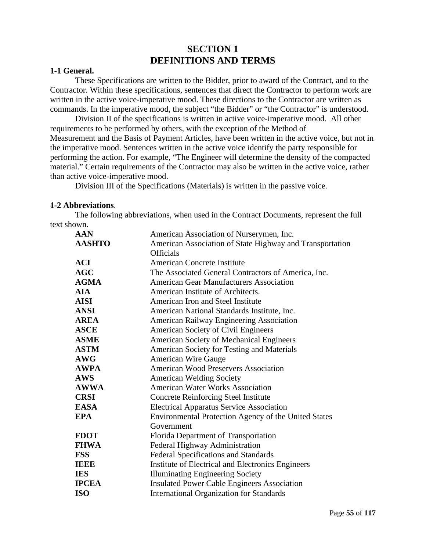# **SECTION 1 DEFINITIONS AND TERMS**

#### **1-1 General.**

These Specifications are written to the Bidder, prior to award of the Contract, and to the Contractor. Within these specifications, sentences that direct the Contractor to perform work are written in the active voice-imperative mood. These directions to the Contractor are written as commands. In the imperative mood, the subject "the Bidder" or "the Contractor" is understood.

Division II of the specifications is written in active voice-imperative mood. All other requirements to be performed by others, with the exception of the Method of Measurement and the Basis of Payment Articles, have been written in the active voice, but not in the imperative mood. Sentences written in the active voice identify the party responsible for performing the action. For example, "The Engineer will determine the density of the compacted material." Certain requirements of the Contractor may also be written in the active voice, rather than active voice-imperative mood.

Division III of the Specifications (Materials) is written in the passive voice.

## **1-2 Abbreviations**.

The following abbreviations, when used in the Contract Documents, represent the full text shown.

| <b>AAN</b>    | American Association of Nurserymen, Inc.                 |
|---------------|----------------------------------------------------------|
| <b>AASHTO</b> | American Association of State Highway and Transportation |
|               | <b>Officials</b>                                         |
| <b>ACI</b>    | <b>American Concrete Institute</b>                       |
| AGC           | The Associated General Contractors of America, Inc.      |
| <b>AGMA</b>   | <b>American Gear Manufacturers Association</b>           |
| <b>AIA</b>    | American Institute of Architects.                        |
| <b>AISI</b>   | American Iron and Steel Institute                        |
| <b>ANSI</b>   | American National Standards Institute, Inc.              |
| <b>AREA</b>   | American Railway Engineering Association                 |
| <b>ASCE</b>   | American Society of Civil Engineers                      |
| <b>ASME</b>   | American Society of Mechanical Engineers                 |
| <b>ASTM</b>   | American Society for Testing and Materials               |
| <b>AWG</b>    | <b>American Wire Gauge</b>                               |
| <b>AWPA</b>   | <b>American Wood Preservers Association</b>              |
| <b>AWS</b>    | <b>American Welding Society</b>                          |
| <b>AWWA</b>   | <b>American Water Works Association</b>                  |
| <b>CRSI</b>   | <b>Concrete Reinforcing Steel Institute</b>              |
| <b>EASA</b>   | <b>Electrical Apparatus Service Association</b>          |
| <b>EPA</b>    | Environmental Protection Agency of the United States     |
|               | Government                                               |
| <b>FDOT</b>   | <b>Florida Department of Transportation</b>              |
| <b>FHWA</b>   | Federal Highway Administration                           |
| <b>FSS</b>    | <b>Federal Specifications and Standards</b>              |
| <b>IEEE</b>   | Institute of Electrical and Electronics Engineers        |
| <b>IES</b>    | <b>Illuminating Engineering Society</b>                  |
| <b>IPCEA</b>  | <b>Insulated Power Cable Engineers Association</b>       |
| <b>ISO</b>    | <b>International Organization for Standards</b>          |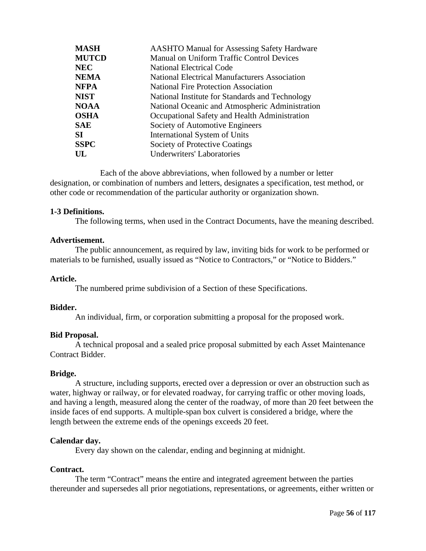| <b>MASH</b>  | <b>AASHTO Manual for Assessing Safety Hardware</b>   |
|--------------|------------------------------------------------------|
| <b>MUTCD</b> | <b>Manual on Uniform Traffic Control Devices</b>     |
| <b>NEC</b>   | <b>National Electrical Code</b>                      |
| <b>NEMA</b>  | <b>National Electrical Manufacturers Association</b> |
| <b>NFPA</b>  | <b>National Fire Protection Association</b>          |
| <b>NIST</b>  | National Institute for Standards and Technology      |
| <b>NOAA</b>  | National Oceanic and Atmospheric Administration      |
| <b>OSHA</b>  | Occupational Safety and Health Administration        |
| <b>SAE</b>   | Society of Automotive Engineers                      |
| SI           | <b>International System of Units</b>                 |
| <b>SSPC</b>  | Society of Protective Coatings                       |
| UL.          | <b>Underwriters' Laboratories</b>                    |

Each of the above abbreviations, when followed by a number or letter designation, or combination of numbers and letters, designates a specification, test method, or other code or recommendation of the particular authority or organization shown.

#### **1-3 Definitions.**

The following terms, when used in the Contract Documents, have the meaning described.

#### **Advertisement.**

The public announcement, as required by law, inviting bids for work to be performed or materials to be furnished, usually issued as "Notice to Contractors," or "Notice to Bidders."

#### **Article.**

The numbered prime subdivision of a Section of these Specifications.

#### **Bidder.**

An individual, firm, or corporation submitting a proposal for the proposed work.

#### **Bid Proposal.**

A technical proposal and a sealed price proposal submitted by each Asset Maintenance Contract Bidder.

#### **Bridge.**

A structure, including supports, erected over a depression or over an obstruction such as water, highway or railway, or for elevated roadway, for carrying traffic or other moving loads, and having a length, measured along the center of the roadway, of more than 20 feet between the inside faces of end supports. A multiple-span box culvert is considered a bridge, where the length between the extreme ends of the openings exceeds 20 feet.

#### **Calendar day.**

Every day shown on the calendar, ending and beginning at midnight.

#### **Contract.**

The term "Contract" means the entire and integrated agreement between the parties thereunder and supersedes all prior negotiations, representations, or agreements, either written or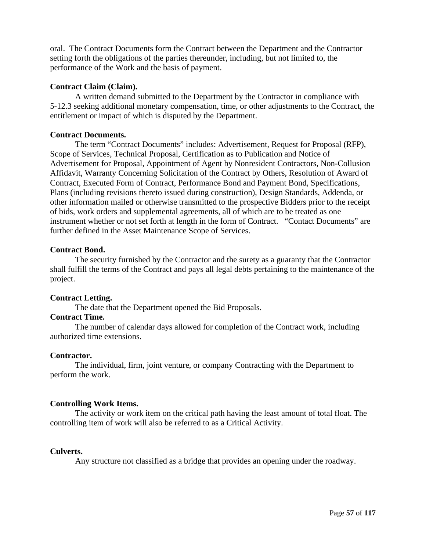oral. The Contract Documents form the Contract between the Department and the Contractor setting forth the obligations of the parties thereunder, including, but not limited to, the performance of the Work and the basis of payment.

#### **Contract Claim (Claim).**

A written demand submitted to the Department by the Contractor in compliance with 5-12.3 seeking additional monetary compensation, time, or other adjustments to the Contract, the entitlement or impact of which is disputed by the Department.

#### **Contract Documents.**

The term "Contract Documents" includes: Advertisement, Request for Proposal (RFP), Scope of Services, Technical Proposal, Certification as to Publication and Notice of Advertisement for Proposal, Appointment of Agent by Nonresident Contractors, Non-Collusion Affidavit, Warranty Concerning Solicitation of the Contract by Others, Resolution of Award of Contract, Executed Form of Contract, Performance Bond and Payment Bond, Specifications, Plans (including revisions thereto issued during construction), Design Standards, Addenda, or other information mailed or otherwise transmitted to the prospective Bidders prior to the receipt of bids, work orders and supplemental agreements, all of which are to be treated as one instrument whether or not set forth at length in the form of Contract. "Contact Documents" are further defined in the Asset Maintenance Scope of Services.

#### **Contract Bond.**

The security furnished by the Contractor and the surety as a guaranty that the Contractor shall fulfill the terms of the Contract and pays all legal debts pertaining to the maintenance of the project.

### **Contract Letting.**

The date that the Department opened the Bid Proposals.

## **Contract Time.**

The number of calendar days allowed for completion of the Contract work, including authorized time extensions.

#### **Contractor.**

The individual, firm, joint venture, or company Contracting with the Department to perform the work.

### **Controlling Work Items.**

The activity or work item on the critical path having the least amount of total float. The controlling item of work will also be referred to as a Critical Activity.

#### **Culverts.**

Any structure not classified as a bridge that provides an opening under the roadway.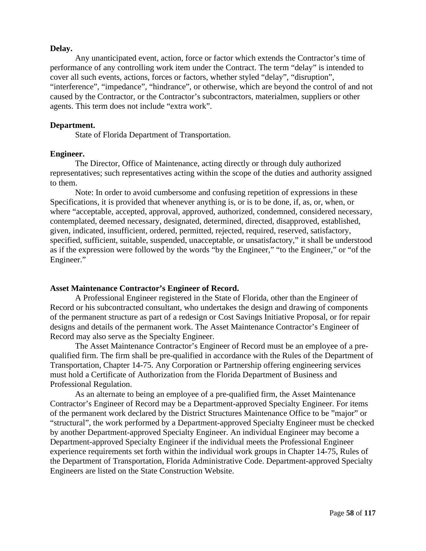#### **Delay.**

Any unanticipated event, action, force or factor which extends the Contractor's time of performance of any controlling work item under the Contract. The term "delay" is intended to cover all such events, actions, forces or factors, whether styled "delay", "disruption", "interference", "impedance", "hindrance", or otherwise, which are beyond the control of and not caused by the Contractor, or the Contractor's subcontractors, materialmen, suppliers or other agents. This term does not include "extra work".

#### **Department.**

State of Florida Department of Transportation.

#### **Engineer.**

The Director, Office of Maintenance, acting directly or through duly authorized representatives; such representatives acting within the scope of the duties and authority assigned to them.

Note: In order to avoid cumbersome and confusing repetition of expressions in these Specifications, it is provided that whenever anything is, or is to be done, if, as, or, when, or where "acceptable, accepted, approval, approved, authorized, condemned, considered necessary, contemplated, deemed necessary, designated, determined, directed, disapproved, established, given, indicated, insufficient, ordered, permitted, rejected, required, reserved, satisfactory, specified, sufficient, suitable, suspended, unacceptable, or unsatisfactory," it shall be understood as if the expression were followed by the words "by the Engineer," "to the Engineer," or "of the Engineer."

### **Asset Maintenance Contractor's Engineer of Record.**

A Professional Engineer registered in the State of Florida, other than the Engineer of Record or his subcontracted consultant, who undertakes the design and drawing of components of the permanent structure as part of a redesign or Cost Savings Initiative Proposal, or for repair designs and details of the permanent work. The Asset Maintenance Contractor's Engineer of Record may also serve as the Specialty Engineer.

The Asset Maintenance Contractor's Engineer of Record must be an employee of a prequalified firm. The firm shall be pre-qualified in accordance with the Rules of the Department of Transportation, Chapter 14-75. Any Corporation or Partnership offering engineering services must hold a Certificate of Authorization from the Florida Department of Business and Professional Regulation.

As an alternate to being an employee of a pre-qualified firm, the Asset Maintenance Contractor's Engineer of Record may be a Department-approved Specialty Engineer. For items of the permanent work declared by the District Structures Maintenance Office to be "major" or "structural", the work performed by a Department-approved Specialty Engineer must be checked by another Department-approved Specialty Engineer. An individual Engineer may become a Department-approved Specialty Engineer if the individual meets the Professional Engineer experience requirements set forth within the individual work groups in Chapter 14-75, Rules of the Department of Transportation, Florida Administrative Code. Department-approved Specialty Engineers are listed on the State Construction Website.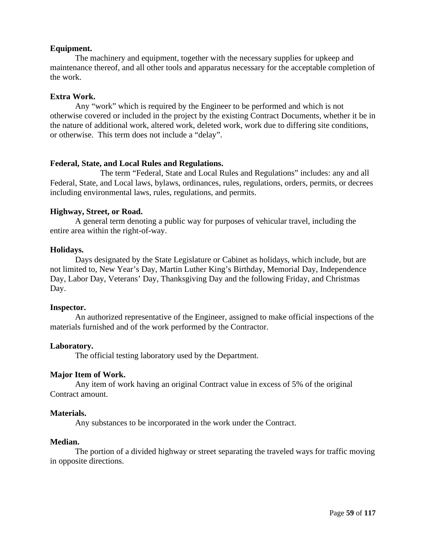### **Equipment.**

The machinery and equipment, together with the necessary supplies for upkeep and maintenance thereof, and all other tools and apparatus necessary for the acceptable completion of the work.

### **Extra Work.**

Any "work" which is required by the Engineer to be performed and which is not otherwise covered or included in the project by the existing Contract Documents, whether it be in the nature of additional work, altered work, deleted work, work due to differing site conditions, or otherwise. This term does not include a "delay".

#### **Federal, State, and Local Rules and Regulations.**

The term "Federal, State and Local Rules and Regulations" includes: any and all Federal, State, and Local laws, bylaws, ordinances, rules, regulations, orders, permits, or decrees including environmental laws, rules, regulations, and permits.

#### **Highway, Street, or Road.**

A general term denoting a public way for purposes of vehicular travel, including the entire area within the right-of-way.

#### **Holidays.**

Days designated by the State Legislature or Cabinet as holidays, which include, but are not limited to, New Year's Day, Martin Luther King's Birthday, Memorial Day, Independence Day, Labor Day, Veterans' Day, Thanksgiving Day and the following Friday, and Christmas Day.

#### **Inspector.**

An authorized representative of the Engineer, assigned to make official inspections of the materials furnished and of the work performed by the Contractor.

#### **Laboratory.**

The official testing laboratory used by the Department.

### **Major Item of Work.**

Any item of work having an original Contract value in excess of 5% of the original Contract amount.

#### **Materials.**

Any substances to be incorporated in the work under the Contract.

#### **Median.**

The portion of a divided highway or street separating the traveled ways for traffic moving in opposite directions.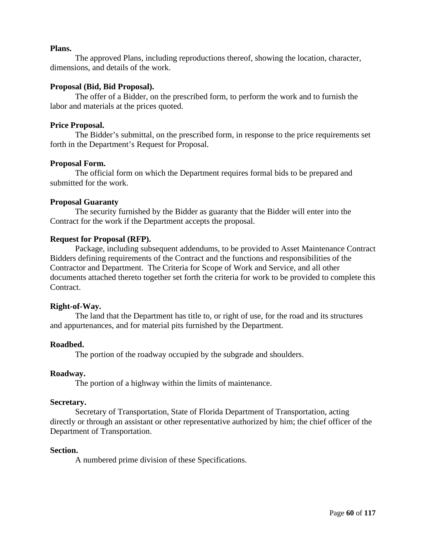#### **Plans.**

The approved Plans, including reproductions thereof, showing the location, character, dimensions, and details of the work.

#### **Proposal (Bid, Bid Proposal).**

The offer of a Bidder, on the prescribed form, to perform the work and to furnish the labor and materials at the prices quoted.

### **Price Proposal.**

The Bidder's submittal, on the prescribed form, in response to the price requirements set forth in the Department's Request for Proposal.

#### **Proposal Form.**

The official form on which the Department requires formal bids to be prepared and submitted for the work.

#### **Proposal Guaranty**

The security furnished by the Bidder as guaranty that the Bidder will enter into the Contract for the work if the Department accepts the proposal.

#### **Request for Proposal (RFP).**

Package, including subsequent addendums, to be provided to Asset Maintenance Contract Bidders defining requirements of the Contract and the functions and responsibilities of the Contractor and Department. The Criteria for Scope of Work and Service, and all other documents attached thereto together set forth the criteria for work to be provided to complete this Contract.

#### **Right-of-Way.**

The land that the Department has title to, or right of use, for the road and its structures and appurtenances, and for material pits furnished by the Department.

#### **Roadbed.**

The portion of the roadway occupied by the subgrade and shoulders.

#### **Roadway.**

The portion of a highway within the limits of maintenance.

#### **Secretary.**

Secretary of Transportation, State of Florida Department of Transportation, acting directly or through an assistant or other representative authorized by him; the chief officer of the Department of Transportation.

#### **Section.**

A numbered prime division of these Specifications.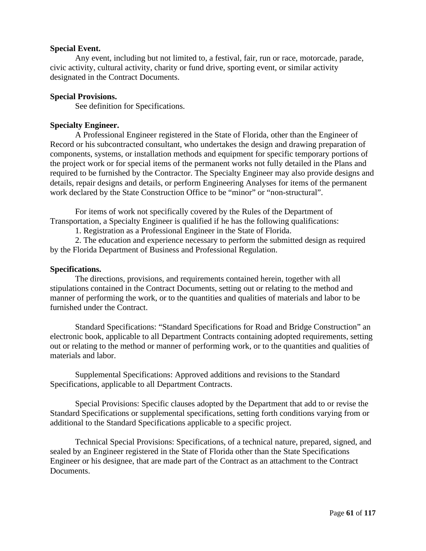#### **Special Event.**

Any event, including but not limited to, a festival, fair, run or race, motorcade, parade, civic activity, cultural activity, charity or fund drive, sporting event, or similar activity designated in the Contract Documents.

#### **Special Provisions.**

See definition for Specifications.

#### **Specialty Engineer.**

A Professional Engineer registered in the State of Florida, other than the Engineer of Record or his subcontracted consultant, who undertakes the design and drawing preparation of components, systems, or installation methods and equipment for specific temporary portions of the project work or for special items of the permanent works not fully detailed in the Plans and required to be furnished by the Contractor. The Specialty Engineer may also provide designs and details, repair designs and details, or perform Engineering Analyses for items of the permanent work declared by the State Construction Office to be "minor" or "non-structural".

For items of work not specifically covered by the Rules of the Department of Transportation, a Specialty Engineer is qualified if he has the following qualifications:

1. Registration as a Professional Engineer in the State of Florida.

2. The education and experience necessary to perform the submitted design as required by the Florida Department of Business and Professional Regulation.

#### **Specifications.**

The directions, provisions, and requirements contained herein, together with all stipulations contained in the Contract Documents, setting out or relating to the method and manner of performing the work, or to the quantities and qualities of materials and labor to be furnished under the Contract.

Standard Specifications: "Standard Specifications for Road and Bridge Construction" an electronic book, applicable to all Department Contracts containing adopted requirements, setting out or relating to the method or manner of performing work, or to the quantities and qualities of materials and labor.

Supplemental Specifications: Approved additions and revisions to the Standard Specifications, applicable to all Department Contracts.

Special Provisions: Specific clauses adopted by the Department that add to or revise the Standard Specifications or supplemental specifications, setting forth conditions varying from or additional to the Standard Specifications applicable to a specific project.

Technical Special Provisions: Specifications, of a technical nature, prepared, signed, and sealed by an Engineer registered in the State of Florida other than the State Specifications Engineer or his designee, that are made part of the Contract as an attachment to the Contract Documents.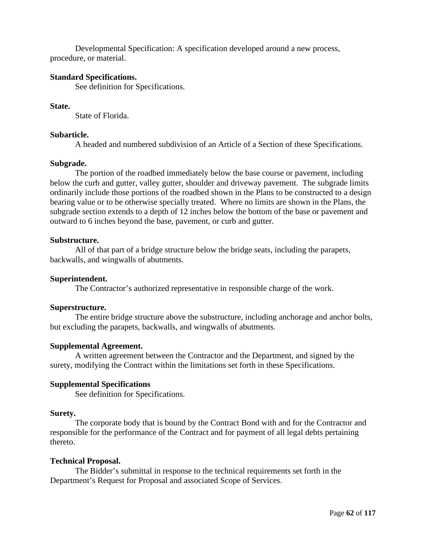Developmental Specification: A specification developed around a new process, procedure, or material.

#### **Standard Specifications.**

See definition for Specifications.

#### **State.**

State of Florida.

#### **Subarticle.**

A headed and numbered subdivision of an Article of a Section of these Specifications.

#### **Subgrade.**

The portion of the roadbed immediately below the base course or pavement, including below the curb and gutter, valley gutter, shoulder and driveway pavement. The subgrade limits ordinarily include those portions of the roadbed shown in the Plans to be constructed to a design bearing value or to be otherwise specially treated. Where no limits are shown in the Plans, the subgrade section extends to a depth of 12 inches below the bottom of the base or pavement and outward to 6 inches beyond the base, pavement, or curb and gutter.

#### **Substructure.**

All of that part of a bridge structure below the bridge seats, including the parapets, backwalls, and wingwalls of abutments.

#### **Superintendent.**

The Contractor's authorized representative in responsible charge of the work.

#### **Superstructure.**

The entire bridge structure above the substructure, including anchorage and anchor bolts, but excluding the parapets, backwalls, and wingwalls of abutments.

### **Supplemental Agreement.**

A written agreement between the Contractor and the Department, and signed by the surety, modifying the Contract within the limitations set forth in these Specifications.

### **Supplemental Specifications**

See definition for Specifications.

#### **Surety.**

The corporate body that is bound by the Contract Bond with and for the Contractor and responsible for the performance of the Contract and for payment of all legal debts pertaining thereto.

#### **Technical Proposal.**

The Bidder's submittal in response to the technical requirements set forth in the Department's Request for Proposal and associated Scope of Services.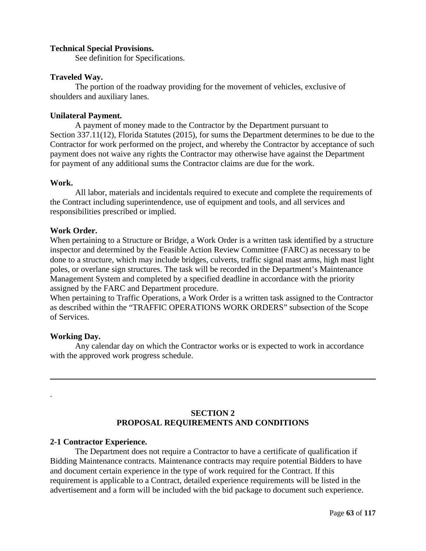#### **Technical Special Provisions.**

See definition for Specifications.

#### **Traveled Way.**

The portion of the roadway providing for the movement of vehicles, exclusive of shoulders and auxiliary lanes.

#### **Unilateral Payment.**

A payment of money made to the Contractor by the Department pursuant to Section 337.11(12), Florida Statutes (2015), for sums the Department determines to be due to the Contractor for work performed on the project, and whereby the Contractor by acceptance of such payment does not waive any rights the Contractor may otherwise have against the Department for payment of any additional sums the Contractor claims are due for the work.

#### **Work.**

All labor, materials and incidentals required to execute and complete the requirements of the Contract including superintendence, use of equipment and tools, and all services and responsibilities prescribed or implied.

#### **Work Order.**

When pertaining to a Structure or Bridge, a Work Order is a written task identified by a structure inspector and determined by the Feasible Action Review Committee (FARC) as necessary to be done to a structure, which may include bridges, culverts, traffic signal mast arms, high mast light poles, or overlane sign structures. The task will be recorded in the Department's Maintenance Management System and completed by a specified deadline in accordance with the priority assigned by the FARC and Department procedure.

When pertaining to Traffic Operations, a Work Order is a written task assigned to the Contractor as described within the "TRAFFIC OPERATIONS WORK ORDERS" subsection of the Scope of Services.

### **Working Day.**

.

Any calendar day on which the Contractor works or is expected to work in accordance with the approved work progress schedule.

## **SECTION 2 PROPOSAL REQUIREMENTS AND CONDITIONS**

### **2-1 Contractor Experience.**

The Department does not require a Contractor to have a certificate of qualification if Bidding Maintenance contracts. Maintenance contracts may require potential Bidders to have and document certain experience in the type of work required for the Contract. If this requirement is applicable to a Contract, detailed experience requirements will be listed in the advertisement and a form will be included with the bid package to document such experience.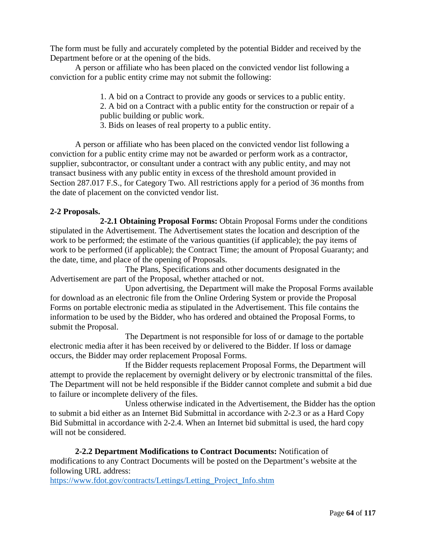The form must be fully and accurately completed by the potential Bidder and received by the Department before or at the opening of the bids.

A person or affiliate who has been placed on the convicted vendor list following a conviction for a public entity crime may not submit the following:

> 1. A bid on a Contract to provide any goods or services to a public entity. 2. A bid on a Contract with a public entity for the construction or repair of a public building or public work.

3. Bids on leases of real property to a public entity.

A person or affiliate who has been placed on the convicted vendor list following a conviction for a public entity crime may not be awarded or perform work as a contractor, supplier, subcontractor, or consultant under a contract with any public entity, and may not transact business with any public entity in excess of the threshold amount provided in Section 287.017 F.S., for Category Two. All restrictions apply for a period of 36 months from the date of placement on the convicted vendor list.

## **2-2 Proposals.**

**2-2.1 Obtaining Proposal Forms:** Obtain Proposal Forms under the conditions stipulated in the Advertisement. The Advertisement states the location and description of the work to be performed; the estimate of the various quantities (if applicable); the pay items of work to be performed (if applicable); the Contract Time; the amount of Proposal Guaranty; and the date, time, and place of the opening of Proposals.

The Plans, Specifications and other documents designated in the Advertisement are part of the Proposal, whether attached or not.

Upon advertising, the Department will make the Proposal Forms available for download as an electronic file from the Online Ordering System or provide the Proposal Forms on portable electronic media as stipulated in the Advertisement. This file contains the information to be used by the Bidder, who has ordered and obtained the Proposal Forms, to submit the Proposal.

The Department is not responsible for loss of or damage to the portable electronic media after it has been received by or delivered to the Bidder. If loss or damage occurs, the Bidder may order replacement Proposal Forms.

If the Bidder requests replacement Proposal Forms, the Department will attempt to provide the replacement by overnight delivery or by electronic transmittal of the files. The Department will not be held responsible if the Bidder cannot complete and submit a bid due to failure or incomplete delivery of the files.

Unless otherwise indicated in the Advertisement, the Bidder has the option to submit a bid either as an Internet Bid Submittal in accordance with 2-2.3 or as a Hard Copy Bid Submittal in accordance with 2-2.4. When an Internet bid submittal is used, the hard copy will not be considered.

**2-2.2 Department Modifications to Contract Documents:** Notification of modifications to any Contract Documents will be posted on the Department's website at the following URL address:

https://www.fdot.gov/contracts/Lettings/Letting\_Project\_Info.shtm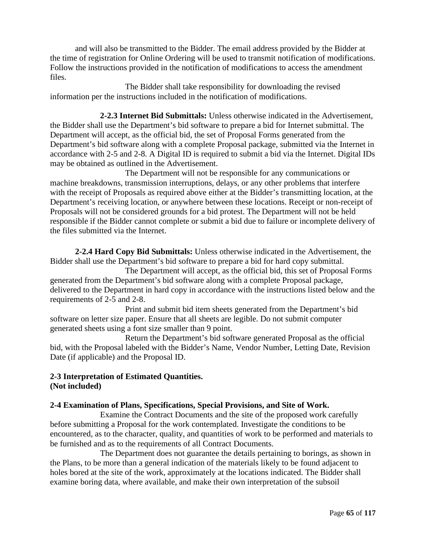and will also be transmitted to the Bidder. The email address provided by the Bidder at the time of registration for Online Ordering will be used to transmit notification of modifications. Follow the instructions provided in the notification of modifications to access the amendment files.

The Bidder shall take responsibility for downloading the revised information per the instructions included in the notification of modifications.

**2-2.3 Internet Bid Submittals:** Unless otherwise indicated in the Advertisement, the Bidder shall use the Department's bid software to prepare a bid for Internet submittal. The Department will accept, as the official bid, the set of Proposal Forms generated from the Department's bid software along with a complete Proposal package, submitted via the Internet in accordance with 2-5 and 2-8. A Digital ID is required to submit a bid via the Internet. Digital IDs may be obtained as outlined in the Advertisement.

The Department will not be responsible for any communications or machine breakdowns, transmission interruptions, delays, or any other problems that interfere with the receipt of Proposals as required above either at the Bidder's transmitting location, at the Department's receiving location, or anywhere between these locations. Receipt or non-receipt of Proposals will not be considered grounds for a bid protest. The Department will not be held responsible if the Bidder cannot complete or submit a bid due to failure or incomplete delivery of the files submitted via the Internet.

**2-2.4 Hard Copy Bid Submittals:** Unless otherwise indicated in the Advertisement, the Bidder shall use the Department's bid software to prepare a bid for hard copy submittal.

The Department will accept, as the official bid, this set of Proposal Forms generated from the Department's bid software along with a complete Proposal package, delivered to the Department in hard copy in accordance with the instructions listed below and the requirements of 2-5 and 2-8.

Print and submit bid item sheets generated from the Department's bid software on letter size paper. Ensure that all sheets are legible. Do not submit computer generated sheets using a font size smaller than 9 point.

Return the Department's bid software generated Proposal as the official bid, with the Proposal labeled with the Bidder's Name, Vendor Number, Letting Date, Revision Date (if applicable) and the Proposal ID.

## **2-3 Interpretation of Estimated Quantities. (Not included)**

## **2-4 Examination of Plans, Specifications, Special Provisions, and Site of Work.**

Examine the Contract Documents and the site of the proposed work carefully before submitting a Proposal for the work contemplated. Investigate the conditions to be encountered, as to the character, quality, and quantities of work to be performed and materials to be furnished and as to the requirements of all Contract Documents.

The Department does not guarantee the details pertaining to borings, as shown in the Plans, to be more than a general indication of the materials likely to be found adjacent to holes bored at the site of the work, approximately at the locations indicated. The Bidder shall examine boring data, where available, and make their own interpretation of the subsoil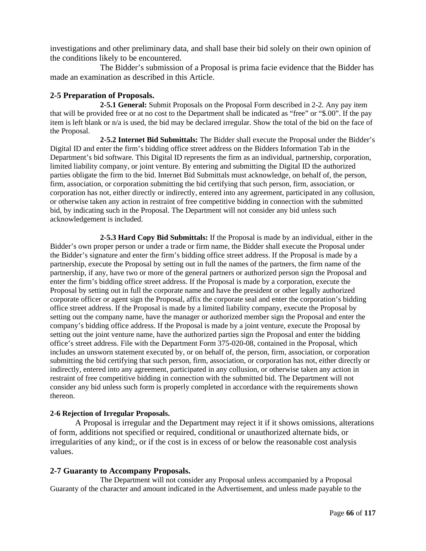investigations and other preliminary data, and shall base their bid solely on their own opinion of the conditions likely to be encountered.

The Bidder's submission of a Proposal is prima facie evidence that the Bidder has made an examination as described in this Article.

### **2-5 Preparation of Proposals.**

**2-5.1 General:** Submit Proposals on the Proposal Form described in 2-2. Any pay item that will be provided free or at no cost to the Department shall be indicated as "free" or "\$.00". If the pay item is left blank or n/a is used, the bid may be declared irregular. Show the total of the bid on the face of the Proposal.

**2-5.2 Internet Bid Submittals:** The Bidder shall execute the Proposal under the Bidder's Digital ID and enter the firm's bidding office street address on the Bidders Information Tab in the Department's bid software. This Digital ID represents the firm as an individual, partnership, corporation, limited liability company, or joint venture. By entering and submitting the Digital ID the authorized parties obligate the firm to the bid. Internet Bid Submittals must acknowledge, on behalf of, the person, firm, association, or corporation submitting the bid certifying that such person, firm, association, or corporation has not, either directly or indirectly, entered into any agreement, participated in any collusion, or otherwise taken any action in restraint of free competitive bidding in connection with the submitted bid, by indicating such in the Proposal. The Department will not consider any bid unless such acknowledgement is included.

**2-5.3 Hard Copy Bid Submittals:** If the Proposal is made by an individual, either in the Bidder's own proper person or under a trade or firm name, the Bidder shall execute the Proposal under the Bidder's signature and enter the firm's bidding office street address. If the Proposal is made by a partnership, execute the Proposal by setting out in full the names of the partners, the firm name of the partnership, if any, have two or more of the general partners or authorized person sign the Proposal and enter the firm's bidding office street address. If the Proposal is made by a corporation, execute the Proposal by setting out in full the corporate name and have the president or other legally authorized corporate officer or agent sign the Proposal, affix the corporate seal and enter the corporation's bidding office street address. If the Proposal is made by a limited liability company, execute the Proposal by setting out the company name, have the manager or authorized member sign the Proposal and enter the company's bidding office address. If the Proposal is made by a joint venture, execute the Proposal by setting out the joint venture name, have the authorized parties sign the Proposal and enter the bidding office's street address. File with the Department Form 375-020-08, contained in the Proposal, which includes an unsworn statement executed by, or on behalf of, the person, firm, association, or corporation submitting the bid certifying that such person, firm, association, or corporation has not, either directly or indirectly, entered into any agreement, participated in any collusion, or otherwise taken any action in restraint of free competitive bidding in connection with the submitted bid. The Department will not consider any bid unless such form is properly completed in accordance with the requirements shown thereon.

#### **2-6 Rejection of Irregular Proposals.**

A Proposal is irregular and the Department may reject it if it shows omissions, alterations of form, additions not specified or required, conditional or unauthorized alternate bids, or irregularities of any kind;, or if the cost is in excess of or below the reasonable cost analysis values.

### **2-7 Guaranty to Accompany Proposals.**

The Department will not consider any Proposal unless accompanied by a Proposal Guaranty of the character and amount indicated in the Advertisement, and unless made payable to the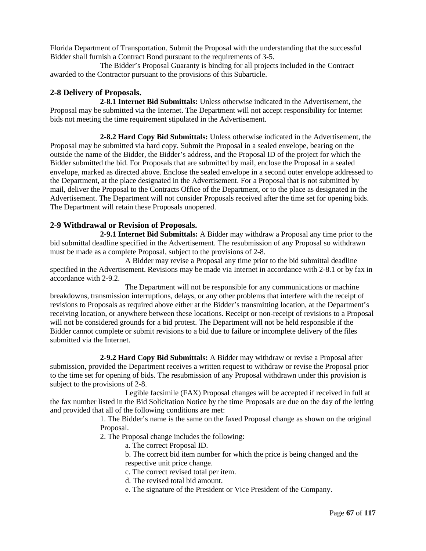Florida Department of Transportation. Submit the Proposal with the understanding that the successful Bidder shall furnish a Contract Bond pursuant to the requirements of 3-5.

The Bidder's Proposal Guaranty is binding for all projects included in the Contract awarded to the Contractor pursuant to the provisions of this Subarticle.

#### **2-8 Delivery of Proposals.**

**2-8.1 Internet Bid Submittals:** Unless otherwise indicated in the Advertisement, the Proposal may be submitted via the Internet. The Department will not accept responsibility for Internet bids not meeting the time requirement stipulated in the Advertisement.

**2-8.2 Hard Copy Bid Submittals:** Unless otherwise indicated in the Advertisement, the Proposal may be submitted via hard copy. Submit the Proposal in a sealed envelope, bearing on the outside the name of the Bidder, the Bidder's address, and the Proposal ID of the project for which the Bidder submitted the bid. For Proposals that are submitted by mail, enclose the Proposal in a sealed envelope, marked as directed above. Enclose the sealed envelope in a second outer envelope addressed to the Department, at the place designated in the Advertisement. For a Proposal that is not submitted by mail, deliver the Proposal to the Contracts Office of the Department, or to the place as designated in the Advertisement. The Department will not consider Proposals received after the time set for opening bids. The Department will retain these Proposals unopened.

### **2-9 Withdrawal or Revision of Proposals.**

**2-9.1 Internet Bid Submittals:** A Bidder may withdraw a Proposal any time prior to the bid submittal deadline specified in the Advertisement. The resubmission of any Proposal so withdrawn must be made as a complete Proposal, subject to the provisions of 2-8.

A Bidder may revise a Proposal any time prior to the bid submittal deadline specified in the Advertisement. Revisions may be made via Internet in accordance with 2-8.1 or by fax in accordance with 2-9.2.

The Department will not be responsible for any communications or machine breakdowns, transmission interruptions, delays, or any other problems that interfere with the receipt of revisions to Proposals as required above either at the Bidder's transmitting location, at the Department's receiving location, or anywhere between these locations. Receipt or non-receipt of revisions to a Proposal will not be considered grounds for a bid protest. The Department will not be held responsible if the Bidder cannot complete or submit revisions to a bid due to failure or incomplete delivery of the files submitted via the Internet.

**2-9.2 Hard Copy Bid Submittals:** A Bidder may withdraw or revise a Proposal after submission, provided the Department receives a written request to withdraw or revise the Proposal prior to the time set for opening of bids. The resubmission of any Proposal withdrawn under this provision is subject to the provisions of 2-8.

Legible facsimile (FAX) Proposal changes will be accepted if received in full at the fax number listed in the Bid Solicitation Notice by the time Proposals are due on the day of the letting and provided that all of the following conditions are met:

> 1. The Bidder's name is the same on the faxed Proposal change as shown on the original Proposal.

2. The Proposal change includes the following:

a. The correct Proposal ID.

b. The correct bid item number for which the price is being changed and the respective unit price change.

c. The correct revised total per item.

d. The revised total bid amount.

e. The signature of the President or Vice President of the Company.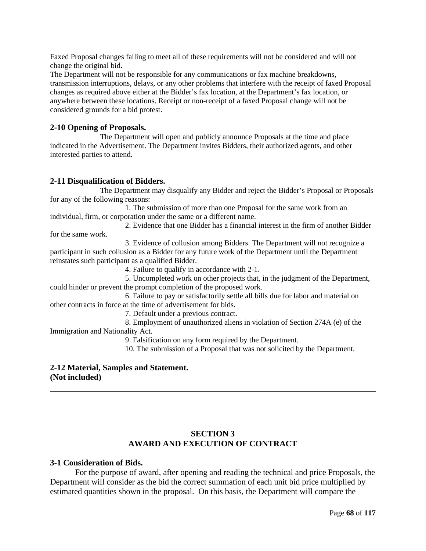Faxed Proposal changes failing to meet all of these requirements will not be considered and will not change the original bid.

The Department will not be responsible for any communications or fax machine breakdowns, transmission interruptions, delays, or any other problems that interfere with the receipt of faxed Proposal changes as required above either at the Bidder's fax location, at the Department's fax location, or anywhere between these locations. Receipt or non-receipt of a faxed Proposal change will not be considered grounds for a bid protest.

#### **2-10 Opening of Proposals.**

The Department will open and publicly announce Proposals at the time and place indicated in the Advertisement. The Department invites Bidders, their authorized agents, and other interested parties to attend.

#### **2-11 Disqualification of Bidders.**

The Department may disqualify any Bidder and reject the Bidder's Proposal or Proposals for any of the following reasons:

1. The submission of more than one Proposal for the same work from an individual, firm, or corporation under the same or a different name.

2. Evidence that one Bidder has a financial interest in the firm of another Bidder for the same work.

3. Evidence of collusion among Bidders. The Department will not recognize a participant in such collusion as a Bidder for any future work of the Department until the Department reinstates such participant as a qualified Bidder.

4. Failure to qualify in accordance with 2-1.

5. Uncompleted work on other projects that, in the judgment of the Department, could hinder or prevent the prompt completion of the proposed work.

6. Failure to pay or satisfactorily settle all bills due for labor and material on other contracts in force at the time of advertisement for bids.

7. Default under a previous contract.

8. Employment of unauthorized aliens in violation of Section 274A (e) of the Immigration and Nationality Act.

9. Falsification on any form required by the Department.

10. The submission of a Proposal that was not solicited by the Department.

### **2-12 Material, Samples and Statement. (Not included)**

## **SECTION 3 AWARD AND EXECUTION OF CONTRACT**

#### **3-1 Consideration of Bids.**

For the purpose of award, after opening and reading the technical and price Proposals, the Department will consider as the bid the correct summation of each unit bid price multiplied by estimated quantities shown in the proposal. On this basis, the Department will compare the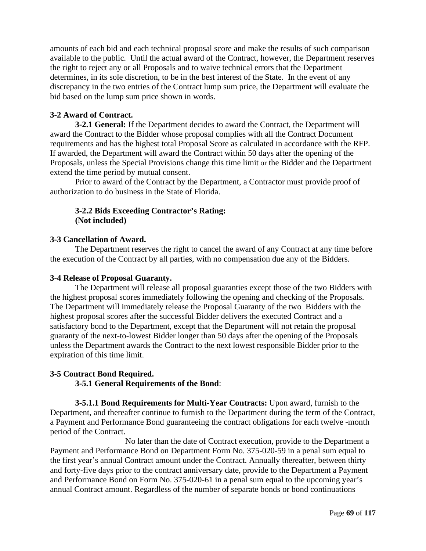amounts of each bid and each technical proposal score and make the results of such comparison available to the public. Until the actual award of the Contract, however, the Department reserves the right to reject any or all Proposals and to waive technical errors that the Department determines, in its sole discretion, to be in the best interest of the State. In the event of any discrepancy in the two entries of the Contract lump sum price, the Department will evaluate the bid based on the lump sum price shown in words.

## **3-2 Award of Contract.**

**3-2.1 General:** If the Department decides to award the Contract, the Department will award the Contract to the Bidder whose proposal complies with all the Contract Document requirements and has the highest total Proposal Score as calculated in accordance with the RFP. If awarded, the Department will award the Contract within 50 days after the opening of the Proposals, unless the Special Provisions change this time limit or the Bidder and the Department extend the time period by mutual consent.

Prior to award of the Contract by the Department, a Contractor must provide proof of authorization to do business in the State of Florida.

## **3-2.2 Bids Exceeding Contractor's Rating: (Not included)**

### **3-3 Cancellation of Award.**

The Department reserves the right to cancel the award of any Contract at any time before the execution of the Contract by all parties, with no compensation due any of the Bidders.

### **3-4 Release of Proposal Guaranty.**

The Department will release all proposal guaranties except those of the two Bidders with the highest proposal scores immediately following the opening and checking of the Proposals. The Department will immediately release the Proposal Guaranty of the two Bidders with the highest proposal scores after the successful Bidder delivers the executed Contract and a satisfactory bond to the Department, except that the Department will not retain the proposal guaranty of the next-to-lowest Bidder longer than 50 days after the opening of the Proposals unless the Department awards the Contract to the next lowest responsible Bidder prior to the expiration of this time limit.

### **3-5 Contract Bond Required.**

### **3-5.1 General Requirements of the Bond**:

**3-5.1.1 Bond Requirements for Multi-Year Contracts:** Upon award, furnish to the Department, and thereafter continue to furnish to the Department during the term of the Contract, a Payment and Performance Bond guaranteeing the contract obligations for each twelve -month period of the Contract.

No later than the date of Contract execution, provide to the Department a Payment and Performance Bond on Department Form No. 375-020-59 in a penal sum equal to the first year's annual Contract amount under the Contract. Annually thereafter, between thirty and forty-five days prior to the contract anniversary date, provide to the Department a Payment and Performance Bond on Form No. 375-020-61 in a penal sum equal to the upcoming year's annual Contract amount. Regardless of the number of separate bonds or bond continuations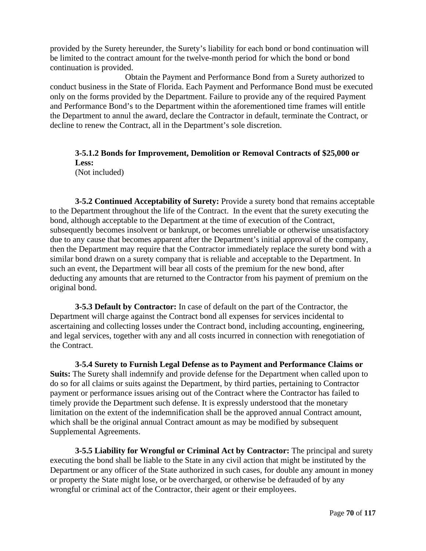provided by the Surety hereunder, the Surety's liability for each bond or bond continuation will be limited to the contract amount for the twelve-month period for which the bond or bond continuation is provided.

Obtain the Payment and Performance Bond from a Surety authorized to conduct business in the State of Florida. Each Payment and Performance Bond must be executed only on the forms provided by the Department. Failure to provide any of the required Payment and Performance Bond's to the Department within the aforementioned time frames will entitle the Department to annul the award, declare the Contractor in default, terminate the Contract, or decline to renew the Contract, all in the Department's sole discretion.

# **3-5.1.2 Bonds for Improvement, Demolition or Removal Contracts of \$25,000 or Less:**

(Not included)

**3-5.2 Continued Acceptability of Surety:** Provide a surety bond that remains acceptable to the Department throughout the life of the Contract. In the event that the surety executing the bond, although acceptable to the Department at the time of execution of the Contract, subsequently becomes insolvent or bankrupt, or becomes unreliable or otherwise unsatisfactory due to any cause that becomes apparent after the Department's initial approval of the company, then the Department may require that the Contractor immediately replace the surety bond with a similar bond drawn on a surety company that is reliable and acceptable to the Department. In such an event, the Department will bear all costs of the premium for the new bond, after deducting any amounts that are returned to the Contractor from his payment of premium on the original bond.

**3-5.3 Default by Contractor:** In case of default on the part of the Contractor, the Department will charge against the Contract bond all expenses for services incidental to ascertaining and collecting losses under the Contract bond, including accounting, engineering, and legal services, together with any and all costs incurred in connection with renegotiation of the Contract.

**3-5.4 Surety to Furnish Legal Defense as to Payment and Performance Claims or Suits:** The Surety shall indemnify and provide defense for the Department when called upon to do so for all claims or suits against the Department, by third parties, pertaining to Contractor payment or performance issues arising out of the Contract where the Contractor has failed to timely provide the Department such defense. It is expressly understood that the monetary limitation on the extent of the indemnification shall be the approved annual Contract amount, which shall be the original annual Contract amount as may be modified by subsequent Supplemental Agreements.

**3-5.5 Liability for Wrongful or Criminal Act by Contractor:** The principal and surety executing the bond shall be liable to the State in any civil action that might be instituted by the Department or any officer of the State authorized in such cases, for double any amount in money or property the State might lose, or be overcharged, or otherwise be defrauded of by any wrongful or criminal act of the Contractor, their agent or their employees.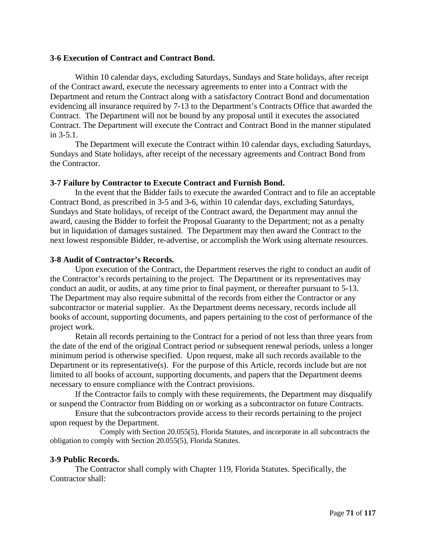#### **3-6 Execution of Contract and Contract Bond.**

Within 10 calendar days, excluding Saturdays, Sundays and State holidays, after receipt of the Contract award, execute the necessary agreements to enter into a Contract with the Department and return the Contract along with a satisfactory Contract Bond and documentation evidencing all insurance required by 7-13 to the Department's Contracts Office that awarded the Contract. The Department will not be bound by any proposal until it executes the associated Contract. The Department will execute the Contract and Contract Bond in the manner stipulated in 3-5.1.

The Department will execute the Contract within 10 calendar days, excluding Saturdays, Sundays and State holidays, after receipt of the necessary agreements and Contract Bond from the Contractor.

#### **3-7 Failure by Contractor to Execute Contract and Furnish Bond.**

In the event that the Bidder fails to execute the awarded Contract and to file an acceptable Contract Bond, as prescribed in 3-5 and 3-6, within 10 calendar days, excluding Saturdays, Sundays and State holidays, of receipt of the Contract award, the Department may annul the award, causing the Bidder to forfeit the Proposal Guaranty to the Department; not as a penalty but in liquidation of damages sustained. The Department may then award the Contract to the next lowest responsible Bidder, re-advertise, or accomplish the Work using alternate resources.

#### **3-8 Audit of Contractor's Records.**

Upon execution of the Contract, the Department reserves the right to conduct an audit of the Contractor's records pertaining to the project. The Department or its representatives may conduct an audit, or audits, at any time prior to final payment, or thereafter pursuant to 5-13. The Department may also require submittal of the records from either the Contractor or any subcontractor or material supplier. As the Department deems necessary, records include all books of account, supporting documents, and papers pertaining to the cost of performance of the project work.

Retain all records pertaining to the Contract for a period of not less than three years from the date of the end of the original Contract period or subsequent renewal periods, unless a longer minimum period is otherwise specified. Upon request, make all such records available to the Department or its representative(s). For the purpose of this Article, records include but are not limited to all books of account, supporting documents, and papers that the Department deems necessary to ensure compliance with the Contract provisions.

If the Contractor fails to comply with these requirements, the Department may disqualify or suspend the Contractor from Bidding on or working as a subcontractor on future Contracts.

Ensure that the subcontractors provide access to their records pertaining to the project upon request by the Department.

Comply with Section 20.055(5), Florida Statutes, and incorporate in all subcontracts the obligation to comply with Section 20.055(5), Florida Statutes.

#### **3-9 Public Records.**

The Contractor shall comply with Chapter 119, Florida Statutes. Specifically, the Contractor shall: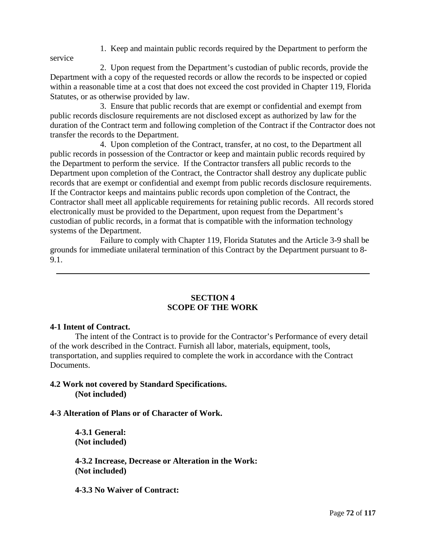- service
- 1. Keep and maintain public records required by the Department to perform the

2. Upon request from the Department's custodian of public records, provide the Department with a copy of the requested records or allow the records to be inspected or copied within a reasonable time at a cost that does not exceed the cost provided in Chapter 119, Florida Statutes, or as otherwise provided by law.

3. Ensure that public records that are exempt or confidential and exempt from public records disclosure requirements are not disclosed except as authorized by law for the duration of the Contract term and following completion of the Contract if the Contractor does not transfer the records to the Department.

4. Upon completion of the Contract, transfer, at no cost, to the Department all public records in possession of the Contractor or keep and maintain public records required by the Department to perform the service. If the Contractor transfers all public records to the Department upon completion of the Contract, the Contractor shall destroy any duplicate public records that are exempt or confidential and exempt from public records disclosure requirements. If the Contractor keeps and maintains public records upon completion of the Contract, the Contractor shall meet all applicable requirements for retaining public records. All records stored electronically must be provided to the Department, upon request from the Department's custodian of public records, in a format that is compatible with the information technology systems of the Department.

Failure to comply with Chapter 119, Florida Statutes and the Article 3-9 shall be grounds for immediate unilateral termination of this Contract by the Department pursuant to 8- 9.1.

## **SECTION 4 SCOPE OF THE WORK**

## **4-1 Intent of Contract.**

The intent of the Contract is to provide for the Contractor's Performance of every detail of the work described in the Contract. Furnish all labor, materials, equipment, tools, transportation, and supplies required to complete the work in accordance with the Contract Documents.

## **4.2 Work not covered by Standard Specifications. (Not included)**

## **4-3 Alteration of Plans or of Character of Work.**

**4-3.1 General: (Not included)** 

**4-3.2 Increase, Decrease or Alteration in the Work: (Not included)** 

**4-3.3 No Waiver of Contract:**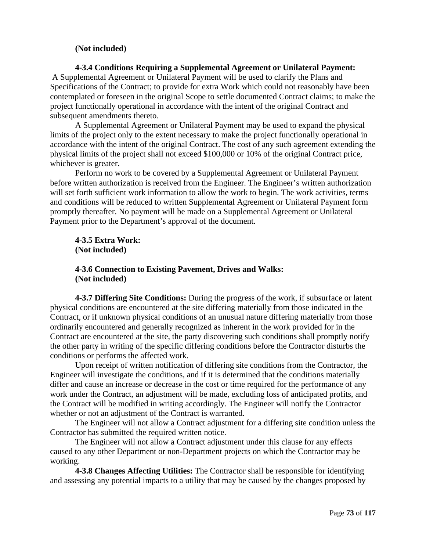## **(Not included)**

**4-3.4 Conditions Requiring a Supplemental Agreement or Unilateral Payment:** A Supplemental Agreement or Unilateral Payment will be used to clarify the Plans and Specifications of the Contract; to provide for extra Work which could not reasonably have been contemplated or foreseen in the original Scope to settle documented Contract claims; to make the project functionally operational in accordance with the intent of the original Contract and subsequent amendments thereto.

A Supplemental Agreement or Unilateral Payment may be used to expand the physical limits of the project only to the extent necessary to make the project functionally operational in accordance with the intent of the original Contract. The cost of any such agreement extending the physical limits of the project shall not exceed \$100,000 or 10% of the original Contract price, whichever is greater.

Perform no work to be covered by a Supplemental Agreement or Unilateral Payment before written authorization is received from the Engineer. The Engineer's written authorization will set forth sufficient work information to allow the work to begin. The work activities, terms and conditions will be reduced to written Supplemental Agreement or Unilateral Payment form promptly thereafter. No payment will be made on a Supplemental Agreement or Unilateral Payment prior to the Department's approval of the document.

**4-3.5 Extra Work: (Not included)** 

# **4-3.6 Connection to Existing Pavement, Drives and Walks: (Not included)**

**4-3.7 Differing Site Conditions:** During the progress of the work, if subsurface or latent physical conditions are encountered at the site differing materially from those indicated in the Contract, or if unknown physical conditions of an unusual nature differing materially from those ordinarily encountered and generally recognized as inherent in the work provided for in the Contract are encountered at the site, the party discovering such conditions shall promptly notify the other party in writing of the specific differing conditions before the Contractor disturbs the conditions or performs the affected work.

Upon receipt of written notification of differing site conditions from the Contractor, the Engineer will investigate the conditions, and if it is determined that the conditions materially differ and cause an increase or decrease in the cost or time required for the performance of any work under the Contract, an adjustment will be made, excluding loss of anticipated profits, and the Contract will be modified in writing accordingly. The Engineer will notify the Contractor whether or not an adjustment of the Contract is warranted.

The Engineer will not allow a Contract adjustment for a differing site condition unless the Contractor has submitted the required written notice.

The Engineer will not allow a Contract adjustment under this clause for any effects caused to any other Department or non-Department projects on which the Contractor may be working.

**4-3.8 Changes Affecting Utilities:** The Contractor shall be responsible for identifying and assessing any potential impacts to a utility that may be caused by the changes proposed by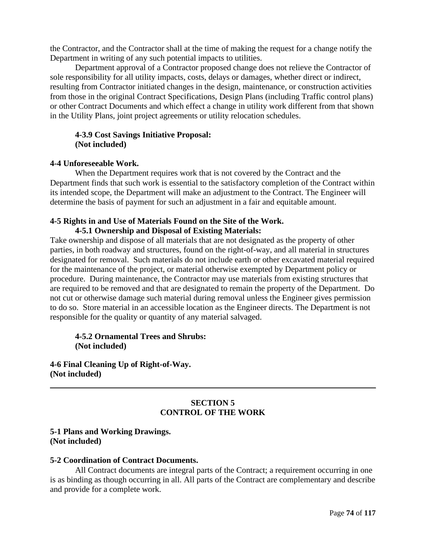the Contractor, and the Contractor shall at the time of making the request for a change notify the Department in writing of any such potential impacts to utilities.

Department approval of a Contractor proposed change does not relieve the Contractor of sole responsibility for all utility impacts, costs, delays or damages, whether direct or indirect, resulting from Contractor initiated changes in the design, maintenance, or construction activities from those in the original Contract Specifications, Design Plans (including Traffic control plans) or other Contract Documents and which effect a change in utility work different from that shown in the Utility Plans, joint project agreements or utility relocation schedules.

# **4-3.9 Cost Savings Initiative Proposal: (Not included)**

#### **4-4 Unforeseeable Work.**

When the Department requires work that is not covered by the Contract and the Department finds that such work is essential to the satisfactory completion of the Contract within its intended scope, the Department will make an adjustment to the Contract. The Engineer will determine the basis of payment for such an adjustment in a fair and equitable amount.

### **4-5 Rights in and Use of Materials Found on the Site of the Work. 4-5.1 Ownership and Disposal of Existing Materials:**

Take ownership and dispose of all materials that are not designated as the property of other parties, in both roadway and structures, found on the right-of-way, and all material in structures designated for removal. Such materials do not include earth or other excavated material required for the maintenance of the project, or material otherwise exempted by Department policy or procedure. During maintenance, the Contractor may use materials from existing structures that are required to be removed and that are designated to remain the property of the Department. Do not cut or otherwise damage such material during removal unless the Engineer gives permission to do so. Store material in an accessible location as the Engineer directs. The Department is not responsible for the quality or quantity of any material salvaged.

# **4-5.2 Ornamental Trees and Shrubs: (Not included)**

**4-6 Final Cleaning Up of Right-of-Way. (Not included)** 

# **SECTION 5 CONTROL OF THE WORK**

## **5-1 Plans and Working Drawings. (Not included)**

#### **5-2 Coordination of Contract Documents.**

All Contract documents are integral parts of the Contract; a requirement occurring in one is as binding as though occurring in all. All parts of the Contract are complementary and describe and provide for a complete work.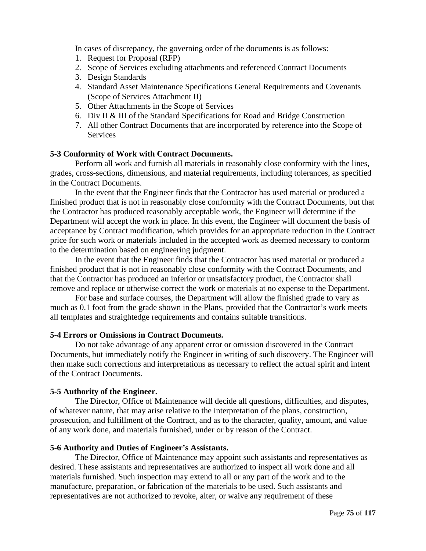In cases of discrepancy, the governing order of the documents is as follows:

- 1. Request for Proposal (RFP)
- 2. Scope of Services excluding attachments and referenced Contract Documents
- 3. Design Standards
- 4. Standard Asset Maintenance Specifications General Requirements and Covenants (Scope of Services Attachment II)
- 5. Other Attachments in the Scope of Services
- 6. Div II & III of the Standard Specifications for Road and Bridge Construction
- 7. All other Contract Documents that are incorporated by reference into the Scope of Services

# **5-3 Conformity of Work with Contract Documents.**

Perform all work and furnish all materials in reasonably close conformity with the lines, grades, cross-sections, dimensions, and material requirements, including tolerances, as specified in the Contract Documents.

In the event that the Engineer finds that the Contractor has used material or produced a finished product that is not in reasonably close conformity with the Contract Documents, but that the Contractor has produced reasonably acceptable work, the Engineer will determine if the Department will accept the work in place. In this event, the Engineer will document the basis of acceptance by Contract modification, which provides for an appropriate reduction in the Contract price for such work or materials included in the accepted work as deemed necessary to conform to the determination based on engineering judgment.

In the event that the Engineer finds that the Contractor has used material or produced a finished product that is not in reasonably close conformity with the Contract Documents, and that the Contractor has produced an inferior or unsatisfactory product, the Contractor shall remove and replace or otherwise correct the work or materials at no expense to the Department.

For base and surface courses, the Department will allow the finished grade to vary as much as 0.1 foot from the grade shown in the Plans, provided that the Contractor's work meets all templates and straightedge requirements and contains suitable transitions.

## **5-4 Errors or Omissions in Contract Documents.**

Do not take advantage of any apparent error or omission discovered in the Contract Documents, but immediately notify the Engineer in writing of such discovery. The Engineer will then make such corrections and interpretations as necessary to reflect the actual spirit and intent of the Contract Documents.

## **5-5 Authority of the Engineer.**

The Director, Office of Maintenance will decide all questions, difficulties, and disputes, of whatever nature, that may arise relative to the interpretation of the plans, construction, prosecution, and fulfillment of the Contract, and as to the character, quality, amount, and value of any work done, and materials furnished, under or by reason of the Contract.

## **5-6 Authority and Duties of Engineer's Assistants.**

The Director, Office of Maintenance may appoint such assistants and representatives as desired. These assistants and representatives are authorized to inspect all work done and all materials furnished. Such inspection may extend to all or any part of the work and to the manufacture, preparation, or fabrication of the materials to be used. Such assistants and representatives are not authorized to revoke, alter, or waive any requirement of these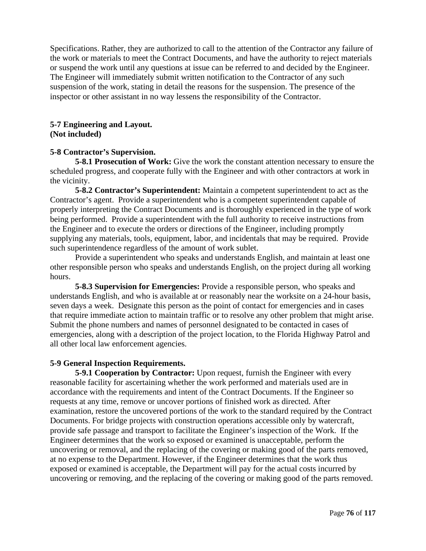Specifications. Rather, they are authorized to call to the attention of the Contractor any failure of the work or materials to meet the Contract Documents, and have the authority to reject materials or suspend the work until any questions at issue can be referred to and decided by the Engineer. The Engineer will immediately submit written notification to the Contractor of any such suspension of the work, stating in detail the reasons for the suspension. The presence of the inspector or other assistant in no way lessens the responsibility of the Contractor.

#### **5-7 Engineering and Layout. (Not included)**

## **5-8 Contractor's Supervision.**

**5-8.1 Prosecution of Work:** Give the work the constant attention necessary to ensure the scheduled progress, and cooperate fully with the Engineer and with other contractors at work in the vicinity.

**5-8.2 Contractor's Superintendent:** Maintain a competent superintendent to act as the Contractor's agent. Provide a superintendent who is a competent superintendent capable of properly interpreting the Contract Documents and is thoroughly experienced in the type of work being performed. Provide a superintendent with the full authority to receive instructions from the Engineer and to execute the orders or directions of the Engineer, including promptly supplying any materials, tools, equipment, labor, and incidentals that may be required. Provide such superintendence regardless of the amount of work sublet.

Provide a superintendent who speaks and understands English, and maintain at least one other responsible person who speaks and understands English, on the project during all working hours.

**5-8.3 Supervision for Emergencies:** Provide a responsible person, who speaks and understands English, and who is available at or reasonably near the worksite on a 24-hour basis, seven days a week. Designate this person as the point of contact for emergencies and in cases that require immediate action to maintain traffic or to resolve any other problem that might arise. Submit the phone numbers and names of personnel designated to be contacted in cases of emergencies, along with a description of the project location, to the Florida Highway Patrol and all other local law enforcement agencies.

## **5-9 General Inspection Requirements.**

**5-9.1 Cooperation by Contractor:** Upon request, furnish the Engineer with every reasonable facility for ascertaining whether the work performed and materials used are in accordance with the requirements and intent of the Contract Documents. If the Engineer so requests at any time, remove or uncover portions of finished work as directed. After examination, restore the uncovered portions of the work to the standard required by the Contract Documents. For bridge projects with construction operations accessible only by watercraft, provide safe passage and transport to facilitate the Engineer's inspection of the Work. If the Engineer determines that the work so exposed or examined is unacceptable, perform the uncovering or removal, and the replacing of the covering or making good of the parts removed, at no expense to the Department. However, if the Engineer determines that the work thus exposed or examined is acceptable, the Department will pay for the actual costs incurred by uncovering or removing, and the replacing of the covering or making good of the parts removed.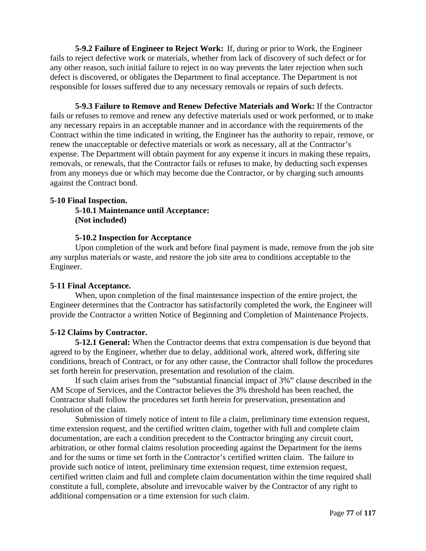**5-9.2 Failure of Engineer to Reject Work:** If, during or prior to Work, the Engineer fails to reject defective work or materials, whether from lack of discovery of such defect or for any other reason, such initial failure to reject in no way prevents the later rejection when such defect is discovered, or obligates the Department to final acceptance. The Department is not responsible for losses suffered due to any necessary removals or repairs of such defects.

**5-9.3 Failure to Remove and Renew Defective Materials and Work:** If the Contractor fails or refuses to remove and renew any defective materials used or work performed, or to make any necessary repairs in an acceptable manner and in accordance with the requirements of the Contract within the time indicated in writing, the Engineer has the authority to repair, remove, or renew the unacceptable or defective materials or work as necessary, all at the Contractor's expense. The Department will obtain payment for any expense it incurs in making these repairs, removals, or renewals, that the Contractor fails or refuses to make, by deducting such expenses from any moneys due or which may become due the Contractor, or by charging such amounts against the Contract bond.

## **5-10 Final Inspection.**

**5-10.1 Maintenance until Acceptance: (Not included)** 

#### **5-10.2 Inspection for Acceptance**

Upon completion of the work and before final payment is made, remove from the job site any surplus materials or waste, and restore the job site area to conditions acceptable to the Engineer.

## **5-11 Final Acceptance.**

When, upon completion of the final maintenance inspection of the entire project, the Engineer determines that the Contractor has satisfactorily completed the work, the Engineer will provide the Contractor a written Notice of Beginning and Completion of Maintenance Projects.

## **5-12 Claims by Contractor.**

**5-12.1 General:** When the Contractor deems that extra compensation is due beyond that agreed to by the Engineer, whether due to delay, additional work, altered work, differing site conditions, breach of Contract, or for any other cause, the Contractor shall follow the procedures set forth herein for preservation, presentation and resolution of the claim.

If such claim arises from the "substantial financial impact of 3%" clause described in the AM Scope of Services, and the Contractor believes the 3% threshold has been reached, the Contractor shall follow the procedures set forth herein for preservation, presentation and resolution of the claim.

Submission of timely notice of intent to file a claim, preliminary time extension request, time extension request, and the certified written claim, together with full and complete claim documentation, are each a condition precedent to the Contractor bringing any circuit court, arbitration, or other formal claims resolution proceeding against the Department for the items and for the sums or time set forth in the Contractor's certified written claim. The failure to provide such notice of intent, preliminary time extension request, time extension request, certified written claim and full and complete claim documentation within the time required shall constitute a full, complete, absolute and irrevocable waiver by the Contractor of any right to additional compensation or a time extension for such claim.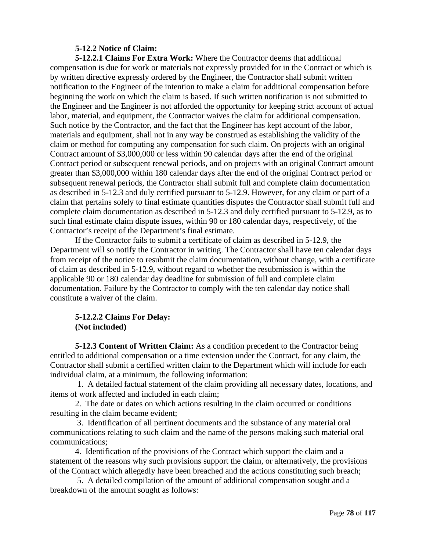# **5-12.2 Notice of Claim:**

**5-12.2.1 Claims For Extra Work:** Where the Contractor deems that additional compensation is due for work or materials not expressly provided for in the Contract or which is by written directive expressly ordered by the Engineer, the Contractor shall submit written notification to the Engineer of the intention to make a claim for additional compensation before beginning the work on which the claim is based. If such written notification is not submitted to the Engineer and the Engineer is not afforded the opportunity for keeping strict account of actual labor, material, and equipment, the Contractor waives the claim for additional compensation. Such notice by the Contractor, and the fact that the Engineer has kept account of the labor, materials and equipment, shall not in any way be construed as establishing the validity of the claim or method for computing any compensation for such claim. On projects with an original Contract amount of \$3,000,000 or less within 90 calendar days after the end of the original Contract period or subsequent renewal periods, and on projects with an original Contract amount greater than \$3,000,000 within 180 calendar days after the end of the original Contract period or subsequent renewal periods, the Contractor shall submit full and complete claim documentation as described in 5-12.3 and duly certified pursuant to 5-12.9. However, for any claim or part of a claim that pertains solely to final estimate quantities disputes the Contractor shall submit full and complete claim documentation as described in 5-12.3 and duly certified pursuant to 5-12.9, as to such final estimate claim dispute issues, within 90 or 180 calendar days, respectively, of the Contractor's receipt of the Department's final estimate.

If the Contractor fails to submit a certificate of claim as described in 5-12.9, the Department will so notify the Contractor in writing. The Contractor shall have ten calendar days from receipt of the notice to resubmit the claim documentation, without change, with a certificate of claim as described in 5-12.9, without regard to whether the resubmission is within the applicable 90 or 180 calendar day deadline for submission of full and complete claim documentation. Failure by the Contractor to comply with the ten calendar day notice shall constitute a waiver of the claim.

# **5-12.2.2 Claims For Delay: (Not included)**

**5-12.3 Content of Written Claim:** As a condition precedent to the Contractor being entitled to additional compensation or a time extension under the Contract, for any claim, the Contractor shall submit a certified written claim to the Department which will include for each individual claim, at a minimum, the following information:

 1. A detailed factual statement of the claim providing all necessary dates, locations, and items of work affected and included in each claim;

2. The date or dates on which actions resulting in the claim occurred or conditions resulting in the claim became evident;

 3. Identification of all pertinent documents and the substance of any material oral communications relating to such claim and the name of the persons making such material oral communications;

4. Identification of the provisions of the Contract which support the claim and a statement of the reasons why such provisions support the claim, or alternatively, the provisions of the Contract which allegedly have been breached and the actions constituting such breach;

 5. A detailed compilation of the amount of additional compensation sought and a breakdown of the amount sought as follows: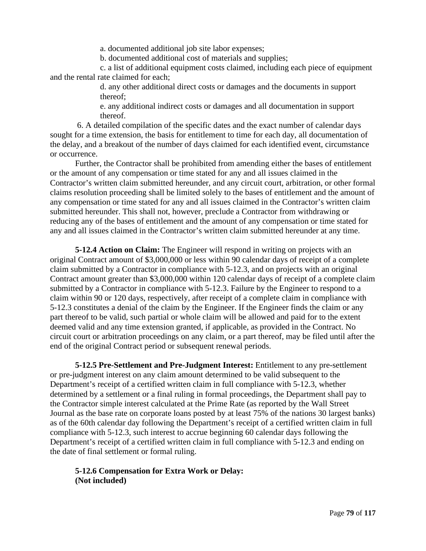a. documented additional job site labor expenses;

b. documented additional cost of materials and supplies;

c. a list of additional equipment costs claimed, including each piece of equipment and the rental rate claimed for each;

> d. any other additional direct costs or damages and the documents in support thereof;

> e. any additional indirect costs or damages and all documentation in support thereof.

 6. A detailed compilation of the specific dates and the exact number of calendar days sought for a time extension, the basis for entitlement to time for each day, all documentation of the delay, and a breakout of the number of days claimed for each identified event, circumstance or occurrence.

Further, the Contractor shall be prohibited from amending either the bases of entitlement or the amount of any compensation or time stated for any and all issues claimed in the Contractor's written claim submitted hereunder, and any circuit court, arbitration, or other formal claims resolution proceeding shall be limited solely to the bases of entitlement and the amount of any compensation or time stated for any and all issues claimed in the Contractor's written claim submitted hereunder. This shall not, however, preclude a Contractor from withdrawing or reducing any of the bases of entitlement and the amount of any compensation or time stated for any and all issues claimed in the Contractor's written claim submitted hereunder at any time.

**5-12.4 Action on Claim:** The Engineer will respond in writing on projects with an original Contract amount of \$3,000,000 or less within 90 calendar days of receipt of a complete claim submitted by a Contractor in compliance with 5-12.3, and on projects with an original Contract amount greater than \$3,000,000 within 120 calendar days of receipt of a complete claim submitted by a Contractor in compliance with 5-12.3. Failure by the Engineer to respond to a claim within 90 or 120 days, respectively, after receipt of a complete claim in compliance with 5-12.3 constitutes a denial of the claim by the Engineer. If the Engineer finds the claim or any part thereof to be valid, such partial or whole claim will be allowed and paid for to the extent deemed valid and any time extension granted, if applicable, as provided in the Contract. No circuit court or arbitration proceedings on any claim, or a part thereof, may be filed until after the end of the original Contract period or subsequent renewal periods.

**5-12.5 Pre-Settlement and Pre-Judgment Interest:** Entitlement to any pre-settlement or pre-judgment interest on any claim amount determined to be valid subsequent to the Department's receipt of a certified written claim in full compliance with 5-12.3, whether determined by a settlement or a final ruling in formal proceedings, the Department shall pay to the Contractor simple interest calculated at the Prime Rate (as reported by the Wall Street Journal as the base rate on corporate loans posted by at least 75% of the nations 30 largest banks) as of the 60th calendar day following the Department's receipt of a certified written claim in full compliance with 5-12.3, such interest to accrue beginning 60 calendar days following the Department's receipt of a certified written claim in full compliance with 5-12.3 and ending on the date of final settlement or formal ruling.

## **5-12.6 Compensation for Extra Work or Delay: (Not included)**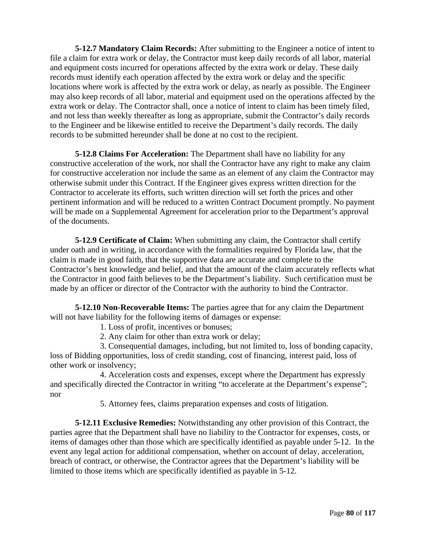**5-12.7 Mandatory Claim Records:** After submitting to the Engineer a notice of intent to file a claim for extra work or delay, the Contractor must keep daily records of all labor, material and equipment costs incurred for operations affected by the extra work or delay. These daily records must identify each operation affected by the extra work or delay and the specific locations where work is affected by the extra work or delay, as nearly as possible. The Engineer may also keep records of all labor, material and equipment used on the operations affected by the extra work or delay. The Contractor shall, once a notice of intent to claim has been timely filed, and not less than weekly thereafter as long as appropriate, submit the Contractor's daily records to the Engineer and be likewise entitled to receive the Department's daily records. The daily records to be submitted hereunder shall be done at no cost to the recipient.

**5-12.8 Claims For Acceleration:** The Department shall have no liability for any constructive acceleration of the work, nor shall the Contractor have any right to make any claim for constructive acceleration nor include the same as an element of any claim the Contractor may otherwise submit under this Contract. If the Engineer gives express written direction for the Contractor to accelerate its efforts, such written direction will set forth the prices and other pertinent information and will be reduced to a written Contract Document promptly. No payment will be made on a Supplemental Agreement for acceleration prior to the Department's approval of the documents.

**5-12.9 Certificate of Claim:** When submitting any claim, the Contractor shall certify under oath and in writing, in accordance with the formalities required by Florida law, that the claim is made in good faith, that the supportive data are accurate and complete to the Contractor's best knowledge and belief, and that the amount of the claim accurately reflects what the Contractor in good faith believes to be the Department's liability. Such certification must be made by an officer or director of the Contractor with the authority to bind the Contractor.

**5-12.10 Non-Recoverable Items:** The parties agree that for any claim the Department will not have liability for the following items of damages or expense:

1. Loss of profit, incentives or bonuses;

2. Any claim for other than extra work or delay;

3. Consequential damages, including, but not limited to, loss of bonding capacity, loss of Bidding opportunities, loss of credit standing, cost of financing, interest paid, loss of other work or insolvency;

4. Acceleration costs and expenses, except where the Department has expressly and specifically directed the Contractor in writing "to accelerate at the Department's expense"; nor

5. Attorney fees, claims preparation expenses and costs of litigation.

**5-12.11 Exclusive Remedies:** Notwithstanding any other provision of this Contract, the parties agree that the Department shall have no liability to the Contractor for expenses, costs, or items of damages other than those which are specifically identified as payable under 5-12. In the event any legal action for additional compensation, whether on account of delay, acceleration, breach of contract, or otherwise, the Contractor agrees that the Department's liability will be limited to those items which are specifically identified as payable in 5-12.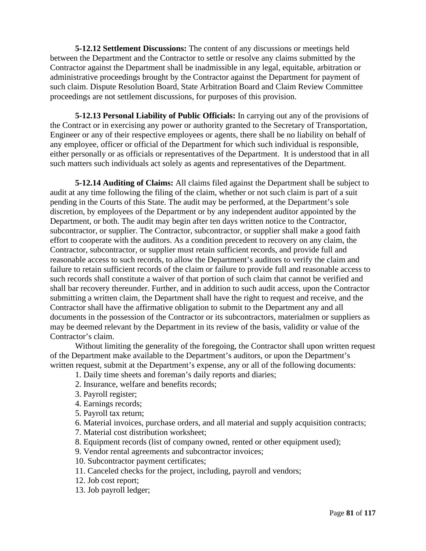**5-12.12 Settlement Discussions:** The content of any discussions or meetings held between the Department and the Contractor to settle or resolve any claims submitted by the Contractor against the Department shall be inadmissible in any legal, equitable, arbitration or administrative proceedings brought by the Contractor against the Department for payment of such claim. Dispute Resolution Board, State Arbitration Board and Claim Review Committee proceedings are not settlement discussions, for purposes of this provision.

**5-12.13 Personal Liability of Public Officials:** In carrying out any of the provisions of the Contract or in exercising any power or authority granted to the Secretary of Transportation, Engineer or any of their respective employees or agents, there shall be no liability on behalf of any employee, officer or official of the Department for which such individual is responsible, either personally or as officials or representatives of the Department. It is understood that in all such matters such individuals act solely as agents and representatives of the Department.

**5-12.14 Auditing of Claims:** All claims filed against the Department shall be subject to audit at any time following the filing of the claim, whether or not such claim is part of a suit pending in the Courts of this State. The audit may be performed, at the Department's sole discretion, by employees of the Department or by any independent auditor appointed by the Department, or both. The audit may begin after ten days written notice to the Contractor, subcontractor, or supplier. The Contractor, subcontractor, or supplier shall make a good faith effort to cooperate with the auditors. As a condition precedent to recovery on any claim, the Contractor, subcontractor, or supplier must retain sufficient records, and provide full and reasonable access to such records, to allow the Department's auditors to verify the claim and failure to retain sufficient records of the claim or failure to provide full and reasonable access to such records shall constitute a waiver of that portion of such claim that cannot be verified and shall bar recovery thereunder. Further, and in addition to such audit access, upon the Contractor submitting a written claim, the Department shall have the right to request and receive, and the Contractor shall have the affirmative obligation to submit to the Department any and all documents in the possession of the Contractor or its subcontractors, materialmen or suppliers as may be deemed relevant by the Department in its review of the basis, validity or value of the Contractor's claim.

Without limiting the generality of the foregoing, the Contractor shall upon written request of the Department make available to the Department's auditors, or upon the Department's written request, submit at the Department's expense, any or all of the following documents:

- 1. Daily time sheets and foreman's daily reports and diaries;
- 2. Insurance, welfare and benefits records;
- 3. Payroll register;
- 4. Earnings records;
- 5. Payroll tax return;
- 6. Material invoices, purchase orders, and all material and supply acquisition contracts;
- 7. Material cost distribution worksheet;
- 8. Equipment records (list of company owned, rented or other equipment used);
- 9. Vendor rental agreements and subcontractor invoices;
- 10. Subcontractor payment certificates;
- 11. Canceled checks for the project, including, payroll and vendors;
- 12. Job cost report;
- 13. Job payroll ledger;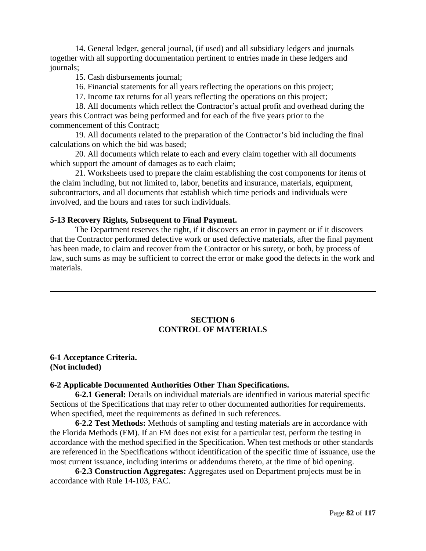14. General ledger, general journal, (if used) and all subsidiary ledgers and journals together with all supporting documentation pertinent to entries made in these ledgers and journals;

15. Cash disbursements journal;

16. Financial statements for all years reflecting the operations on this project;

17. Income tax returns for all years reflecting the operations on this project;

18. All documents which reflect the Contractor's actual profit and overhead during the years this Contract was being performed and for each of the five years prior to the commencement of this Contract;

19. All documents related to the preparation of the Contractor's bid including the final calculations on which the bid was based;

20. All documents which relate to each and every claim together with all documents which support the amount of damages as to each claim;

21. Worksheets used to prepare the claim establishing the cost components for items of the claim including, but not limited to, labor, benefits and insurance, materials, equipment, subcontractors, and all documents that establish which time periods and individuals were involved, and the hours and rates for such individuals.

## **5-13 Recovery Rights, Subsequent to Final Payment.**

The Department reserves the right, if it discovers an error in payment or if it discovers that the Contractor performed defective work or used defective materials, after the final payment has been made, to claim and recover from the Contractor or his surety, or both, by process of law, such sums as may be sufficient to correct the error or make good the defects in the work and materials.

# **SECTION 6 CONTROL OF MATERIALS**

**6-1 Acceptance Criteria. (Not included)** 

#### **6-2 Applicable Documented Authorities Other Than Specifications.**

**6-2.1 General:** Details on individual materials are identified in various material specific Sections of the Specifications that may refer to other documented authorities for requirements. When specified, meet the requirements as defined in such references.

**6-2.2 Test Methods:** Methods of sampling and testing materials are in accordance with the Florida Methods (FM). If an FM does not exist for a particular test, perform the testing in accordance with the method specified in the Specification. When test methods or other standards are referenced in the Specifications without identification of the specific time of issuance, use the most current issuance, including interims or addendums thereto, at the time of bid opening.

**6-2.3 Construction Aggregates:** Aggregates used on Department projects must be in accordance with Rule 14-103, FAC.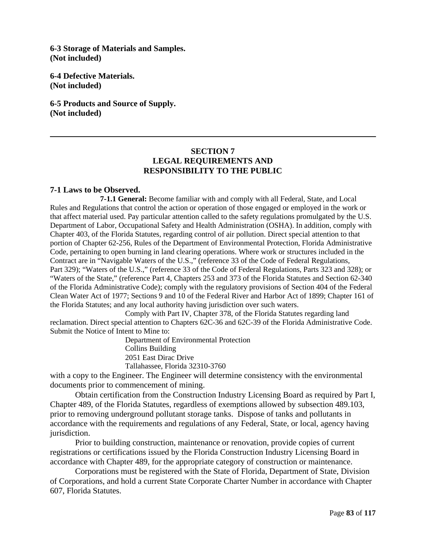**6-3 Storage of Materials and Samples. (Not included)** 

**6-4 Defective Materials. (Not included)** 

**6-5 Products and Source of Supply. (Not included)** 

## **SECTION 7 LEGAL REQUIREMENTS AND RESPONSIBILITY TO THE PUBLIC**

#### **7-1 Laws to be Observed.**

**7-1.1 General:** Become familiar with and comply with all Federal, State, and Local Rules and Regulations that control the action or operation of those engaged or employed in the work or that affect material used. Pay particular attention called to the safety regulations promulgated by the U.S. Department of Labor, Occupational Safety and Health Administration (OSHA). In addition, comply with Chapter 403, of the Florida Statutes, regarding control of air pollution. Direct special attention to that portion of Chapter 62-256, Rules of the Department of Environmental Protection, Florida Administrative Code, pertaining to open burning in land clearing operations. Where work or structures included in the Contract are in "Navigable Waters of the U.S.," (reference 33 of the Code of Federal Regulations, Part 329); "Waters of the U.S.," (reference 33 of the Code of Federal Regulations, Parts 323 and 328); or "Waters of the State," (reference Part 4, Chapters 253 and 373 of the Florida Statutes and Section 62-340 of the Florida Administrative Code); comply with the regulatory provisions of Section 404 of the Federal Clean Water Act of 1977; Sections 9 and 10 of the Federal River and Harbor Act of 1899; Chapter 161 of the Florida Statutes; and any local authority having jurisdiction over such waters.

Comply with Part IV, Chapter 378, of the Florida Statutes regarding land reclamation. Direct special attention to Chapters 62C-36 and 62C-39 of the Florida Administrative Code. Submit the Notice of Intent to Mine to:

Department of Environmental Protection Collins Building 2051 East Dirac Drive Tallahassee, Florida 32310-3760

with a copy to the Engineer. The Engineer will determine consistency with the environmental documents prior to commencement of mining.

Obtain certification from the Construction Industry Licensing Board as required by Part I, Chapter 489, of the Florida Statutes, regardless of exemptions allowed by subsection 489.103, prior to removing underground pollutant storage tanks. Dispose of tanks and pollutants in accordance with the requirements and regulations of any Federal, State, or local, agency having jurisdiction.

Prior to building construction, maintenance or renovation, provide copies of current registrations or certifications issued by the Florida Construction Industry Licensing Board in accordance with Chapter 489, for the appropriate category of construction or maintenance.

Corporations must be registered with the State of Florida, Department of State, Division of Corporations, and hold a current State Corporate Charter Number in accordance with Chapter 607, Florida Statutes.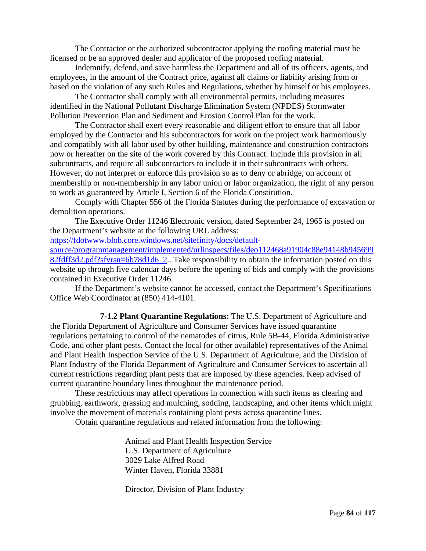The Contractor or the authorized subcontractor applying the roofing material must be licensed or be an approved dealer and applicator of the proposed roofing material.

Indemnify, defend, and save harmless the Department and all of its officers, agents, and employees, in the amount of the Contract price, against all claims or liability arising from or based on the violation of any such Rules and Regulations, whether by himself or his employees.

The Contractor shall comply with all environmental permits, including measures identified in the National Pollutant Discharge Elimination System (NPDES) Stormwater Pollution Prevention Plan and Sediment and Erosion Control Plan for the work.

The Contractor shall exert every reasonable and diligent effort to ensure that all labor employed by the Contractor and his subcontractors for work on the project work harmoniously and compatibly with all labor used by other building, maintenance and construction contractors now or hereafter on the site of the work covered by this Contract. Include this provision in all subcontracts, and require all subcontractors to include it in their subcontracts with others. However, do not interpret or enforce this provision so as to deny or abridge, on account of membership or non-membership in any labor union or labor organization, the right of any person to work as guaranteed by Article I, Section 6 of the Florida Constitution.

Comply with Chapter 556 of the Florida Statutes during the performance of excavation or demolition operations.

The Executive Order 11246 Electronic version, dated September 24, 1965 is posted on the Department's website at the following URL address:

https://fdotwww.blob.core.windows.net/sitefinity/docs/default-

source/programmanagement/implemented/urlinspecs/files/deo112468a91904c88e94148b945699 82fdff3d2.pdf?sfvrsn=6b78d1d6\_2.. Take responsibility to obtain the information posted on this website up through five calendar days before the opening of bids and comply with the provisions contained in Executive Order 11246.

If the Department's website cannot be accessed, contact the Department's Specifications Office Web Coordinator at (850) 414-4101.

**7-1.2 Plant Quarantine Regulations:** The U.S. Department of Agriculture and the Florida Department of Agriculture and Consumer Services have issued quarantine regulations pertaining to control of the nematodes of citrus, Rule 5B-44, Florida Administrative Code, and other plant pests. Contact the local (or other available) representatives of the Animal and Plant Health Inspection Service of the U.S. Department of Agriculture, and the Division of Plant Industry of the Florida Department of Agriculture and Consumer Services to ascertain all current restrictions regarding plant pests that are imposed by these agencies. Keep advised of current quarantine boundary lines throughout the maintenance period.

These restrictions may affect operations in connection with such items as clearing and grubbing, earthwork, grassing and mulching, sodding, landscaping, and other items which might involve the movement of materials containing plant pests across quarantine lines.

Obtain quarantine regulations and related information from the following:

Animal and Plant Health Inspection Service U.S. Department of Agriculture 3029 Lake Alfred Road Winter Haven, Florida 33881

Director, Division of Plant Industry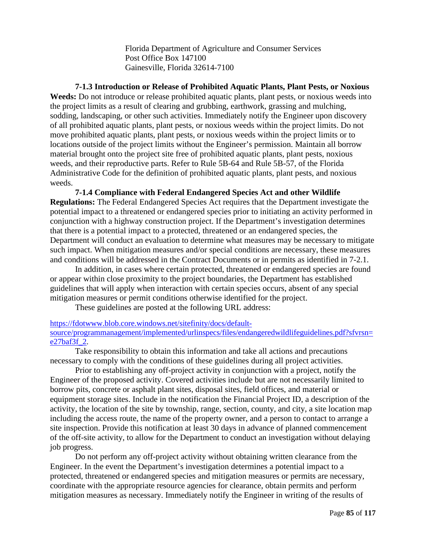Florida Department of Agriculture and Consumer Services Post Office Box 147100 Gainesville, Florida 32614-7100

**7-1.3 Introduction or Release of Prohibited Aquatic Plants, Plant Pests, or Noxious**  Weeds: Do not introduce or release prohibited aquatic plants, plant pests, or noxious weeds into the project limits as a result of clearing and grubbing, earthwork, grassing and mulching, sodding, landscaping, or other such activities. Immediately notify the Engineer upon discovery of all prohibited aquatic plants, plant pests, or noxious weeds within the project limits. Do not move prohibited aquatic plants, plant pests, or noxious weeds within the project limits or to locations outside of the project limits without the Engineer's permission. Maintain all borrow material brought onto the project site free of prohibited aquatic plants, plant pests, noxious weeds, and their reproductive parts. Refer to Rule 5B-64 and Rule 5B-57, of the Florida Administrative Code for the definition of prohibited aquatic plants, plant pests, and noxious weeds.

**7-1.4 Compliance with Federal Endangered Species Act and other Wildlife Regulations:** The Federal Endangered Species Act requires that the Department investigate the potential impact to a threatened or endangered species prior to initiating an activity performed in conjunction with a highway construction project. If the Department's investigation determines that there is a potential impact to a protected, threatened or an endangered species, the Department will conduct an evaluation to determine what measures may be necessary to mitigate such impact. When mitigation measures and/or special conditions are necessary, these measures and conditions will be addressed in the Contract Documents or in permits as identified in 7-2.1.

In addition, in cases where certain protected, threatened or endangered species are found or appear within close proximity to the project boundaries, the Department has established guidelines that will apply when interaction with certain species occurs, absent of any special mitigation measures or permit conditions otherwise identified for the project.

These guidelines are posted at the following URL address:

#### https://fdotwww.blob.core.windows.net/sitefinity/docs/defaultsource/programmanagement/implemented/urlinspecs/files/endangeredwildlifeguidelines.pdf?sfvrsn= e27baf3f\_2.

Take responsibility to obtain this information and take all actions and precautions necessary to comply with the conditions of these guidelines during all project activities.

Prior to establishing any off-project activity in conjunction with a project, notify the Engineer of the proposed activity. Covered activities include but are not necessarily limited to borrow pits, concrete or asphalt plant sites, disposal sites, field offices, and material or equipment storage sites. Include in the notification the Financial Project ID, a description of the activity, the location of the site by township, range, section, county, and city, a site location map including the access route, the name of the property owner, and a person to contact to arrange a site inspection. Provide this notification at least 30 days in advance of planned commencement of the off-site activity, to allow for the Department to conduct an investigation without delaying job progress.

Do not perform any off-project activity without obtaining written clearance from the Engineer. In the event the Department's investigation determines a potential impact to a protected, threatened or endangered species and mitigation measures or permits are necessary, coordinate with the appropriate resource agencies for clearance, obtain permits and perform mitigation measures as necessary. Immediately notify the Engineer in writing of the results of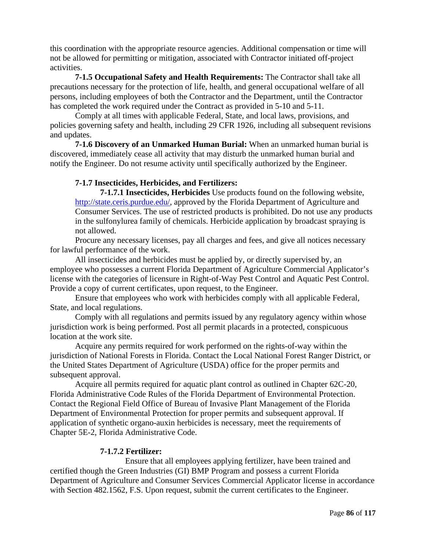this coordination with the appropriate resource agencies. Additional compensation or time will not be allowed for permitting or mitigation, associated with Contractor initiated off-project activities.

**7-1.5 Occupational Safety and Health Requirements:** The Contractor shall take all precautions necessary for the protection of life, health, and general occupational welfare of all persons, including employees of both the Contractor and the Department, until the Contractor has completed the work required under the Contract as provided in 5-10 and 5-11.

Comply at all times with applicable Federal, State, and local laws, provisions, and policies governing safety and health, including 29 CFR 1926, including all subsequent revisions and updates.

**7-1.6 Discovery of an Unmarked Human Burial:** When an unmarked human burial is discovered, immediately cease all activity that may disturb the unmarked human burial and notify the Engineer. Do not resume activity until specifically authorized by the Engineer.

# **7-1.7 Insecticides, Herbicides, and Fertilizers:**

**7-1.7.1 Insecticides, Herbicides** Use products found on the following website, http://state.ceris.purdue.edu/, approved by the Florida Department of Agriculture and Consumer Services. The use of restricted products is prohibited. Do not use any products in the sulfonylurea family of chemicals. Herbicide application by broadcast spraying is not allowed.

Procure any necessary licenses, pay all charges and fees, and give all notices necessary for lawful performance of the work.

All insecticides and herbicides must be applied by, or directly supervised by, an employee who possesses a current Florida Department of Agriculture Commercial Applicator's license with the categories of licensure in Right-of-Way Pest Control and Aquatic Pest Control. Provide a copy of current certificates, upon request, to the Engineer.

Ensure that employees who work with herbicides comply with all applicable Federal, State, and local regulations.

Comply with all regulations and permits issued by any regulatory agency within whose jurisdiction work is being performed. Post all permit placards in a protected, conspicuous location at the work site.

Acquire any permits required for work performed on the rights-of-way within the jurisdiction of National Forests in Florida. Contact the Local National Forest Ranger District, or the United States Department of Agriculture (USDA) office for the proper permits and subsequent approval.

Acquire all permits required for aquatic plant control as outlined in Chapter 62C-20, Florida Administrative Code Rules of the Florida Department of Environmental Protection. Contact the Regional Field Office of Bureau of Invasive Plant Management of the Florida Department of Environmental Protection for proper permits and subsequent approval. If application of synthetic organo-auxin herbicides is necessary, meet the requirements of Chapter 5E-2, Florida Administrative Code.

# **7-1.7.2 Fertilizer:**

 Ensure that all employees applying fertilizer, have been trained and certified though the Green Industries (GI) BMP Program and possess a current Florida Department of Agriculture and Consumer Services Commercial Applicator license in accordance with Section 482.1562, F.S. Upon request, submit the current certificates to the Engineer.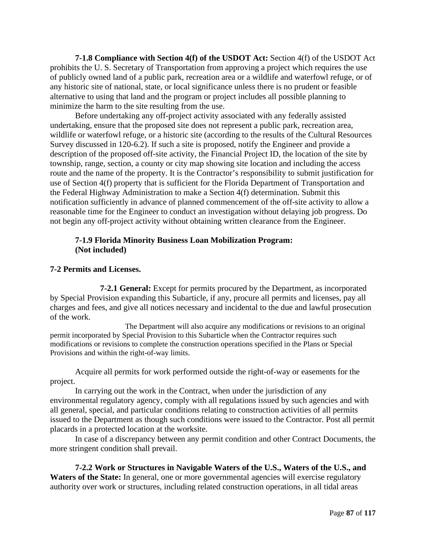**7-1.8 Compliance with Section 4(f) of the USDOT Act:** Section 4(f) of the USDOT Act prohibits the U. S. Secretary of Transportation from approving a project which requires the use of publicly owned land of a public park, recreation area or a wildlife and waterfowl refuge, or of any historic site of national, state, or local significance unless there is no prudent or feasible alternative to using that land and the program or project includes all possible planning to minimize the harm to the site resulting from the use.

Before undertaking any off-project activity associated with any federally assisted undertaking, ensure that the proposed site does not represent a public park, recreation area, wildlife or waterfowl refuge, or a historic site (according to the results of the Cultural Resources Survey discussed in 120-6.2). If such a site is proposed, notify the Engineer and provide a description of the proposed off-site activity, the Financial Project ID, the location of the site by township, range, section, a county or city map showing site location and including the access route and the name of the property. It is the Contractor's responsibility to submit justification for use of Section 4(f) property that is sufficient for the Florida Department of Transportation and the Federal Highway Administration to make a Section 4(f) determination. Submit this notification sufficiently in advance of planned commencement of the off-site activity to allow a reasonable time for the Engineer to conduct an investigation without delaying job progress. Do not begin any off-project activity without obtaining written clearance from the Engineer.

# **7-1.9 Florida Minority Business Loan Mobilization Program: (Not included)**

## **7-2 Permits and Licenses.**

**7-2.1 General:** Except for permits procured by the Department, as incorporated by Special Provision expanding this Subarticle, if any, procure all permits and licenses, pay all charges and fees, and give all notices necessary and incidental to the due and lawful prosecution of the work.

The Department will also acquire any modifications or revisions to an original permit incorporated by Special Provision to this Subarticle when the Contractor requires such modifications or revisions to complete the construction operations specified in the Plans or Special Provisions and within the right-of-way limits.

Acquire all permits for work performed outside the right-of-way or easements for the project.

In carrying out the work in the Contract, when under the jurisdiction of any environmental regulatory agency, comply with all regulations issued by such agencies and with all general, special, and particular conditions relating to construction activities of all permits issued to the Department as though such conditions were issued to the Contractor. Post all permit placards in a protected location at the worksite.

In case of a discrepancy between any permit condition and other Contract Documents, the more stringent condition shall prevail.

**7-2.2 Work or Structures in Navigable Waters of the U.S., Waters of the U.S., and**  Waters of the State: In general, one or more governmental agencies will exercise regulatory authority over work or structures, including related construction operations, in all tidal areas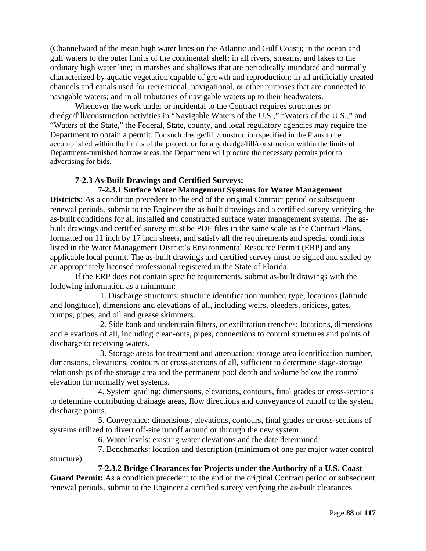(Channelward of the mean high water lines on the Atlantic and Gulf Coast); in the ocean and gulf waters to the outer limits of the continental shelf; in all rivers, streams, and lakes to the ordinary high water line; in marshes and shallows that are periodically inundated and normally characterized by aquatic vegetation capable of growth and reproduction; in all artificially created channels and canals used for recreational, navigational, or other purposes that are connected to navigable waters; and in all tributaries of navigable waters up to their headwaters.

Whenever the work under or incidental to the Contract requires structures or dredge/fill/construction activities in "Navigable Waters of the U.S.," "Waters of the U.S.," and "Waters of the State," the Federal, State, county, and local regulatory agencies may require the Department to obtain a permit. For such dredge/fill /construction specified in the Plans to be accomplished within the limits of the project, or for any dredge/fill/construction within the limits of Department-furnished borrow areas, the Department will procure the necessary permits prior to advertising for bids.

# **7-2.3 As-Built Drawings and Certified Surveys:**

.

#### **7-2.3.1 Surface Water Management Systems for Water Management**

**Districts:** As a condition precedent to the end of the original Contract period or subsequent renewal periods, submit to the Engineer the as-built drawings and a certified survey verifying the as-built conditions for all installed and constructed surface water management systems. The asbuilt drawings and certified survey must be PDF files in the same scale as the Contract Plans, formatted on 11 inch by 17 inch sheets, and satisfy all the requirements and special conditions listed in the Water Management District's Environmental Resource Permit (ERP) and any applicable local permit. The as-built drawings and certified survey must be signed and sealed by an appropriately licensed professional registered in the State of Florida.

If the ERP does not contain specific requirements, submit as-built drawings with the following information as a minimum:

 1. Discharge structures: structure identification number, type, locations (latitude and longitude), dimensions and elevations of all, including weirs, bleeders, orifices, gates, pumps, pipes, and oil and grease skimmers.

 2. Side bank and underdrain filters, or exfiltration trenches: locations, dimensions and elevations of all, including clean-outs, pipes, connections to control structures and points of discharge to receiving waters.

 3. Storage areas for treatment and attenuation: storage area identification number, dimensions, elevations, contours or cross-sections of all, sufficient to determine stage-storage relationships of the storage area and the permanent pool depth and volume below the control elevation for normally wet systems.

 4. System grading: dimensions, elevations, contours, final grades or cross-sections to determine contributing drainage areas, flow directions and conveyance of runoff to the system discharge points.

 5. Conveyance: dimensions, elevations, contours, final grades or cross-sections of systems utilized to divert off-site runoff around or through the new system.

6. Water levels: existing water elevations and the date determined.

 7. Benchmarks: location and description (minimum of one per major water control structure).

 **7-2.3.2 Bridge Clearances for Projects under the Authority of a U.S. Coast Guard Permit:** As a condition precedent to the end of the original Contract period or subsequent renewal periods, submit to the Engineer a certified survey verifying the as-built clearances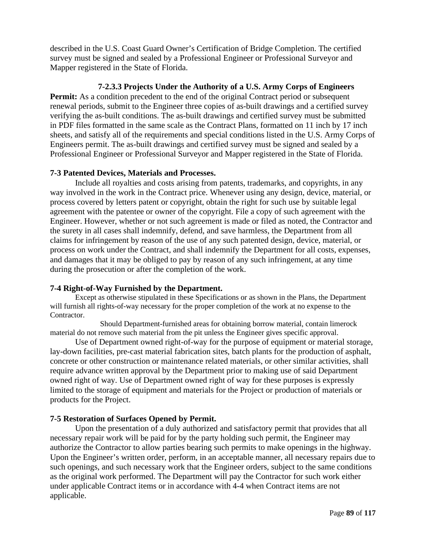described in the U.S. Coast Guard Owner's Certification of Bridge Completion. The certified survey must be signed and sealed by a Professional Engineer or Professional Surveyor and Mapper registered in the State of Florida.

# **7-2.3.3 Projects Under the Authority of a U.S. Army Corps of Engineers**

**Permit:** As a condition precedent to the end of the original Contract period or subsequent renewal periods, submit to the Engineer three copies of as-built drawings and a certified survey verifying the as-built conditions. The as-built drawings and certified survey must be submitted in PDF files formatted in the same scale as the Contract Plans, formatted on 11 inch by 17 inch sheets, and satisfy all of the requirements and special conditions listed in the U.S. Army Corps of Engineers permit. The as-built drawings and certified survey must be signed and sealed by a Professional Engineer or Professional Surveyor and Mapper registered in the State of Florida.

## **7-3 Patented Devices, Materials and Processes.**

Include all royalties and costs arising from patents, trademarks, and copyrights, in any way involved in the work in the Contract price. Whenever using any design, device, material, or process covered by letters patent or copyright, obtain the right for such use by suitable legal agreement with the patentee or owner of the copyright. File a copy of such agreement with the Engineer. However, whether or not such agreement is made or filed as noted, the Contractor and the surety in all cases shall indemnify, defend, and save harmless, the Department from all claims for infringement by reason of the use of any such patented design, device, material, or process on work under the Contract, and shall indemnify the Department for all costs, expenses, and damages that it may be obliged to pay by reason of any such infringement, at any time during the prosecution or after the completion of the work.

# **7-4 Right-of-Way Furnished by the Department.**

Except as otherwise stipulated in these Specifications or as shown in the Plans, the Department will furnish all rights-of-way necessary for the proper completion of the work at no expense to the Contractor.

Should Department-furnished areas for obtaining borrow material, contain limerock material do not remove such material from the pit unless the Engineer gives specific approval.

Use of Department owned right-of-way for the purpose of equipment or material storage, lay-down facilities, pre-cast material fabrication sites, batch plants for the production of asphalt, concrete or other construction or maintenance related materials, or other similar activities, shall require advance written approval by the Department prior to making use of said Department owned right of way. Use of Department owned right of way for these purposes is expressly limited to the storage of equipment and materials for the Project or production of materials or products for the Project.

# **7-5 Restoration of Surfaces Opened by Permit.**

Upon the presentation of a duly authorized and satisfactory permit that provides that all necessary repair work will be paid for by the party holding such permit, the Engineer may authorize the Contractor to allow parties bearing such permits to make openings in the highway. Upon the Engineer's written order, perform, in an acceptable manner, all necessary repairs due to such openings, and such necessary work that the Engineer orders, subject to the same conditions as the original work performed. The Department will pay the Contractor for such work either under applicable Contract items or in accordance with 4-4 when Contract items are not applicable.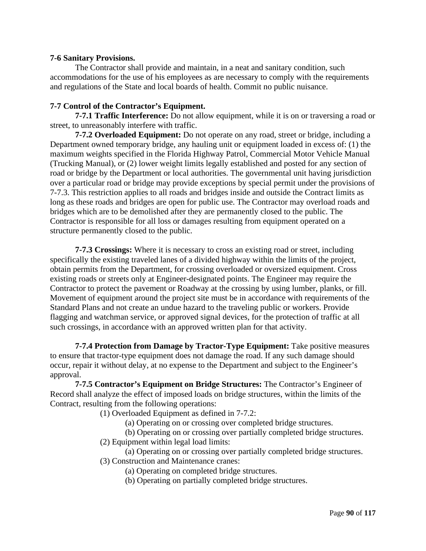## **7-6 Sanitary Provisions.**

The Contractor shall provide and maintain, in a neat and sanitary condition, such accommodations for the use of his employees as are necessary to comply with the requirements and regulations of the State and local boards of health. Commit no public nuisance.

# **7-7 Control of the Contractor's Equipment.**

**7-7.1 Traffic Interference:** Do not allow equipment, while it is on or traversing a road or street, to unreasonably interfere with traffic.

**7-7.2 Overloaded Equipment:** Do not operate on any road, street or bridge, including a Department owned temporary bridge, any hauling unit or equipment loaded in excess of: (1) the maximum weights specified in the Florida Highway Patrol, Commercial Motor Vehicle Manual (Trucking Manual), or (2) lower weight limits legally established and posted for any section of road or bridge by the Department or local authorities. The governmental unit having jurisdiction over a particular road or bridge may provide exceptions by special permit under the provisions of 7-7.3. This restriction applies to all roads and bridges inside and outside the Contract limits as long as these roads and bridges are open for public use. The Contractor may overload roads and bridges which are to be demolished after they are permanently closed to the public. The Contractor is responsible for all loss or damages resulting from equipment operated on a structure permanently closed to the public.

**7-7.3 Crossings:** Where it is necessary to cross an existing road or street, including specifically the existing traveled lanes of a divided highway within the limits of the project, obtain permits from the Department, for crossing overloaded or oversized equipment. Cross existing roads or streets only at Engineer-designated points. The Engineer may require the Contractor to protect the pavement or Roadway at the crossing by using lumber, planks, or fill. Movement of equipment around the project site must be in accordance with requirements of the Standard Plans and not create an undue hazard to the traveling public or workers. Provide flagging and watchman service, or approved signal devices, for the protection of traffic at all such crossings, in accordance with an approved written plan for that activity.

**7-7.4 Protection from Damage by Tractor-Type Equipment:** Take positive measures to ensure that tractor-type equipment does not damage the road. If any such damage should occur, repair it without delay, at no expense to the Department and subject to the Engineer's approval.

**7-7.5 Contractor's Equipment on Bridge Structures:** The Contractor's Engineer of Record shall analyze the effect of imposed loads on bridge structures, within the limits of the Contract, resulting from the following operations:

(1) Overloaded Equipment as defined in 7-7.2:

(a) Operating on or crossing over completed bridge structures.

 (b) Operating on or crossing over partially completed bridge structures. (2) Equipment within legal load limits:

 (a) Operating on or crossing over partially completed bridge structures. (3) Construction and Maintenance cranes:

(a) Operating on completed bridge structures.

(b) Operating on partially completed bridge structures.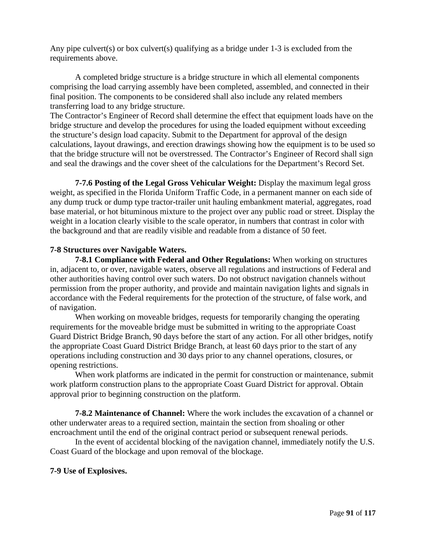Any pipe culvert(s) or box culvert(s) qualifying as a bridge under 1-3 is excluded from the requirements above.

A completed bridge structure is a bridge structure in which all elemental components comprising the load carrying assembly have been completed, assembled, and connected in their final position. The components to be considered shall also include any related members transferring load to any bridge structure.

The Contractor's Engineer of Record shall determine the effect that equipment loads have on the bridge structure and develop the procedures for using the loaded equipment without exceeding the structure's design load capacity. Submit to the Department for approval of the design calculations, layout drawings, and erection drawings showing how the equipment is to be used so that the bridge structure will not be overstressed. The Contractor's Engineer of Record shall sign and seal the drawings and the cover sheet of the calculations for the Department's Record Set.

**7-7.6 Posting of the Legal Gross Vehicular Weight:** Display the maximum legal gross weight, as specified in the Florida Uniform Traffic Code, in a permanent manner on each side of any dump truck or dump type tractor-trailer unit hauling embankment material, aggregates, road base material, or hot bituminous mixture to the project over any public road or street. Display the weight in a location clearly visible to the scale operator, in numbers that contrast in color with the background and that are readily visible and readable from a distance of 50 feet.

## **7-8 Structures over Navigable Waters.**

**7-8.1 Compliance with Federal and Other Regulations:** When working on structures in, adjacent to, or over, navigable waters, observe all regulations and instructions of Federal and other authorities having control over such waters. Do not obstruct navigation channels without permission from the proper authority, and provide and maintain navigation lights and signals in accordance with the Federal requirements for the protection of the structure, of false work, and of navigation.

When working on moveable bridges, requests for temporarily changing the operating requirements for the moveable bridge must be submitted in writing to the appropriate Coast Guard District Bridge Branch, 90 days before the start of any action. For all other bridges, notify the appropriate Coast Guard District Bridge Branch, at least 60 days prior to the start of any operations including construction and 30 days prior to any channel operations, closures, or opening restrictions.

When work platforms are indicated in the permit for construction or maintenance, submit work platform construction plans to the appropriate Coast Guard District for approval. Obtain approval prior to beginning construction on the platform.

**7-8.2 Maintenance of Channel:** Where the work includes the excavation of a channel or other underwater areas to a required section, maintain the section from shoaling or other encroachment until the end of the original contract period or subsequent renewal periods.

 In the event of accidental blocking of the navigation channel, immediately notify the U.S. Coast Guard of the blockage and upon removal of the blockage.

## **7-9 Use of Explosives.**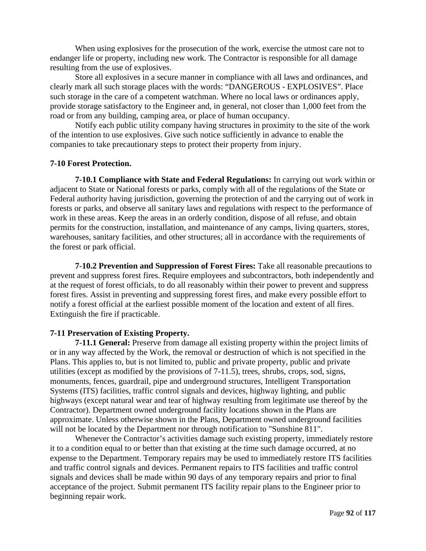When using explosives for the prosecution of the work, exercise the utmost care not to endanger life or property, including new work. The Contractor is responsible for all damage resulting from the use of explosives.

Store all explosives in a secure manner in compliance with all laws and ordinances, and clearly mark all such storage places with the words: "DANGEROUS - EXPLOSIVES". Place such storage in the care of a competent watchman. Where no local laws or ordinances apply, provide storage satisfactory to the Engineer and, in general, not closer than 1,000 feet from the road or from any building, camping area, or place of human occupancy.

Notify each public utility company having structures in proximity to the site of the work of the intention to use explosives. Give such notice sufficiently in advance to enable the companies to take precautionary steps to protect their property from injury.

## **7-10 Forest Protection.**

**7-10.1 Compliance with State and Federal Regulations:** In carrying out work within or adjacent to State or National forests or parks, comply with all of the regulations of the State or Federal authority having jurisdiction, governing the protection of and the carrying out of work in forests or parks, and observe all sanitary laws and regulations with respect to the performance of work in these areas. Keep the areas in an orderly condition, dispose of all refuse, and obtain permits for the construction, installation, and maintenance of any camps, living quarters, stores, warehouses, sanitary facilities, and other structures; all in accordance with the requirements of the forest or park official.

**7-10.2 Prevention and Suppression of Forest Fires:** Take all reasonable precautions to prevent and suppress forest fires. Require employees and subcontractors, both independently and at the request of forest officials, to do all reasonably within their power to prevent and suppress forest fires. Assist in preventing and suppressing forest fires, and make every possible effort to notify a forest official at the earliest possible moment of the location and extent of all fires. Extinguish the fire if practicable.

#### **7-11 Preservation of Existing Property.**

**7-11.1 General:** Preserve from damage all existing property within the project limits of or in any way affected by the Work, the removal or destruction of which is not specified in the Plans. This applies to, but is not limited to, public and private property, public and private utilities (except as modified by the provisions of 7-11.5), trees, shrubs, crops, sod, signs, monuments, fences, guardrail, pipe and underground structures, Intelligent Transportation Systems (ITS) facilities, traffic control signals and devices, highway lighting, and public highways (except natural wear and tear of highway resulting from legitimate use thereof by the Contractor). Department owned underground facility locations shown in the Plans are approximate. Unless otherwise shown in the Plans, Department owned underground facilities will not be located by the Department nor through notification to "Sunshine 811".

Whenever the Contractor's activities damage such existing property, immediately restore it to a condition equal to or better than that existing at the time such damage occurred, at no expense to the Department. Temporary repairs may be used to immediately restore ITS facilities and traffic control signals and devices. Permanent repairs to ITS facilities and traffic control signals and devices shall be made within 90 days of any temporary repairs and prior to final acceptance of the project. Submit permanent ITS facility repair plans to the Engineer prior to beginning repair work.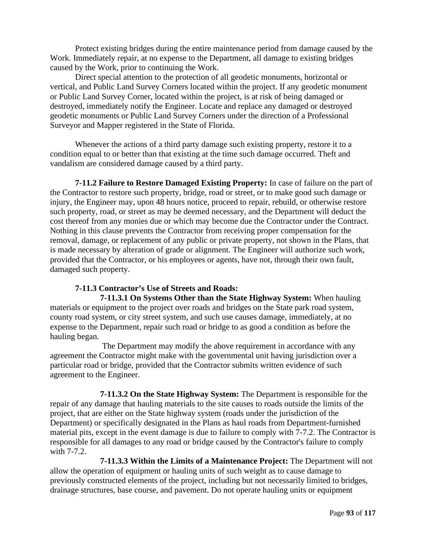Protect existing bridges during the entire maintenance period from damage caused by the Work. Immediately repair, at no expense to the Department, all damage to existing bridges caused by the Work, prior to continuing the Work.

Direct special attention to the protection of all geodetic monuments, horizontal or vertical, and Public Land Survey Corners located within the project. If any geodetic monument or Public Land Survey Corner, located within the project, is at risk of being damaged or destroyed, immediately notify the Engineer. Locate and replace any damaged or destroyed geodetic monuments or Public Land Survey Corners under the direction of a Professional Surveyor and Mapper registered in the State of Florida.

Whenever the actions of a third party damage such existing property, restore it to a condition equal to or better than that existing at the time such damage occurred. Theft and vandalism are considered damage caused by a third party.

**7-11.2 Failure to Restore Damaged Existing Property:** In case of failure on the part of the Contractor to restore such property, bridge, road or street, or to make good such damage or injury, the Engineer may, upon 48 hours notice, proceed to repair, rebuild, or otherwise restore such property, road, or street as may be deemed necessary, and the Department will deduct the cost thereof from any monies due or which may become due the Contractor under the Contract. Nothing in this clause prevents the Contractor from receiving proper compensation for the removal, damage, or replacement of any public or private property, not shown in the Plans, that is made necessary by alteration of grade or alignment. The Engineer will authorize such work, provided that the Contractor, or his employees or agents, have not, through their own fault, damaged such property.

# **7-11.3 Contractor's Use of Streets and Roads:**

 **7-11.3.1 On Systems Other than the State Highway System:** When hauling materials or equipment to the project over roads and bridges on the State park road system, county road system, or city street system, and such use causes damage, immediately, at no expense to the Department, repair such road or bridge to as good a condition as before the hauling began.

 The Department may modify the above requirement in accordance with any agreement the Contractor might make with the governmental unit having jurisdiction over a particular road or bridge, provided that the Contractor submits written evidence of such agreement to the Engineer.

 **7-11.3.2 On the State Highway System:** The Department is responsible for the repair of any damage that hauling materials to the site causes to roads outside the limits of the project, that are either on the State highway system (roads under the jurisdiction of the Department) or specifically designated in the Plans as haul roads from Department-furnished material pits, except in the event damage is due to failure to comply with 7-7.2. The Contractor is responsible for all damages to any road or bridge caused by the Contractor's failure to comply with 7-7.2.

 **7-11.3.3 Within the Limits of a Maintenance Project:** The Department will not allow the operation of equipment or hauling units of such weight as to cause damage to previously constructed elements of the project, including but not necessarily limited to bridges, drainage structures, base course, and pavement. Do not operate hauling units or equipment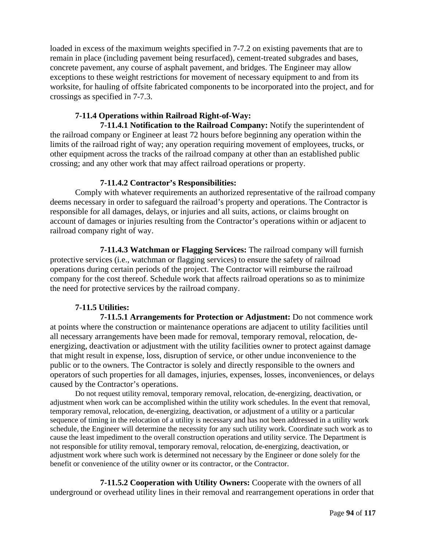loaded in excess of the maximum weights specified in 7-7.2 on existing pavements that are to remain in place (including pavement being resurfaced), cement-treated subgrades and bases, concrete pavement, any course of asphalt pavement, and bridges. The Engineer may allow exceptions to these weight restrictions for movement of necessary equipment to and from its worksite, for hauling of offsite fabricated components to be incorporated into the project, and for crossings as specified in 7-7.3.

# **7-11.4 Operations within Railroad Right-of-Way:**

 **7-11.4.1 Notification to the Railroad Company:** Notify the superintendent of the railroad company or Engineer at least 72 hours before beginning any operation within the limits of the railroad right of way; any operation requiring movement of employees, trucks, or other equipment across the tracks of the railroad company at other than an established public crossing; and any other work that may affect railroad operations or property.

# **7-11.4.2 Contractor's Responsibilities:**

Comply with whatever requirements an authorized representative of the railroad company deems necessary in order to safeguard the railroad's property and operations. The Contractor is responsible for all damages, delays, or injuries and all suits, actions, or claims brought on account of damages or injuries resulting from the Contractor's operations within or adjacent to railroad company right of way.

 **7-11.4.3 Watchman or Flagging Services:** The railroad company will furnish protective services (i.e., watchman or flagging services) to ensure the safety of railroad operations during certain periods of the project. The Contractor will reimburse the railroad company for the cost thereof. Schedule work that affects railroad operations so as to minimize the need for protective services by the railroad company.

# **7-11.5 Utilities:**

 **7-11.5.1 Arrangements for Protection or Adjustment:** Do not commence work at points where the construction or maintenance operations are adjacent to utility facilities until all necessary arrangements have been made for removal, temporary removal, relocation, deenergizing, deactivation or adjustment with the utility facilities owner to protect against damage that might result in expense, loss, disruption of service, or other undue inconvenience to the public or to the owners. The Contractor is solely and directly responsible to the owners and operators of such properties for all damages, injuries, expenses, losses, inconveniences, or delays caused by the Contractor's operations.

Do not request utility removal, temporary removal, relocation, de-energizing, deactivation, or adjustment when work can be accomplished within the utility work schedules. In the event that removal, temporary removal, relocation, de-energizing, deactivation, or adjustment of a utility or a particular sequence of timing in the relocation of a utility is necessary and has not been addressed in a utility work schedule, the Engineer will determine the necessity for any such utility work. Coordinate such work as to cause the least impediment to the overall construction operations and utility service. The Department is not responsible for utility removal, temporary removal, relocation, de-energizing, deactivation, or adjustment work where such work is determined not necessary by the Engineer or done solely for the benefit or convenience of the utility owner or its contractor, or the Contractor.

 **7-11.5.2 Cooperation with Utility Owners:** Cooperate with the owners of all underground or overhead utility lines in their removal and rearrangement operations in order that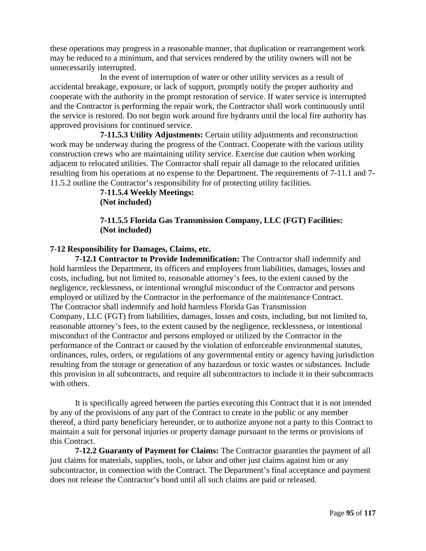these operations may progress in a reasonable manner, that duplication or rearrangement work may be reduced to a minimum, and that services rendered by the utility owners will not be unnecessarily interrupted.

 In the event of interruption of water or other utility services as a result of accidental breakage, exposure, or lack of support, promptly notify the proper authority and cooperate with the authority in the prompt restoration of service. If water service is interrupted and the Contractor is performing the repair work, the Contractor shall work continuously until the service is restored. Do not begin work around fire hydrants until the local fire authority has approved provisions for continued service.

 **7-11.5.3 Utility Adjustments:** Certain utility adjustments and reconstruction work may be underway during the progress of the Contract. Cooperate with the various utility construction crews who are maintaining utility service. Exercise due caution when working adjacent to relocated utilities. The Contractor shall repair all damage to the relocated utilities resulting from his operations at no expense to the Department. The requirements of 7-11.1 and 7- 11.5.2 outline the Contractor's responsibility for of protecting utility facilities.

**7-11.5.4 Weekly Meetings: (Not included)** 

## **7-11.5.5 Florida Gas Transmission Company, LLC (FGT) Facilities: (Not included)**

# **7-12 Responsibility for Damages, Claims, etc.**

**7-12.1 Contractor to Provide Indemnification:** The Contractor shall indemnify and hold harmless the Department, its officers and employees from liabilities, damages, losses and costs, including, but not limited to, reasonable attorney's fees, to the extent caused by the negligence, recklessness, or intentional wrongful misconduct of the Contractor and persons employed or utilized by the Contractor in the performance of the maintenance Contract. The Contractor shall indemnify and hold harmless Florida Gas Transmission Company, LLC (FGT) from liabilities, damages, losses and costs, including, but not limited to, reasonable attorney's fees, to the extent caused by the negligence, recklessness, or intentional misconduct of the Contractor and persons employed or utilized by the Contractor in the performance of the Contract or caused by the violation of enforceable environmental statutes, ordinances, rules, orders, or regulations of any governmental entity or agency having jurisdiction resulting from the storage or generation of any hazardous or toxic wastes or substances. Include this provision in all subcontracts, and require all subcontractors to include it in their subcontracts with others.

It is specifically agreed between the parties executing this Contract that it is not intended by any of the provisions of any part of the Contract to create in the public or any member thereof, a third party beneficiary hereunder, or to authorize anyone not a party to this Contract to maintain a suit for personal injuries or property damage pursuant to the terms or provisions of this Contract.

**7-12.2 Guaranty of Payment for Claims:** The Contractor guaranties the payment of all just claims for materials, supplies, tools, or labor and other just claims against him or any subcontractor, in connection with the Contract. The Department's final acceptance and payment does not release the Contractor's bond until all such claims are paid or released.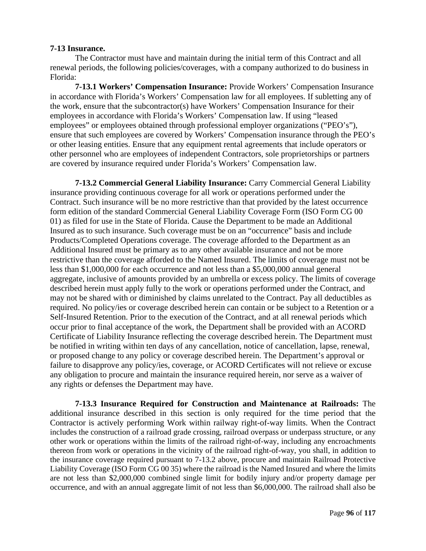#### **7-13 Insurance.**

The Contractor must have and maintain during the initial term of this Contract and all renewal periods, the following policies/coverages, with a company authorized to do business in Florida:

**7-13.1 Workers' Compensation Insurance:** Provide Workers' Compensation Insurance in accordance with Florida's Workers' Compensation law for all employees. If subletting any of the work, ensure that the subcontractor(s) have Workers' Compensation Insurance for their employees in accordance with Florida's Workers' Compensation law. If using "leased employees" or employees obtained through professional employer organizations ("PEO's"), ensure that such employees are covered by Workers' Compensation insurance through the PEO's or other leasing entities. Ensure that any equipment rental agreements that include operators or other personnel who are employees of independent Contractors, sole proprietorships or partners are covered by insurance required under Florida's Workers' Compensation law.

**7-13.2 Commercial General Liability Insurance:** Carry Commercial General Liability insurance providing continuous coverage for all work or operations performed under the Contract. Such insurance will be no more restrictive than that provided by the latest occurrence form edition of the standard Commercial General Liability Coverage Form (ISO Form CG 00 01) as filed for use in the State of Florida. Cause the Department to be made an Additional Insured as to such insurance. Such coverage must be on an "occurrence" basis and include Products/Completed Operations coverage. The coverage afforded to the Department as an Additional Insured must be primary as to any other available insurance and not be more restrictive than the coverage afforded to the Named Insured. The limits of coverage must not be less than \$1,000,000 for each occurrence and not less than a \$5,000,000 annual general aggregate, inclusive of amounts provided by an umbrella or excess policy. The limits of coverage described herein must apply fully to the work or operations performed under the Contract, and may not be shared with or diminished by claims unrelated to the Contract. Pay all deductibles as required. No policy/ies or coverage described herein can contain or be subject to a Retention or a Self-Insured Retention. Prior to the execution of the Contract, and at all renewal periods which occur prior to final acceptance of the work, the Department shall be provided with an ACORD Certificate of Liability Insurance reflecting the coverage described herein. The Department must be notified in writing within ten days of any cancellation, notice of cancellation, lapse, renewal, or proposed change to any policy or coverage described herein. The Department's approval or failure to disapprove any policy/ies, coverage, or ACORD Certificates will not relieve or excuse any obligation to procure and maintain the insurance required herein, nor serve as a waiver of any rights or defenses the Department may have.

**7-13.3 Insurance Required for Construction and Maintenance at Railroads:** The additional insurance described in this section is only required for the time period that the Contractor is actively performing Work within railway right-of-way limits. When the Contract includes the construction of a railroad grade crossing, railroad overpass or underpass structure, or any other work or operations within the limits of the railroad right-of-way, including any encroachments thereon from work or operations in the vicinity of the railroad right-of-way, you shall, in addition to the insurance coverage required pursuant to 7-13.2 above, procure and maintain Railroad Protective Liability Coverage (ISO Form CG 00 35) where the railroad is the Named Insured and where the limits are not less than \$2,000,000 combined single limit for bodily injury and/or property damage per occurrence, and with an annual aggregate limit of not less than \$6,000,000. The railroad shall also be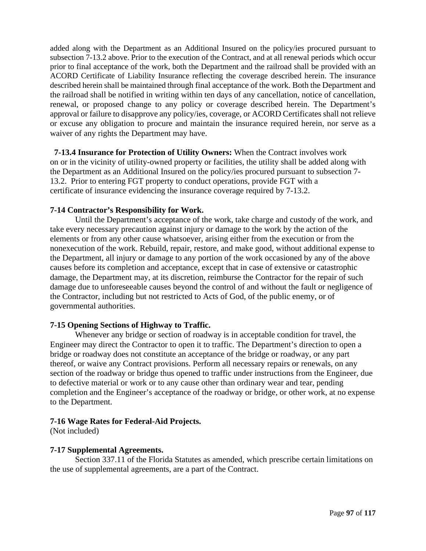added along with the Department as an Additional Insured on the policy/ies procured pursuant to subsection 7-13.2 above. Prior to the execution of the Contract, and at all renewal periods which occur prior to final acceptance of the work, both the Department and the railroad shall be provided with an ACORD Certificate of Liability Insurance reflecting the coverage described herein. The insurance described herein shall be maintained through final acceptance of the work. Both the Department and the railroad shall be notified in writing within ten days of any cancellation, notice of cancellation, renewal, or proposed change to any policy or coverage described herein. The Department's approval or failure to disapprove any policy/ies, coverage, or ACORD Certificates shall not relieve or excuse any obligation to procure and maintain the insurance required herein, nor serve as a waiver of any rights the Department may have.

**7-13.4 Insurance for Protection of Utility Owners:** When the Contract involves work on or in the vicinity of utility-owned property or facilities, the utility shall be added along with the Department as an Additional Insured on the policy/ies procured pursuant to subsection 7- 13.2. Prior to entering FGT property to conduct operations, provide FGT with a certificate of insurance evidencing the insurance coverage required by 7-13.2.

## **7-14 Contractor's Responsibility for Work.**

Until the Department's acceptance of the work, take charge and custody of the work, and take every necessary precaution against injury or damage to the work by the action of the elements or from any other cause whatsoever, arising either from the execution or from the nonexecution of the work. Rebuild, repair, restore, and make good, without additional expense to the Department, all injury or damage to any portion of the work occasioned by any of the above causes before its completion and acceptance, except that in case of extensive or catastrophic damage, the Department may, at its discretion, reimburse the Contractor for the repair of such damage due to unforeseeable causes beyond the control of and without the fault or negligence of the Contractor, including but not restricted to Acts of God, of the public enemy, or of governmental authorities.

# **7-15 Opening Sections of Highway to Traffic.**

Whenever any bridge or section of roadway is in acceptable condition for travel, the Engineer may direct the Contractor to open it to traffic. The Department's direction to open a bridge or roadway does not constitute an acceptance of the bridge or roadway, or any part thereof, or waive any Contract provisions. Perform all necessary repairs or renewals, on any section of the roadway or bridge thus opened to traffic under instructions from the Engineer, due to defective material or work or to any cause other than ordinary wear and tear, pending completion and the Engineer's acceptance of the roadway or bridge, or other work, at no expense to the Department.

## **7-16 Wage Rates for Federal-Aid Projects.**

(Not included)

## **7-17 Supplemental Agreements.**

Section 337.11 of the Florida Statutes as amended, which prescribe certain limitations on the use of supplemental agreements, are a part of the Contract.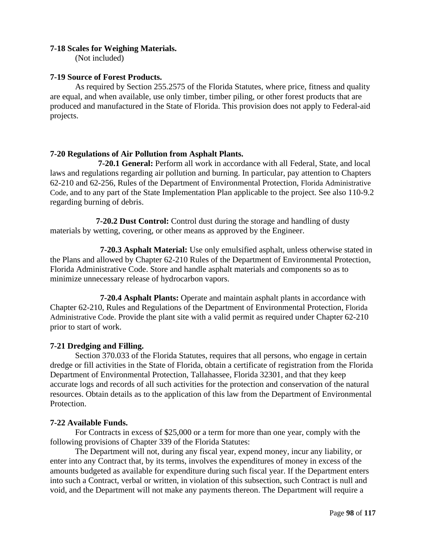# **7-18 Scales for Weighing Materials.**

(Not included)

# **7-19 Source of Forest Products.**

As required by Section 255.2575 of the Florida Statutes, where price, fitness and quality are equal, and when available, use only timber, timber piling, or other forest products that are produced and manufactured in the State of Florida. This provision does not apply to Federal-aid projects.

# **7-20 Regulations of Air Pollution from Asphalt Plants.**

 **7-20.1 General:** Perform all work in accordance with all Federal, State, and local laws and regulations regarding air pollution and burning. In particular, pay attention to Chapters 62-210 and 62-256, Rules of the Department of Environmental Protection, Florida Administrative Code, and to any part of the State Implementation Plan applicable to the project. See also 110-9.2 regarding burning of debris.

**7-20.2 Dust Control:** Control dust during the storage and handling of dusty materials by wetting, covering, or other means as approved by the Engineer.

 **7-20.3 Asphalt Material:** Use only emulsified asphalt, unless otherwise stated in the Plans and allowed by Chapter 62-210 Rules of the Department of Environmental Protection, Florida Administrative Code. Store and handle asphalt materials and components so as to minimize unnecessary release of hydrocarbon vapors.

 **7-20.4 Asphalt Plants:** Operate and maintain asphalt plants in accordance with Chapter 62-210, Rules and Regulations of the Department of Environmental Protection, Florida Administrative Code. Provide the plant site with a valid permit as required under Chapter 62-210 prior to start of work.

## **7-21 Dredging and Filling.**

Section 370.033 of the Florida Statutes, requires that all persons, who engage in certain dredge or fill activities in the State of Florida, obtain a certificate of registration from the Florida Department of Environmental Protection, Tallahassee, Florida 32301, and that they keep accurate logs and records of all such activities for the protection and conservation of the natural resources. Obtain details as to the application of this law from the Department of Environmental Protection.

## **7-22 Available Funds.**

For Contracts in excess of \$25,000 or a term for more than one year, comply with the following provisions of Chapter 339 of the Florida Statutes:

The Department will not, during any fiscal year, expend money, incur any liability, or enter into any Contract that, by its terms, involves the expenditures of money in excess of the amounts budgeted as available for expenditure during such fiscal year. If the Department enters into such a Contract, verbal or written, in violation of this subsection, such Contract is null and void, and the Department will not make any payments thereon. The Department will require a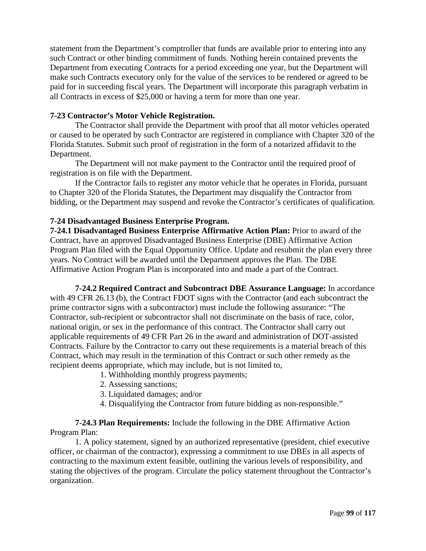statement from the Department's comptroller that funds are available prior to entering into any such Contract or other binding commitment of funds. Nothing herein contained prevents the Department from executing Contracts for a period exceeding one year, but the Department will make such Contracts executory only for the value of the services to be rendered or agreed to be paid for in succeeding fiscal years. The Department will incorporate this paragraph verbatim in all Contracts in excess of \$25,000 or having a term for more than one year.

## **7-23 Contractor's Motor Vehicle Registration.**

The Contractor shall provide the Department with proof that all motor vehicles operated or caused to be operated by such Contractor are registered in compliance with Chapter 320 of the Florida Statutes. Submit such proof of registration in the form of a notarized affidavit to the Department.

The Department will not make payment to the Contractor until the required proof of registration is on file with the Department.

If the Contractor fails to register any motor vehicle that he operates in Florida, pursuant to Chapter 320 of the Florida Statutes, the Department may disqualify the Contractor from bidding, or the Department may suspend and revoke the Contractor's certificates of qualification.

## **7-24 Disadvantaged Business Enterprise Program.**

**7-24.1 Disadvantaged Business Enterprise Affirmative Action Plan:** Prior to award of the Contract, have an approved Disadvantaged Business Enterprise (DBE) Affirmative Action Program Plan filed with the Equal Opportunity Office. Update and resubmit the plan every three years. No Contract will be awarded until the Department approves the Plan. The DBE Affirmative Action Program Plan is incorporated into and made a part of the Contract.

**7-24.2 Required Contract and Subcontract DBE Assurance Language:** In accordance with 49 CFR 26.13 (b), the Contract FDOT signs with the Contractor (and each subcontract the prime contractor signs with a subcontractor) must include the following assurance: "The Contractor, sub-recipient or subcontractor shall not discriminate on the basis of race, color, national origin, or sex in the performance of this contract. The Contractor shall carry out applicable requirements of 49 CFR Part 26 in the award and administration of DOT-assisted Contracts. Failure by the Contractor to carry out these requirements is a material breach of this Contract, which may result in the termination of this Contract or such other remedy as the recipient deems appropriate, which may include, but is not limited to,

- 1. Withholding monthly progress payments;
- 2. Assessing sanctions;
- 3. Liquidated damages; and/or
- 4. Disqualifying the Contractor from future bidding as non-responsible."

# **7-24.3 Plan Requirements:** Include the following in the DBE Affirmative Action Program Plan:

1. A policy statement, signed by an authorized representative (president, chief executive officer, or chairman of the contractor), expressing a commitment to use DBEs in all aspects of contracting to the maximum extent feasible, outlining the various levels of responsibility, and stating the objectives of the program. Circulate the policy statement throughout the Contractor's organization.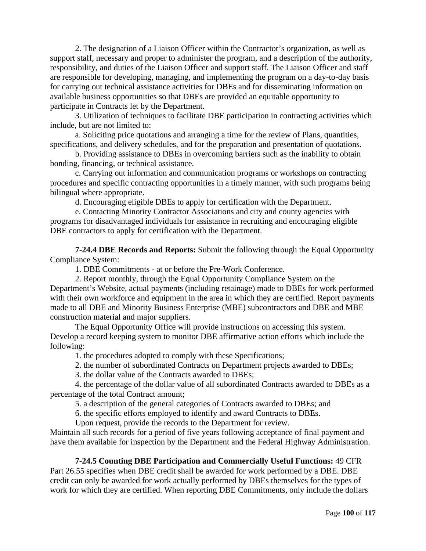2. The designation of a Liaison Officer within the Contractor's organization, as well as support staff, necessary and proper to administer the program, and a description of the authority, responsibility, and duties of the Liaison Officer and support staff. The Liaison Officer and staff are responsible for developing, managing, and implementing the program on a day-to-day basis for carrying out technical assistance activities for DBEs and for disseminating information on available business opportunities so that DBEs are provided an equitable opportunity to participate in Contracts let by the Department.

3. Utilization of techniques to facilitate DBE participation in contracting activities which include, but are not limited to:

a. Soliciting price quotations and arranging a time for the review of Plans, quantities, specifications, and delivery schedules, and for the preparation and presentation of quotations.

b. Providing assistance to DBEs in overcoming barriers such as the inability to obtain bonding, financing, or technical assistance.

c. Carrying out information and communication programs or workshops on contracting procedures and specific contracting opportunities in a timely manner, with such programs being bilingual where appropriate.

d. Encouraging eligible DBEs to apply for certification with the Department.

e. Contacting Minority Contractor Associations and city and county agencies with programs for disadvantaged individuals for assistance in recruiting and encouraging eligible DBE contractors to apply for certification with the Department.

**7-24.4 DBE Records and Reports:** Submit the following through the Equal Opportunity Compliance System:

1. DBE Commitments - at or before the Pre-Work Conference.

2. Report monthly, through the Equal Opportunity Compliance System on the Department's Website, actual payments (including retainage) made to DBEs for work performed with their own workforce and equipment in the area in which they are certified. Report payments made to all DBE and Minority Business Enterprise (MBE) subcontractors and DBE and MBE construction material and major suppliers.

The Equal Opportunity Office will provide instructions on accessing this system. Develop a record keeping system to monitor DBE affirmative action efforts which include the following:

1. the procedures adopted to comply with these Specifications;

2. the number of subordinated Contracts on Department projects awarded to DBEs;

3. the dollar value of the Contracts awarded to DBEs;

4. the percentage of the dollar value of all subordinated Contracts awarded to DBEs as a percentage of the total Contract amount;

5. a description of the general categories of Contracts awarded to DBEs; and

6. the specific efforts employed to identify and award Contracts to DBEs.

Upon request, provide the records to the Department for review.

Maintain all such records for a period of five years following acceptance of final payment and have them available for inspection by the Department and the Federal Highway Administration.

# **7-24.5 Counting DBE Participation and Commercially Useful Functions:** 49 CFR

Part 26.55 specifies when DBE credit shall be awarded for work performed by a DBE. DBE credit can only be awarded for work actually performed by DBEs themselves for the types of work for which they are certified. When reporting DBE Commitments, only include the dollars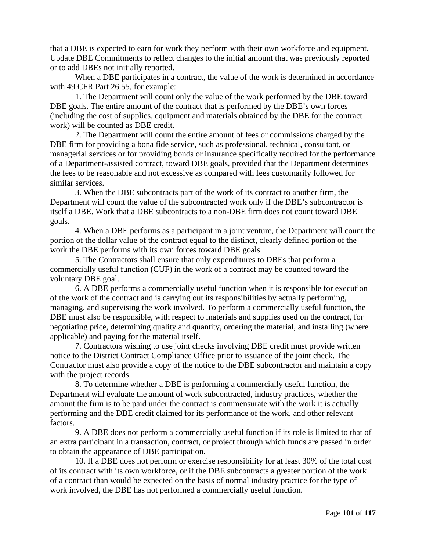that a DBE is expected to earn for work they perform with their own workforce and equipment. Update DBE Commitments to reflect changes to the initial amount that was previously reported or to add DBEs not initially reported.

When a DBE participates in a contract, the value of the work is determined in accordance with 49 CFR Part 26.55, for example:

1. The Department will count only the value of the work performed by the DBE toward DBE goals. The entire amount of the contract that is performed by the DBE's own forces (including the cost of supplies, equipment and materials obtained by the DBE for the contract work) will be counted as DBE credit.

2. The Department will count the entire amount of fees or commissions charged by the DBE firm for providing a bona fide service, such as professional, technical, consultant, or managerial services or for providing bonds or insurance specifically required for the performance of a Department-assisted contract, toward DBE goals, provided that the Department determines the fees to be reasonable and not excessive as compared with fees customarily followed for similar services.

3. When the DBE subcontracts part of the work of its contract to another firm, the Department will count the value of the subcontracted work only if the DBE's subcontractor is itself a DBE. Work that a DBE subcontracts to a non-DBE firm does not count toward DBE goals.

4. When a DBE performs as a participant in a joint venture, the Department will count the portion of the dollar value of the contract equal to the distinct, clearly defined portion of the work the DBE performs with its own forces toward DBE goals.

5. The Contractors shall ensure that only expenditures to DBEs that perform a commercially useful function (CUF) in the work of a contract may be counted toward the voluntary DBE goal.

6. A DBE performs a commercially useful function when it is responsible for execution of the work of the contract and is carrying out its responsibilities by actually performing, managing, and supervising the work involved. To perform a commercially useful function, the DBE must also be responsible, with respect to materials and supplies used on the contract, for negotiating price, determining quality and quantity, ordering the material, and installing (where applicable) and paying for the material itself.

7. Contractors wishing to use joint checks involving DBE credit must provide written notice to the District Contract Compliance Office prior to issuance of the joint check. The Contractor must also provide a copy of the notice to the DBE subcontractor and maintain a copy with the project records.

8. To determine whether a DBE is performing a commercially useful function, the Department will evaluate the amount of work subcontracted, industry practices, whether the amount the firm is to be paid under the contract is commensurate with the work it is actually performing and the DBE credit claimed for its performance of the work, and other relevant factors.

9. A DBE does not perform a commercially useful function if its role is limited to that of an extra participant in a transaction, contract, or project through which funds are passed in order to obtain the appearance of DBE participation.

10. If a DBE does not perform or exercise responsibility for at least 30% of the total cost of its contract with its own workforce, or if the DBE subcontracts a greater portion of the work of a contract than would be expected on the basis of normal industry practice for the type of work involved, the DBE has not performed a commercially useful function.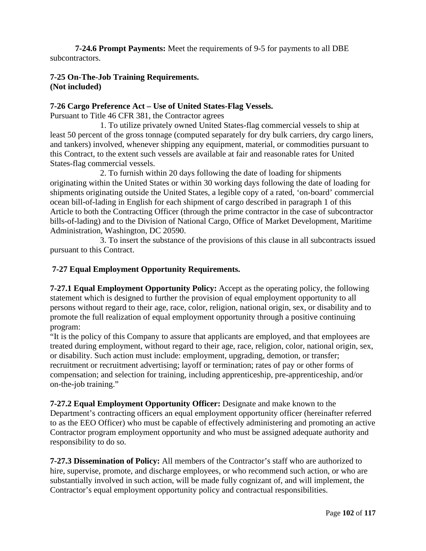**7-24.6 Prompt Payments:** Meet the requirements of 9-5 for payments to all DBE subcontractors.

# **7-25 On-The-Job Training Requirements. (Not included)**

# **7-26 Cargo Preference Act – Use of United States-Flag Vessels.**

Pursuant to Title 46 CFR 381, the Contractor agrees

1. To utilize privately owned United States-flag commercial vessels to ship at least 50 percent of the gross tonnage (computed separately for dry bulk carriers, dry cargo liners, and tankers) involved, whenever shipping any equipment, material, or commodities pursuant to this Contract, to the extent such vessels are available at fair and reasonable rates for United States-flag commercial vessels.

2. To furnish within 20 days following the date of loading for shipments originating within the United States or within 30 working days following the date of loading for shipments originating outside the United States, a legible copy of a rated, 'on-board' commercial ocean bill-of-lading in English for each shipment of cargo described in paragraph 1 of this Article to both the Contracting Officer (through the prime contractor in the case of subcontractor bills-of-lading) and to the Division of National Cargo, Office of Market Development, Maritime Administration, Washington, DC 20590.

3. To insert the substance of the provisions of this clause in all subcontracts issued pursuant to this Contract.

# **7-27 Equal Employment Opportunity Requirements.**

**7-27.1 Equal Employment Opportunity Policy:** Accept as the operating policy, the following statement which is designed to further the provision of equal employment opportunity to all persons without regard to their age, race, color, religion, national origin, sex, or disability and to promote the full realization of equal employment opportunity through a positive continuing program:

"It is the policy of this Company to assure that applicants are employed, and that employees are treated during employment, without regard to their age, race, religion, color, national origin, sex, or disability. Such action must include: employment, upgrading, demotion, or transfer; recruitment or recruitment advertising; layoff or termination; rates of pay or other forms of compensation; and selection for training, including apprenticeship, pre-apprenticeship, and/or on-the-job training."

**7-27.2 Equal Employment Opportunity Officer:** Designate and make known to the Department's contracting officers an equal employment opportunity officer (hereinafter referred to as the EEO Officer) who must be capable of effectively administering and promoting an active Contractor program employment opportunity and who must be assigned adequate authority and responsibility to do so.

**7-27.3 Dissemination of Policy:** All members of the Contractor's staff who are authorized to hire, supervise, promote, and discharge employees, or who recommend such action, or who are substantially involved in such action, will be made fully cognizant of, and will implement, the Contractor's equal employment opportunity policy and contractual responsibilities.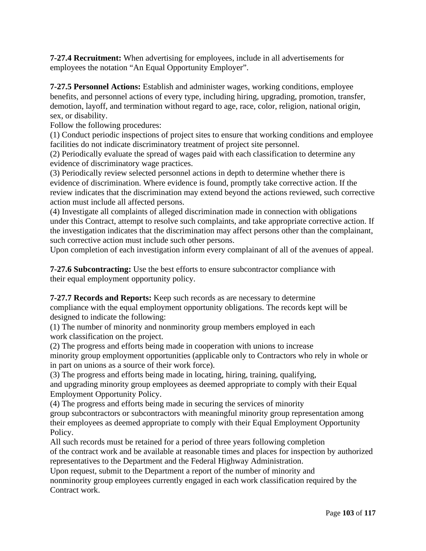**7-27.4 Recruitment:** When advertising for employees, include in all advertisements for employees the notation "An Equal Opportunity Employer".

**7-27.5 Personnel Actions:** Establish and administer wages, working conditions, employee benefits, and personnel actions of every type, including hiring, upgrading, promotion, transfer, demotion, layoff, and termination without regard to age, race, color, religion, national origin, sex, or disability.

Follow the following procedures:

(1) Conduct periodic inspections of project sites to ensure that working conditions and employee facilities do not indicate discriminatory treatment of project site personnel.

(2) Periodically evaluate the spread of wages paid with each classification to determine any evidence of discriminatory wage practices.

(3) Periodically review selected personnel actions in depth to determine whether there is evidence of discrimination. Where evidence is found, promptly take corrective action. If the review indicates that the discrimination may extend beyond the actions reviewed, such corrective action must include all affected persons.

(4) Investigate all complaints of alleged discrimination made in connection with obligations under this Contract, attempt to resolve such complaints, and take appropriate corrective action. If the investigation indicates that the discrimination may affect persons other than the complainant, such corrective action must include such other persons.

Upon completion of each investigation inform every complainant of all of the avenues of appeal.

**7-27.6 Subcontracting:** Use the best efforts to ensure subcontractor compliance with their equal employment opportunity policy.

**7-27.7 Records and Reports:** Keep such records as are necessary to determine

compliance with the equal employment opportunity obligations. The records kept will be designed to indicate the following:

(1) The number of minority and nonminority group members employed in each work classification on the project.

(2) The progress and efforts being made in cooperation with unions to increase minority group employment opportunities (applicable only to Contractors who rely in whole or

in part on unions as a source of their work force).

(3) The progress and efforts being made in locating, hiring, training, qualifying, and upgrading minority group employees as deemed appropriate to comply with their Equal Employment Opportunity Policy.

(4) The progress and efforts being made in securing the services of minority

group subcontractors or subcontractors with meaningful minority group representation among their employees as deemed appropriate to comply with their Equal Employment Opportunity Policy.

All such records must be retained for a period of three years following completion of the contract work and be available at reasonable times and places for inspection by authorized representatives to the Department and the Federal Highway Administration.

Upon request, submit to the Department a report of the number of minority and nonminority group employees currently engaged in each work classification required by the Contract work.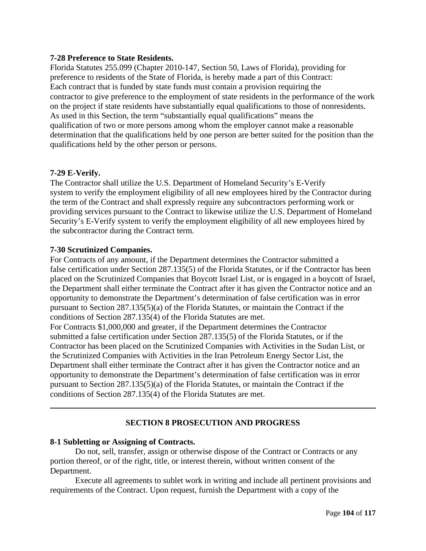### **7-28 Preference to State Residents.**

Florida Statutes 255.099 (Chapter 2010-147, Section 50, Laws of Florida), providing for preference to residents of the State of Florida, is hereby made a part of this Contract: Each contract that is funded by state funds must contain a provision requiring the contractor to give preference to the employment of state residents in the performance of the work on the project if state residents have substantially equal qualifications to those of nonresidents. As used in this Section, the term "substantially equal qualifications" means the qualification of two or more persons among whom the employer cannot make a reasonable determination that the qualifications held by one person are better suited for the position than the qualifications held by the other person or persons.

#### **7-29 E-Verify.**

The Contractor shall utilize the U.S. Department of Homeland Security's E-Verify system to verify the employment eligibility of all new employees hired by the Contractor during the term of the Contract and shall expressly require any subcontractors performing work or providing services pursuant to the Contract to likewise utilize the U.S. Department of Homeland Security's E-Verify system to verify the employment eligibility of all new employees hired by the subcontractor during the Contract term.

#### **7-30 Scrutinized Companies.**

For Contracts of any amount, if the Department determines the Contractor submitted a false certification under Section 287.135(5) of the Florida Statutes, or if the Contractor has been placed on the Scrutinized Companies that Boycott Israel List, or is engaged in a boycott of Israel, the Department shall either terminate the Contract after it has given the Contractor notice and an opportunity to demonstrate the Department's determination of false certification was in error pursuant to Section 287.135(5)(a) of the Florida Statutes, or maintain the Contract if the conditions of Section 287.135(4) of the Florida Statutes are met.

For Contracts \$1,000,000 and greater, if the Department determines the Contractor submitted a false certification under Section 287.135(5) of the Florida Statutes, or if the Contractor has been placed on the Scrutinized Companies with Activities in the Sudan List, or the Scrutinized Companies with Activities in the Iran Petroleum Energy Sector List, the Department shall either terminate the Contract after it has given the Contractor notice and an opportunity to demonstrate the Department's determination of false certification was in error pursuant to Section 287.135(5)(a) of the Florida Statutes, or maintain the Contract if the conditions of Section 287.135(4) of the Florida Statutes are met.

## **SECTION 8 PROSECUTION AND PROGRESS**

## **8-1 Subletting or Assigning of Contracts.**

Do not, sell, transfer, assign or otherwise dispose of the Contract or Contracts or any portion thereof, or of the right, title, or interest therein, without written consent of the Department.

Execute all agreements to sublet work in writing and include all pertinent provisions and requirements of the Contract. Upon request, furnish the Department with a copy of the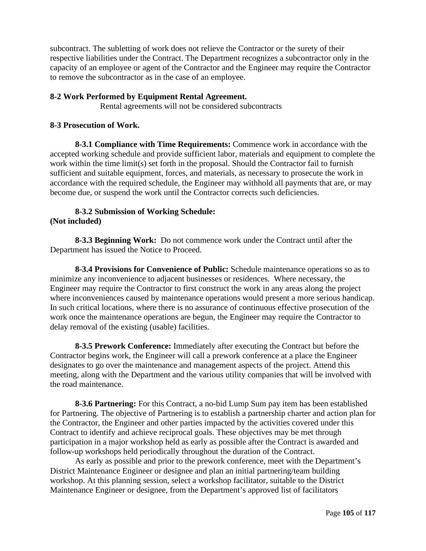subcontract. The subletting of work does not relieve the Contractor or the surety of their respective liabilities under the Contract. The Department recognizes a subcontractor only in the capacity of an employee or agent of the Contractor and the Engineer may require the Contractor to remove the subcontractor as in the case of an employee.

#### **8-2 Work Performed by Equipment Rental Agreement.**

Rental agreements will not be considered subcontracts

#### **8-3 Prosecution of Work.**

**8-3.1 Compliance with Time Requirements:** Commence work in accordance with the accepted working schedule and provide sufficient labor, materials and equipment to complete the work within the time limit(s) set forth in the proposal. Should the Contractor fail to furnish sufficient and suitable equipment, forces, and materials, as necessary to prosecute the work in accordance with the required schedule, the Engineer may withhold all payments that are, or may become due, or suspend the work until the Contractor corrects such deficiencies.

#### **8-3.2 Submission of Working Schedule: (Not included)**

**8-3.3 Beginning Work:** Do not commence work under the Contract until after the Department has issued the Notice to Proceed.

**8-3.4 Provisions for Convenience of Public:** Schedule maintenance operations so as to minimize any inconvenience to adjacent businesses or residences. Where necessary, the Engineer may require the Contractor to first construct the work in any areas along the project where inconveniences caused by maintenance operations would present a more serious handicap. In such critical locations, where there is no assurance of continuous effective prosecution of the work once the maintenance operations are begun, the Engineer may require the Contractor to delay removal of the existing (usable) facilities.

**8-3.5 Prework Conference:** Immediately after executing the Contract but before the Contractor begins work, the Engineer will call a prework conference at a place the Engineer designates to go over the maintenance and management aspects of the project. Attend this meeting, along with the Department and the various utility companies that will be involved with the road maintenance.

**8-3.6 Partnering:** For this Contract, a no-bid Lump Sum pay item has been established for Partnering. The objective of Partnering is to establish a partnership charter and action plan for the Contractor, the Engineer and other parties impacted by the activities covered under this Contract to identify and achieve reciprocal goals. These objectives may be met through participation in a major workshop held as early as possible after the Contract is awarded and follow-up workshops held periodically throughout the duration of the Contract.

As early as possible and prior to the prework conference, meet with the Department's District Maintenance Engineer or designee and plan an initial partnering/team building workshop. At this planning session, select a workshop facilitator, suitable to the District Maintenance Engineer or designee, from the Department's approved list of facilitators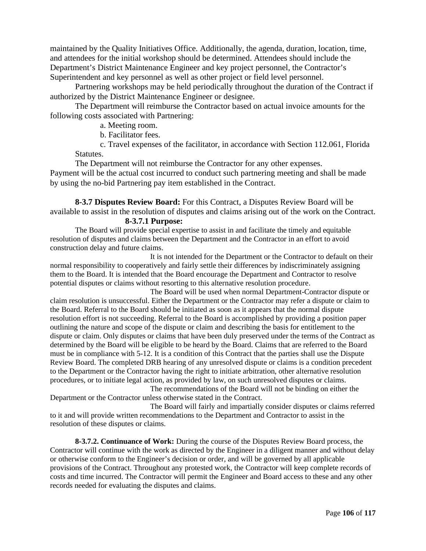maintained by the Quality Initiatives Office. Additionally, the agenda, duration, location, time, and attendees for the initial workshop should be determined. Attendees should include the Department's District Maintenance Engineer and key project personnel, the Contractor's Superintendent and key personnel as well as other project or field level personnel.

Partnering workshops may be held periodically throughout the duration of the Contract if authorized by the District Maintenance Engineer or designee.

The Department will reimburse the Contractor based on actual invoice amounts for the following costs associated with Partnering:

a. Meeting room.

b. Facilitator fees.

c. Travel expenses of the facilitator, in accordance with Section 112.061, Florida Statutes.

The Department will not reimburse the Contractor for any other expenses. Payment will be the actual cost incurred to conduct such partnering meeting and shall be made by using the no-bid Partnering pay item established in the Contract.

**8-3.7 Disputes Review Board:** For this Contract, a Disputes Review Board will be available to assist in the resolution of disputes and claims arising out of the work on the Contract.

#### **8-3.7.1 Purpose:**

The Board will provide special expertise to assist in and facilitate the timely and equitable resolution of disputes and claims between the Department and the Contractor in an effort to avoid construction delay and future claims.

It is not intended for the Department or the Contractor to default on their normal responsibility to cooperatively and fairly settle their differences by indiscriminately assigning them to the Board. It is intended that the Board encourage the Department and Contractor to resolve potential disputes or claims without resorting to this alternative resolution procedure.

The Board will be used when normal Department-Contractor dispute or claim resolution is unsuccessful. Either the Department or the Contractor may refer a dispute or claim to the Board. Referral to the Board should be initiated as soon as it appears that the normal dispute resolution effort is not succeeding. Referral to the Board is accomplished by providing a position paper outlining the nature and scope of the dispute or claim and describing the basis for entitlement to the dispute or claim. Only disputes or claims that have been duly preserved under the terms of the Contract as determined by the Board will be eligible to be heard by the Board. Claims that are referred to the Board must be in compliance with 5-12. It is a condition of this Contract that the parties shall use the Dispute Review Board. The completed DRB hearing of any unresolved dispute or claims is a condition precedent to the Department or the Contractor having the right to initiate arbitration, other alternative resolution procedures, or to initiate legal action, as provided by law, on such unresolved disputes or claims.

The recommendations of the Board will not be binding on either the Department or the Contractor unless otherwise stated in the Contract.

The Board will fairly and impartially consider disputes or claims referred to it and will provide written recommendations to the Department and Contractor to assist in the resolution of these disputes or claims.

**8-3.7.2. Continuance of Work:** During the course of the Disputes Review Board process, the Contractor will continue with the work as directed by the Engineer in a diligent manner and without delay or otherwise conform to the Engineer's decision or order, and will be governed by all applicable provisions of the Contract. Throughout any protested work, the Contractor will keep complete records of costs and time incurred. The Contractor will permit the Engineer and Board access to these and any other records needed for evaluating the disputes and claims.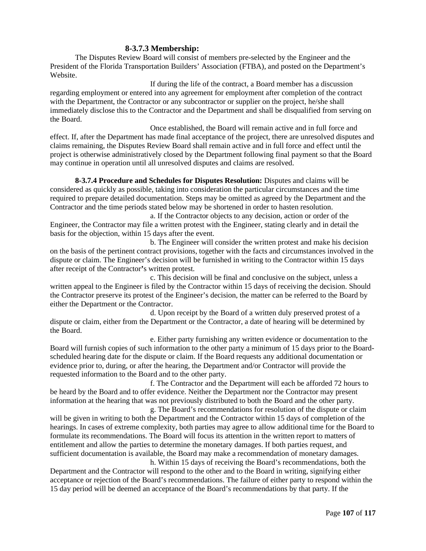#### **8-3.7.3 Membership:**

The Disputes Review Board will consist of members pre-selected by the Engineer and the President of the Florida Transportation Builders' Association (FTBA), and posted on the Department's Website.

If during the life of the contract, a Board member has a discussion regarding employment or entered into any agreement for employment after completion of the contract with the Department, the Contractor or any subcontractor or supplier on the project, he/she shall immediately disclose this to the Contractor and the Department and shall be disqualified from serving on the Board.

Once established, the Board will remain active and in full force and effect. If, after the Department has made final acceptance of the project, there are unresolved disputes and claims remaining, the Disputes Review Board shall remain active and in full force and effect until the project is otherwise administratively closed by the Department following final payment so that the Board may continue in operation until all unresolved disputes and claims are resolved.

**8-3.7.4 Procedure and Schedules for Disputes Resolution:** Disputes and claims will be considered as quickly as possible, taking into consideration the particular circumstances and the time required to prepare detailed documentation. Steps may be omitted as agreed by the Department and the Contractor and the time periods stated below may be shortened in order to hasten resolution.

a. If the Contractor objects to any decision, action or order of the Engineer, the Contractor may file a written protest with the Engineer, stating clearly and in detail the basis for the objection, within 15 days after the event.

b. The Engineer will consider the written protest and make his decision on the basis of the pertinent contract provisions, together with the facts and circumstances involved in the dispute or claim. The Engineer's decision will be furnished in writing to the Contractor within 15 days after receipt of the Contractor**'**s written protest.

c. This decision will be final and conclusive on the subject, unless a written appeal to the Engineer is filed by the Contractor within 15 days of receiving the decision. Should the Contractor preserve its protest of the Engineer's decision, the matter can be referred to the Board by either the Department or the Contractor.

d. Upon receipt by the Board of a written duly preserved protest of a dispute or claim, either from the Department or the Contractor, a date of hearing will be determined by the Board.

e. Either party furnishing any written evidence or documentation to the Board will furnish copies of such information to the other party a minimum of 15 days prior to the Boardscheduled hearing date for the dispute or claim. If the Board requests any additional documentation or evidence prior to, during, or after the hearing, the Department and/or Contractor will provide the requested information to the Board and to the other party.

f. The Contractor and the Department will each be afforded 72 hours to be heard by the Board and to offer evidence. Neither the Department nor the Contractor may present information at the hearing that was not previously distributed to both the Board and the other party.

g. The Board's recommendations for resolution of the dispute or claim will be given in writing to both the Department and the Contractor within 15 days of completion of the hearings. In cases of extreme complexity, both parties may agree to allow additional time for the Board to formulate its recommendations. The Board will focus its attention in the written report to matters of entitlement and allow the parties to determine the monetary damages. If both parties request, and sufficient documentation is available, the Board may make a recommendation of monetary damages. h. Within 15 days of receiving the Board's recommendations, both the

Department and the Contractor will respond to the other and to the Board in writing, signifying either acceptance or rejection of the Board's recommendations. The failure of either party to respond within the 15 day period will be deemed an acceptance of the Board's recommendations by that party. If the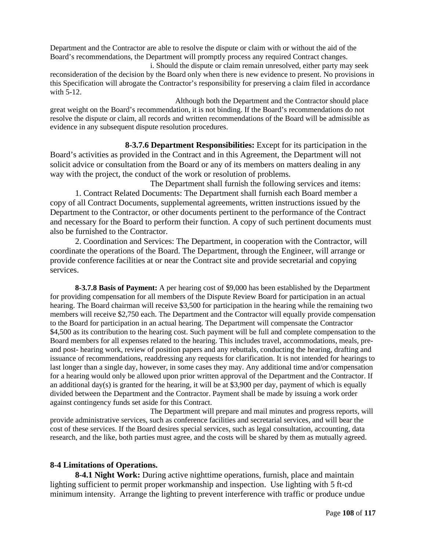Department and the Contractor are able to resolve the dispute or claim with or without the aid of the Board's recommendations, the Department will promptly process any required Contract changes.

i. Should the dispute or claim remain unresolved, either party may seek reconsideration of the decision by the Board only when there is new evidence to present. No provisions in this Specification will abrogate the Contractor's responsibility for preserving a claim filed in accordance with 5-12.

Although both the Department and the Contractor should place great weight on the Board's recommendation, it is not binding. If the Board's recommendations do not resolve the dispute or claim, all records and written recommendations of the Board will be admissible as evidence in any subsequent dispute resolution procedures.

**8-3.7.6 Department Responsibilities:** Except for its participation in the Board's activities as provided in the Contract and in this Agreement, the Department will not solicit advice or consultation from the Board or any of its members on matters dealing in any way with the project, the conduct of the work or resolution of problems.

The Department shall furnish the following services and items: 1. Contract Related Documents: The Department shall furnish each Board member a copy of all Contract Documents, supplemental agreements, written instructions issued by the Department to the Contractor, or other documents pertinent to the performance of the Contract and necessary for the Board to perform their function. A copy of such pertinent documents must also be furnished to the Contractor.

2. Coordination and Services: The Department, in cooperation with the Contractor, will coordinate the operations of the Board. The Department, through the Engineer, will arrange or provide conference facilities at or near the Contract site and provide secretarial and copying services.

**8-3.7.8 Basis of Payment:** A per hearing cost of \$9,000 has been established by the Department for providing compensation for all members of the Dispute Review Board for participation in an actual hearing. The Board chairman will receive \$3,500 for participation in the hearing while the remaining two members will receive \$2,750 each. The Department and the Contractor will equally provide compensation to the Board for participation in an actual hearing. The Department will compensate the Contractor \$4,500 as its contribution to the hearing cost. Such payment will be full and complete compensation to the Board members for all expenses related to the hearing. This includes travel, accommodations, meals, preand post- hearing work, review of position papers and any rebuttals, conducting the hearing, drafting and issuance of recommendations, readdressing any requests for clarification. It is not intended for hearings to last longer than a single day, however, in some cases they may. Any additional time and/or compensation for a hearing would only be allowed upon prior written approval of the Department and the Contractor. If an additional day(s) is granted for the hearing, it will be at \$3,900 per day, payment of which is equally divided between the Department and the Contractor. Payment shall be made by issuing a work order against contingency funds set aside for this Contract.

The Department will prepare and mail minutes and progress reports, will provide administrative services, such as conference facilities and secretarial services, and will bear the cost of these services. If the Board desires special services, such as legal consultation, accounting, data research, and the like, both parties must agree, and the costs will be shared by them as mutually agreed.

## **8-4 Limitations of Operations.**

**8-4.1 Night Work:** During active nighttime operations, furnish, place and maintain lighting sufficient to permit proper workmanship and inspection. Use lighting with 5 ft-cd minimum intensity. Arrange the lighting to prevent interference with traffic or produce undue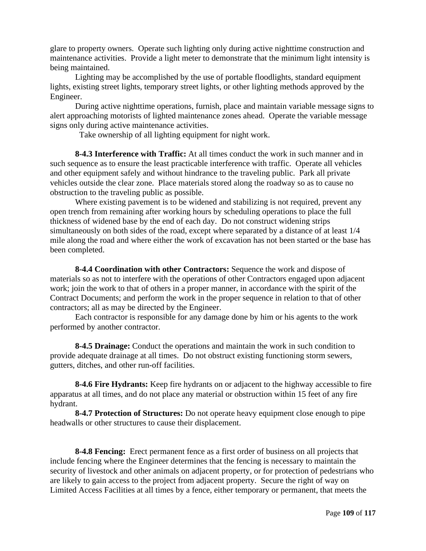glare to property owners. Operate such lighting only during active nighttime construction and maintenance activities. Provide a light meter to demonstrate that the minimum light intensity is being maintained.

Lighting may be accomplished by the use of portable floodlights, standard equipment lights, existing street lights, temporary street lights, or other lighting methods approved by the Engineer.

During active nighttime operations, furnish, place and maintain variable message signs to alert approaching motorists of lighted maintenance zones ahead. Operate the variable message signs only during active maintenance activities.

Take ownership of all lighting equipment for night work.

**8-4.3 Interference with Traffic:** At all times conduct the work in such manner and in such sequence as to ensure the least practicable interference with traffic. Operate all vehicles and other equipment safely and without hindrance to the traveling public. Park all private vehicles outside the clear zone. Place materials stored along the roadway so as to cause no obstruction to the traveling public as possible.

Where existing pavement is to be widened and stabilizing is not required, prevent any open trench from remaining after working hours by scheduling operations to place the full thickness of widened base by the end of each day. Do not construct widening strips simultaneously on both sides of the road, except where separated by a distance of at least 1/4 mile along the road and where either the work of excavation has not been started or the base has been completed.

**8-4.4 Coordination with other Contractors:** Sequence the work and dispose of materials so as not to interfere with the operations of other Contractors engaged upon adjacent work; join the work to that of others in a proper manner, in accordance with the spirit of the Contract Documents; and perform the work in the proper sequence in relation to that of other contractors; all as may be directed by the Engineer.

Each contractor is responsible for any damage done by him or his agents to the work performed by another contractor.

**8-4.5 Drainage:** Conduct the operations and maintain the work in such condition to provide adequate drainage at all times. Do not obstruct existing functioning storm sewers, gutters, ditches, and other run-off facilities.

**8-4.6 Fire Hydrants:** Keep fire hydrants on or adjacent to the highway accessible to fire apparatus at all times, and do not place any material or obstruction within 15 feet of any fire hydrant.

**8-4.7 Protection of Structures:** Do not operate heavy equipment close enough to pipe headwalls or other structures to cause their displacement.

**8-4.8 Fencing:** Erect permanent fence as a first order of business on all projects that include fencing where the Engineer determines that the fencing is necessary to maintain the security of livestock and other animals on adjacent property, or for protection of pedestrians who are likely to gain access to the project from adjacent property. Secure the right of way on Limited Access Facilities at all times by a fence, either temporary or permanent, that meets the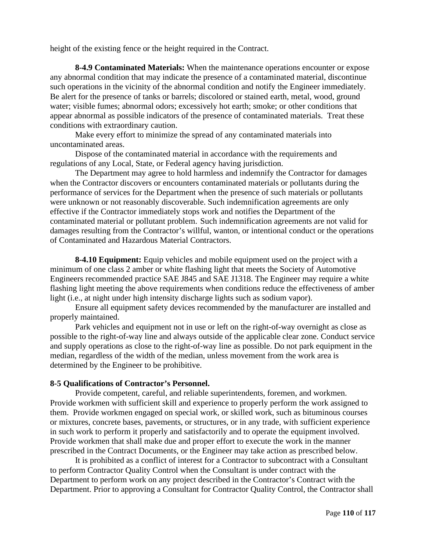height of the existing fence or the height required in the Contract.

**8-4.9 Contaminated Materials:** When the maintenance operations encounter or expose any abnormal condition that may indicate the presence of a contaminated material, discontinue such operations in the vicinity of the abnormal condition and notify the Engineer immediately. Be alert for the presence of tanks or barrels; discolored or stained earth, metal, wood, ground water; visible fumes; abnormal odors; excessively hot earth; smoke; or other conditions that appear abnormal as possible indicators of the presence of contaminated materials. Treat these conditions with extraordinary caution.

Make every effort to minimize the spread of any contaminated materials into uncontaminated areas.

Dispose of the contaminated material in accordance with the requirements and regulations of any Local, State, or Federal agency having jurisdiction.

The Department may agree to hold harmless and indemnify the Contractor for damages when the Contractor discovers or encounters contaminated materials or pollutants during the performance of services for the Department when the presence of such materials or pollutants were unknown or not reasonably discoverable. Such indemnification agreements are only effective if the Contractor immediately stops work and notifies the Department of the contaminated material or pollutant problem. Such indemnification agreements are not valid for damages resulting from the Contractor's willful, wanton, or intentional conduct or the operations of Contaminated and Hazardous Material Contractors.

**8-4.10 Equipment:** Equip vehicles and mobile equipment used on the project with a minimum of one class 2 amber or white flashing light that meets the Society of Automotive Engineers recommended practice SAE J845 and SAE J1318. The Engineer may require a white flashing light meeting the above requirements when conditions reduce the effectiveness of amber light (i.e., at night under high intensity discharge lights such as sodium vapor).

Ensure all equipment safety devices recommended by the manufacturer are installed and properly maintained.

Park vehicles and equipment not in use or left on the right-of-way overnight as close as possible to the right-of-way line and always outside of the applicable clear zone. Conduct service and supply operations as close to the right-of-way line as possible. Do not park equipment in the median, regardless of the width of the median, unless movement from the work area is determined by the Engineer to be prohibitive.

#### **8-5 Qualifications of Contractor's Personnel.**

Provide competent, careful, and reliable superintendents, foremen, and workmen. Provide workmen with sufficient skill and experience to properly perform the work assigned to them. Provide workmen engaged on special work, or skilled work, such as bituminous courses or mixtures, concrete bases, pavements, or structures, or in any trade, with sufficient experience in such work to perform it properly and satisfactorily and to operate the equipment involved. Provide workmen that shall make due and proper effort to execute the work in the manner prescribed in the Contract Documents, or the Engineer may take action as prescribed below.

It is prohibited as a conflict of interest for a Contractor to subcontract with a Consultant to perform Contractor Quality Control when the Consultant is under contract with the Department to perform work on any project described in the Contractor's Contract with the Department. Prior to approving a Consultant for Contractor Quality Control, the Contractor shall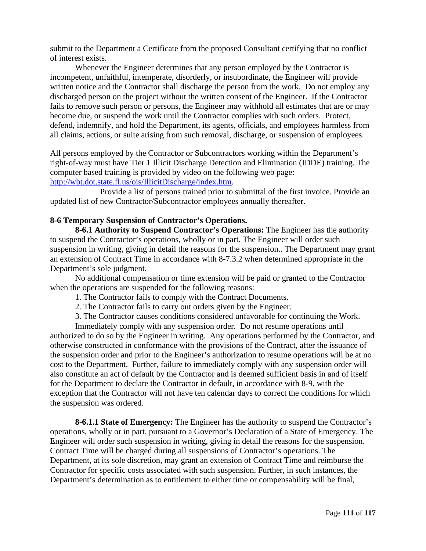submit to the Department a Certificate from the proposed Consultant certifying that no conflict of interest exists.

Whenever the Engineer determines that any person employed by the Contractor is incompetent, unfaithful, intemperate, disorderly, or insubordinate, the Engineer will provide written notice and the Contractor shall discharge the person from the work. Do not employ any discharged person on the project without the written consent of the Engineer. If the Contractor fails to remove such person or persons, the Engineer may withhold all estimates that are or may become due, or suspend the work until the Contractor complies with such orders. Protect, defend, indemnify, and hold the Department, its agents, officials, and employees harmless from all claims, actions, or suite arising from such removal, discharge, or suspension of employees.

All persons employed by the Contractor or Subcontractors working within the Department's right-of-way must have Tier 1 Illicit Discharge Detection and Elimination (IDDE) training. The computer based training is provided by video on the following web page: http://wbt.dot.state.fl.us/ois/IllicitDischarge/index.htm.

Provide a list of persons trained prior to submittal of the first invoice. Provide an updated list of new Contractor/Subcontractor employees annually thereafter.

### **8-6 Temporary Suspension of Contractor's Operations.**

**8-6.1 Authority to Suspend Contractor's Operations:** The Engineer has the authority to suspend the Contractor's operations, wholly or in part. The Engineer will order such suspension in writing, giving in detail the reasons for the suspension.. The Department may grant an extension of Contract Time in accordance with 8-7.3.2 when determined appropriate in the Department's sole judgment.

No additional compensation or time extension will be paid or granted to the Contractor when the operations are suspended for the following reasons:

- 1. The Contractor fails to comply with the Contract Documents.
- 2. The Contractor fails to carry out orders given by the Engineer.
- 3. The Contractor causes conditions considered unfavorable for continuing the Work.

Immediately comply with any suspension order. Do not resume operations until authorized to do so by the Engineer in writing. Any operations performed by the Contractor, and otherwise constructed in conformance with the provisions of the Contract, after the issuance of the suspension order and prior to the Engineer's authorization to resume operations will be at no cost to the Department. Further, failure to immediately comply with any suspension order will also constitute an act of default by the Contractor and is deemed sufficient basis in and of itself for the Department to declare the Contractor in default, in accordance with 8-9, with the exception that the Contractor will not have ten calendar days to correct the conditions for which the suspension was ordered.

**8-6.1.1 State of Emergency:** The Engineer has the authority to suspend the Contractor's operations, wholly or in part, pursuant to a Governor's Declaration of a State of Emergency. The Engineer will order such suspension in writing, giving in detail the reasons for the suspension. Contract Time will be charged during all suspensions of Contractor's operations. The Department, at its sole discretion, may grant an extension of Contract Time and reimburse the Contractor for specific costs associated with such suspension. Further, in such instances, the Department's determination as to entitlement to either time or compensability will be final,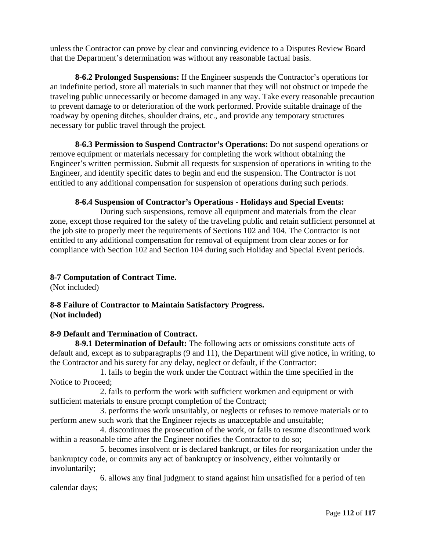unless the Contractor can prove by clear and convincing evidence to a Disputes Review Board that the Department's determination was without any reasonable factual basis.

**8-6.2 Prolonged Suspensions:** If the Engineer suspends the Contractor's operations for an indefinite period, store all materials in such manner that they will not obstruct or impede the traveling public unnecessarily or become damaged in any way. Take every reasonable precaution to prevent damage to or deterioration of the work performed. Provide suitable drainage of the roadway by opening ditches, shoulder drains, etc., and provide any temporary structures necessary for public travel through the project.

**8-6.3 Permission to Suspend Contractor's Operations:** Do not suspend operations or remove equipment or materials necessary for completing the work without obtaining the Engineer's written permission. Submit all requests for suspension of operations in writing to the Engineer, and identify specific dates to begin and end the suspension. The Contractor is not entitled to any additional compensation for suspension of operations during such periods.

# **8-6.4 Suspension of Contractor's Operations - Holidays and Special Events:**

During such suspensions, remove all equipment and materials from the clear zone, except those required for the safety of the traveling public and retain sufficient personnel at the job site to properly meet the requirements of Sections 102 and 104. The Contractor is not entitled to any additional compensation for removal of equipment from clear zones or for compliance with Section 102 and Section 104 during such Holiday and Special Event periods.

#### **8-7 Computation of Contract Time.**

(Not included)

### **8-8 Failure of Contractor to Maintain Satisfactory Progress. (Not included)**

# **8-9 Default and Termination of Contract.**

**8-9.1 Determination of Default:** The following acts or omissions constitute acts of default and, except as to subparagraphs (9 and 11), the Department will give notice, in writing, to the Contractor and his surety for any delay, neglect or default, if the Contractor:

1. fails to begin the work under the Contract within the time specified in the Notice to Proceed;

2. fails to perform the work with sufficient workmen and equipment or with sufficient materials to ensure prompt completion of the Contract;

3. performs the work unsuitably, or neglects or refuses to remove materials or to perform anew such work that the Engineer rejects as unacceptable and unsuitable;

4. discontinues the prosecution of the work, or fails to resume discontinued work within a reasonable time after the Engineer notifies the Contractor to do so;

5. becomes insolvent or is declared bankrupt, or files for reorganization under the bankruptcy code, or commits any act of bankruptcy or insolvency, either voluntarily or involuntarily;

6. allows any final judgment to stand against him unsatisfied for a period of ten calendar days;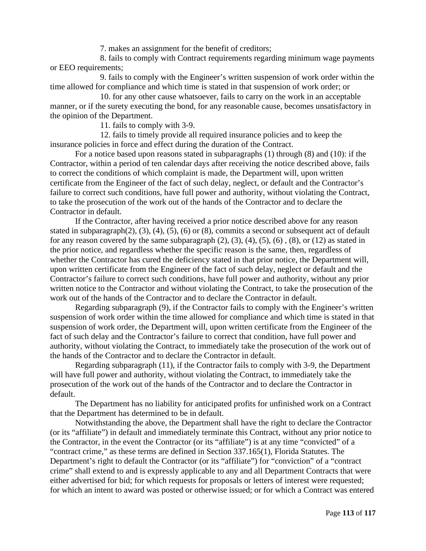7. makes an assignment for the benefit of creditors;

8. fails to comply with Contract requirements regarding minimum wage payments or EEO requirements;

9. fails to comply with the Engineer's written suspension of work order within the time allowed for compliance and which time is stated in that suspension of work order; or

10. for any other cause whatsoever, fails to carry on the work in an acceptable manner, or if the surety executing the bond, for any reasonable cause, becomes unsatisfactory in the opinion of the Department.

11. fails to comply with 3-9.

12. fails to timely provide all required insurance policies and to keep the insurance policies in force and effect during the duration of the Contract.

For a notice based upon reasons stated in subparagraphs (1) through (8) and (10): if the Contractor, within a period of ten calendar days after receiving the notice described above, fails to correct the conditions of which complaint is made, the Department will, upon written certificate from the Engineer of the fact of such delay, neglect, or default and the Contractor's failure to correct such conditions, have full power and authority, without violating the Contract, to take the prosecution of the work out of the hands of the Contractor and to declare the Contractor in default.

If the Contractor, after having received a prior notice described above for any reason stated in subparagraph(2), (3), (4), (5), (6) or (8), commits a second or subsequent act of default for any reason covered by the same subparagraph  $(2)$ ,  $(3)$ ,  $(4)$ ,  $(5)$ ,  $(6)$ ,  $(8)$ , or  $(12)$  as stated in the prior notice, and regardless whether the specific reason is the same, then, regardless of whether the Contractor has cured the deficiency stated in that prior notice, the Department will, upon written certificate from the Engineer of the fact of such delay, neglect or default and the Contractor's failure to correct such conditions, have full power and authority, without any prior written notice to the Contractor and without violating the Contract, to take the prosecution of the work out of the hands of the Contractor and to declare the Contractor in default.

Regarding subparagraph (9), if the Contractor fails to comply with the Engineer's written suspension of work order within the time allowed for compliance and which time is stated in that suspension of work order, the Department will, upon written certificate from the Engineer of the fact of such delay and the Contractor's failure to correct that condition, have full power and authority, without violating the Contract, to immediately take the prosecution of the work out of the hands of the Contractor and to declare the Contractor in default.

Regarding subparagraph (11), if the Contractor fails to comply with 3-9, the Department will have full power and authority, without violating the Contract, to immediately take the prosecution of the work out of the hands of the Contractor and to declare the Contractor in default.

The Department has no liability for anticipated profits for unfinished work on a Contract that the Department has determined to be in default.

Notwithstanding the above, the Department shall have the right to declare the Contractor (or its "affiliate") in default and immediately terminate this Contract, without any prior notice to the Contractor, in the event the Contractor (or its "affiliate") is at any time "convicted" of a "contract crime," as these terms are defined in Section 337.165(1), Florida Statutes. The Department's right to default the Contractor (or its "affiliate") for "conviction" of a "contract crime" shall extend to and is expressly applicable to any and all Department Contracts that were either advertised for bid; for which requests for proposals or letters of interest were requested; for which an intent to award was posted or otherwise issued; or for which a Contract was entered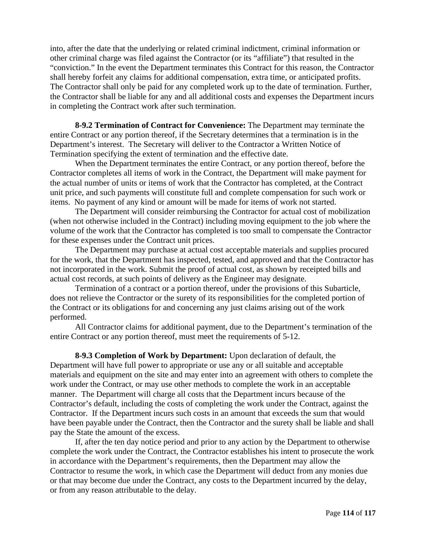into, after the date that the underlying or related criminal indictment, criminal information or other criminal charge was filed against the Contractor (or its "affiliate") that resulted in the "conviction." In the event the Department terminates this Contract for this reason, the Contractor shall hereby forfeit any claims for additional compensation, extra time, or anticipated profits. The Contractor shall only be paid for any completed work up to the date of termination. Further, the Contractor shall be liable for any and all additional costs and expenses the Department incurs in completing the Contract work after such termination.

**8-9.2 Termination of Contract for Convenience:** The Department may terminate the entire Contract or any portion thereof, if the Secretary determines that a termination is in the Department's interest. The Secretary will deliver to the Contractor a Written Notice of Termination specifying the extent of termination and the effective date.

When the Department terminates the entire Contract, or any portion thereof, before the Contractor completes all items of work in the Contract, the Department will make payment for the actual number of units or items of work that the Contractor has completed, at the Contract unit price, and such payments will constitute full and complete compensation for such work or items. No payment of any kind or amount will be made for items of work not started.

The Department will consider reimbursing the Contractor for actual cost of mobilization (when not otherwise included in the Contract) including moving equipment to the job where the volume of the work that the Contractor has completed is too small to compensate the Contractor for these expenses under the Contract unit prices.

The Department may purchase at actual cost acceptable materials and supplies procured for the work, that the Department has inspected, tested, and approved and that the Contractor has not incorporated in the work. Submit the proof of actual cost, as shown by receipted bills and actual cost records, at such points of delivery as the Engineer may designate.

Termination of a contract or a portion thereof, under the provisions of this Subarticle, does not relieve the Contractor or the surety of its responsibilities for the completed portion of the Contract or its obligations for and concerning any just claims arising out of the work performed.

All Contractor claims for additional payment, due to the Department's termination of the entire Contract or any portion thereof, must meet the requirements of 5-12.

**8-9.3 Completion of Work by Department:** Upon declaration of default, the Department will have full power to appropriate or use any or all suitable and acceptable materials and equipment on the site and may enter into an agreement with others to complete the work under the Contract, or may use other methods to complete the work in an acceptable manner. The Department will charge all costs that the Department incurs because of the Contractor's default, including the costs of completing the work under the Contract, against the Contractor. If the Department incurs such costs in an amount that exceeds the sum that would have been payable under the Contract, then the Contractor and the surety shall be liable and shall pay the State the amount of the excess.

If, after the ten day notice period and prior to any action by the Department to otherwise complete the work under the Contract, the Contractor establishes his intent to prosecute the work in accordance with the Department's requirements, then the Department may allow the Contractor to resume the work, in which case the Department will deduct from any monies due or that may become due under the Contract, any costs to the Department incurred by the delay, or from any reason attributable to the delay.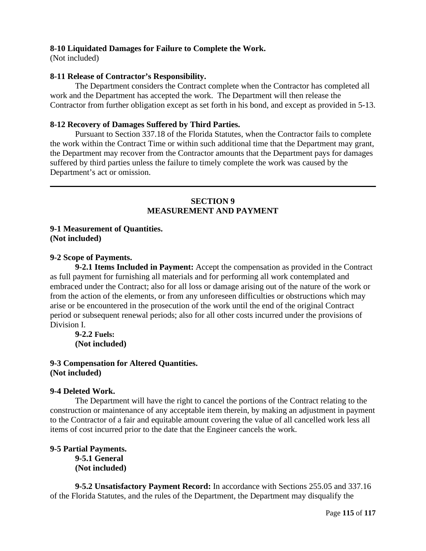### **8-10 Liquidated Damages for Failure to Complete the Work.**

(Not included)

### **8-11 Release of Contractor's Responsibility.**

The Department considers the Contract complete when the Contractor has completed all work and the Department has accepted the work. The Department will then release the Contractor from further obligation except as set forth in his bond, and except as provided in 5-13.

### **8-12 Recovery of Damages Suffered by Third Parties.**

Pursuant to Section 337.18 of the Florida Statutes, when the Contractor fails to complete the work within the Contract Time or within such additional time that the Department may grant, the Department may recover from the Contractor amounts that the Department pays for damages suffered by third parties unless the failure to timely complete the work was caused by the Department's act or omission.

### **SECTION 9 MEASUREMENT AND PAYMENT**

#### **9-1 Measurement of Quantities. (Not included)**

#### **9-2 Scope of Payments.**

**9-2.1 Items Included in Payment:** Accept the compensation as provided in the Contract as full payment for furnishing all materials and for performing all work contemplated and embraced under the Contract; also for all loss or damage arising out of the nature of the work or from the action of the elements, or from any unforeseen difficulties or obstructions which may arise or be encountered in the prosecution of the work until the end of the original Contract period or subsequent renewal periods; also for all other costs incurred under the provisions of Division I.

**9-2.2 Fuels: (Not included)** 

**9-3 Compensation for Altered Quantities. (Not included)** 

#### **9-4 Deleted Work.**

The Department will have the right to cancel the portions of the Contract relating to the construction or maintenance of any acceptable item therein, by making an adjustment in payment to the Contractor of a fair and equitable amount covering the value of all cancelled work less all items of cost incurred prior to the date that the Engineer cancels the work.

**9-5 Partial Payments. 9-5.1 General (Not included)** 

**9-5.2 Unsatisfactory Payment Record:** In accordance with Sections 255.05 and 337.16 of the Florida Statutes, and the rules of the Department, the Department may disqualify the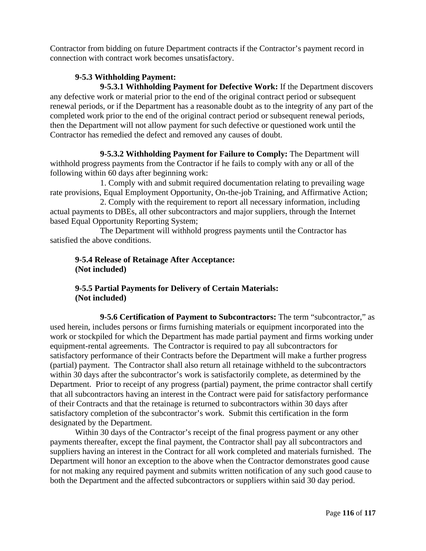Contractor from bidding on future Department contracts if the Contractor's payment record in connection with contract work becomes unsatisfactory.

# **9-5.3 Withholding Payment:**

**9-5.3.1 Withholding Payment for Defective Work:** If the Department discovers any defective work or material prior to the end of the original contract period or subsequent renewal periods, or if the Department has a reasonable doubt as to the integrity of any part of the completed work prior to the end of the original contract period or subsequent renewal periods, then the Department will not allow payment for such defective or questioned work until the Contractor has remedied the defect and removed any causes of doubt.

**9-5.3.2 Withholding Payment for Failure to Comply:** The Department will withhold progress payments from the Contractor if he fails to comply with any or all of the following within 60 days after beginning work:

1. Comply with and submit required documentation relating to prevailing wage rate provisions, Equal Employment Opportunity, On-the-job Training, and Affirmative Action;

2. Comply with the requirement to report all necessary information, including actual payments to DBEs, all other subcontractors and major suppliers, through the Internet based Equal Opportunity Reporting System;

The Department will withhold progress payments until the Contractor has satisfied the above conditions.

### **9-5.4 Release of Retainage After Acceptance: (Not included)**

# **9-5.5 Partial Payments for Delivery of Certain Materials: (Not included)**

**9-5.6 Certification of Payment to Subcontractors:** The term "subcontractor," as used herein, includes persons or firms furnishing materials or equipment incorporated into the work or stockpiled for which the Department has made partial payment and firms working under equipment-rental agreements. The Contractor is required to pay all subcontractors for satisfactory performance of their Contracts before the Department will make a further progress (partial) payment. The Contractor shall also return all retainage withheld to the subcontractors within 30 days after the subcontractor's work is satisfactorily complete, as determined by the Department. Prior to receipt of any progress (partial) payment, the prime contractor shall certify that all subcontractors having an interest in the Contract were paid for satisfactory performance of their Contracts and that the retainage is returned to subcontractors within 30 days after satisfactory completion of the subcontractor's work. Submit this certification in the form designated by the Department.

Within 30 days of the Contractor's receipt of the final progress payment or any other payments thereafter, except the final payment, the Contractor shall pay all subcontractors and suppliers having an interest in the Contract for all work completed and materials furnished. The Department will honor an exception to the above when the Contractor demonstrates good cause for not making any required payment and submits written notification of any such good cause to both the Department and the affected subcontractors or suppliers within said 30 day period.